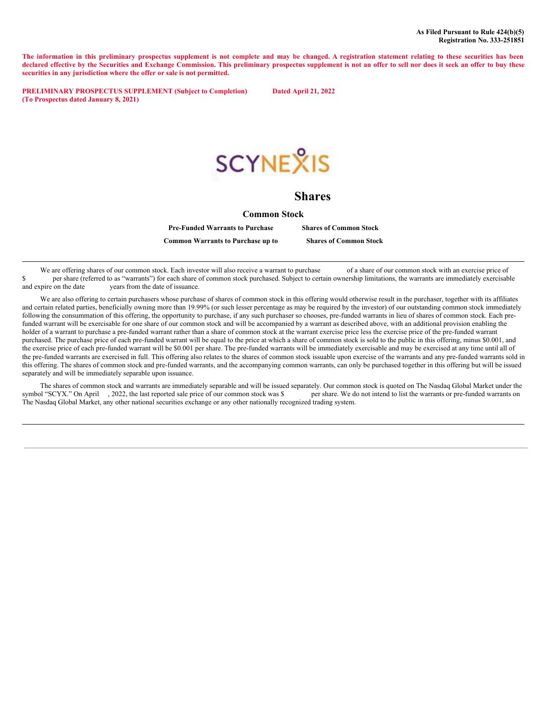The information in this preliminary prospectus supplement is not complete and may be changed. A registration statement relating to these securities has been declared effective by the Securities and Exchange Commission. This preliminary prospectus supplement is not an offer to sell nor does it seek an offer to buy these **securities in any jurisdiction where the offer or sale is not permitted.**

**PRELIMINARY PROSPECTUS SUPPLEMENT (Subject to Completion) Dated April 21, 2022 (To Prospectus dated January 8, 2021)**

# **SCYNEXIS**

# **Shares**

#### **Common Stock**

**Pre-Funded Warrants to Purchase Shares of Common Stock**

**Common Warrants to Purchase up to Shares of Common Stock**

We are offering shares of our common stock. Each investor will also receive a warrant to purchase of a share of our common stock with an exercise price of \$ per share (referred to as "warrants") for each share of common stock purchased. Subject to certain ownership limitations, the warrants are immediately exercisable and expire on the date years from the date of issuance.

We are also offering to certain purchasers whose purchase of shares of common stock in this offering would otherwise result in the purchaser, together with its affiliates and certain related parties, beneficially owning more than 19.99% (or such lesser percentage as may be required by the investor) of our outstanding common stock immediately following the consummation of this offering, the opportunity to purchase, if any such purchaser so chooses, pre-funded warrants in lieu of shares of common stock. Each prefunded warrant will be exercisable for one share of our common stock and will be accompanied by a warrant as described above, with an additional provision enabling the holder of a warrant to purchase a pre-funded warrant rather than a share of common stock at the warrant exercise price less the exercise price of the pre-funded warrant purchased. The purchase price of each pre-funded warrant will be equal to the price at which a share of common stock is sold to the public in this offering, minus \$0.001, and the exercise price of each pre-funded warrant will be \$0.001 per share. The pre-funded warrants will be immediately exercisable and may be exercised at any time until all of the pre-funded warrants are exercised in full. This offering also relates to the shares of common stock issuable upon exercise of the warrants and any pre-funded warrants sold in this offering. The shares of common stock and pre-funded warrants, and the accompanying common warrants, can only be purchased together in this offering but will be issued separately and will be immediately separable upon issuance.

The shares of common stock and warrants are immediately separable and will be issued separately. Our common stock is quoted on The Nasdaq Global Market under the symbol "SCYX." On April , 2022, the last reported sale price of our common stock was \$ per share. We do not intend to list the warrants or pre-funded warrants on The Nasdaq Global Market, any other national securities exchange or any other nationally recognized trading system.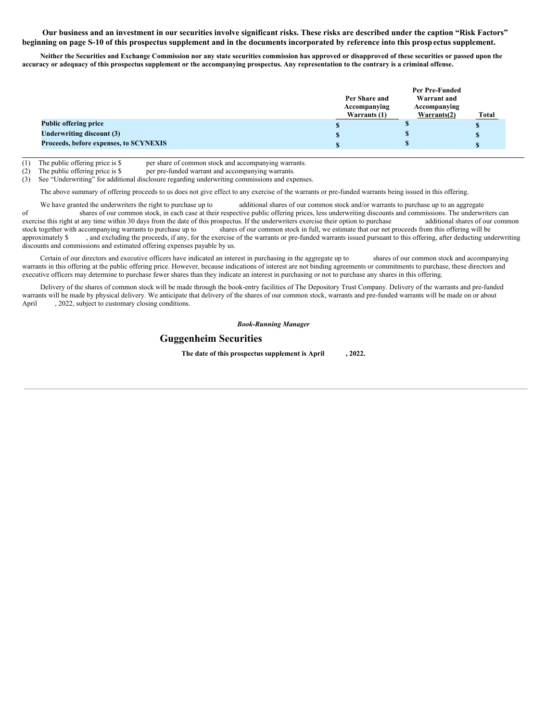Our business and an investment in our securities involve significant risks. These risks are described under the caption "Risk Factors" beginning on page S-10 of this prospectus supplement and in the documents incorporated by reference into this prospectus supplement.

Neither the Securities and Exchange Commission nor any state securities commission has approved or disapproved of these securities or passed upon the accuracy or adequacy of this prospectus supplement or the accompanying prospectus. Any representation to the contrary is a criminal offense.

|                                        |               | Per Pre-Funded |              |
|----------------------------------------|---------------|----------------|--------------|
|                                        | Per Share and | Warrant and    |              |
|                                        | Accompanying  | Accompanying   |              |
|                                        | Warrants (1)  | Warrants(2)    | <b>Total</b> |
| <b>Public offering price</b>           |               |                | $\mathbf{s}$ |
| Underwriting discount (3)              |               |                | S            |
| Proceeds, before expenses, to SCYNEXIS |               |                |              |

(1) The public offering price is \$ per share of common stock and accompanying warrants.<br>(2) The public offering price is \$ per pre-funded warrant and accompanying warrants. (2) The public offering price is \$ per pre-funded warrant and accompanying warrants.

(3) See "Underwriting" for additional disclosure regarding underwriting commissions and expenses.

The above summary of offering proceeds to us does not give effect to any exercise of the warrants or pre-funded warrants being issued in this offering.

We have granted the underwriters the right to purchase up to additional shares of our common stock and/or warrants to purchase up to an aggregate of shares of our common stock, in each case at their respective public offering prices, less underwriting discounts and commissions. The underwriters can exercise this right at any time within 30 days from the date of this prospectus. If the underwriters exercise their option to purchase additional shares of our common stock together with accompanying warrants to purchase up to shares of our common stock in full, we estimate that our net proceeds from this offering will be approximately \$, and excluding the proceeds, if any, for the exercise of the warrants or pre-funded warrants issued pursuant to this offering, after deducting underwriting discounts and commissions and estimated offering expenses payable by us.

Certain of our directors and executive officers have indicated an interest in purchasing in the aggregate up to shares of our common stock and accompanying warrants in this offering at the public offering price. However, because indications of interest are not binding agreements or commitments to purchase, these directors and executive officers may determine to purchase fewer shares than they indicate an interest in purchasing or not to purchase any shares in this offering.

Delivery of the shares of common stock will be made through the book-entry facilities of The Depository Trust Company. Delivery of the warrants and pre-funded warrants will be made by physical delivery. We anticipate that delivery of the shares of our common stock, warrants and pre-funded warrants will be made on or about April , 2022, subject to customary closing conditions.

*Book-Running Manager*

# **Guggenheim Securities**

**The date of this prospectus supplement is April , 2022.**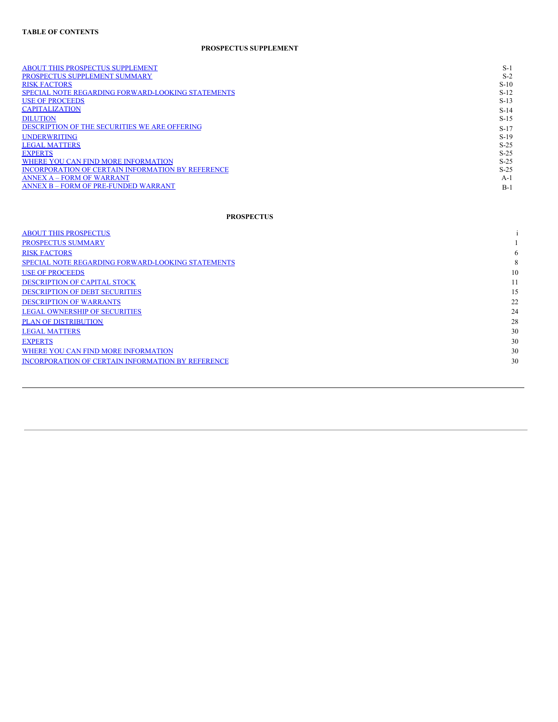# **TABLE OF CONTENTS**

# **PROSPECTUS SUPPLEMENT**

| ABOUT THIS PROSPECTUS SUPPLEMENT                         | $S-1$  |
|----------------------------------------------------------|--------|
| PROSPECTUS SUPPLEMENT SUMMARY                            | $S-2$  |
| <b>RISK FACTORS</b>                                      | $S-10$ |
| <b>SPECIAL NOTE REGARDING FORWARD-LOOKING STATEMENTS</b> | $S-12$ |
| <b>USE OF PROCEEDS</b>                                   | $S-13$ |
| <b>CAPITALIZATION</b>                                    | $S-14$ |
| <b>DILUTION</b>                                          | $S-15$ |
| <b>DESCRIPTION OF THE SECURITIES WE ARE OFFERING</b>     | $S-17$ |
| <b>UNDERWRITING</b>                                      | $S-19$ |
| <b>LEGAL MATTERS</b>                                     | $S-25$ |
| <b>EXPERTS</b>                                           | $S-25$ |
| WHERE YOU CAN FIND MORE INFORMATION                      | $S-25$ |
| INCORPORATION OF CERTAIN INFORMATION BY REFERENCE        | $S-25$ |
| <b>ANNEX A - FORM OF WARRANT</b>                         | $A-1$  |
| ANNEX B - FORM OF PRE-FUNDED WARRANT                     | $B-1$  |
|                                                          |        |

# **PROSPECTUS**

| <b>ABOUT THIS PROSPECTUS</b>                             |    |
|----------------------------------------------------------|----|
| PROSPECTUS SUMMARY                                       |    |
| <b>RISK FACTORS</b>                                      | 6  |
| <b>SPECIAL NOTE REGARDING FORWARD-LOOKING STATEMENTS</b> | 8  |
| <b>USE OF PROCEEDS</b>                                   | 10 |
| <b>DESCRIPTION OF CAPITAL STOCK</b>                      | 11 |
| <b>DESCRIPTION OF DEBT SECURITIES</b>                    | 15 |
| <b>DESCRIPTION OF WARRANTS</b>                           | 22 |
| <b>LEGAL OWNERSHIP OF SECURITIES</b>                     | 24 |
| <b>PLAN OF DISTRIBUTION</b>                              | 28 |
| <b>LEGAL MATTERS</b>                                     | 30 |
| <b>EXPERTS</b>                                           | 30 |
| WHERE YOU CAN FIND MORE INFORMATION                      | 30 |
| <b>INCORPORATION OF CERTAIN INFORMATION BY REFERENCE</b> | 30 |
|                                                          |    |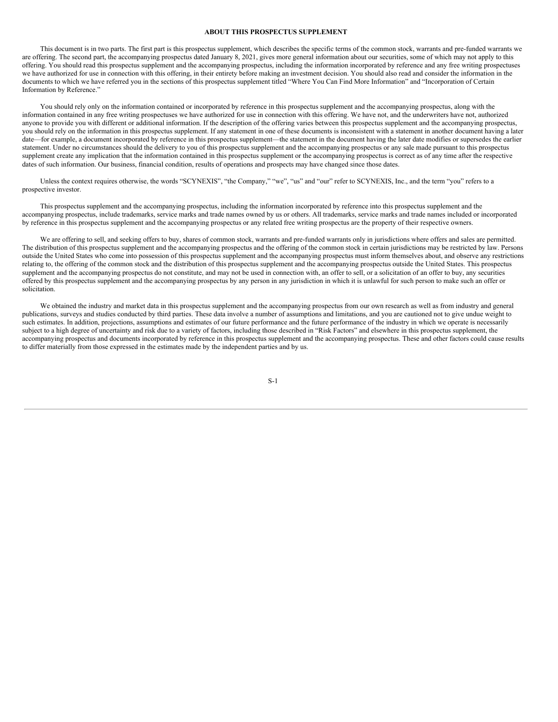# <span id="page-3-0"></span>**ABOUT THIS PROSPECTUS SUPPLEMENT**

This document is in two parts. The first part is this prospectus supplement, which describes the specific terms of the common stock, warrants and pre-funded warrants we are offering. The second part, the accompanying prospectus dated January 8, 2021, gives more general information about our securities, some of which may not apply to this offering. You should read this prospectus supplement and the accompanying prospectus, including the information incorporated by reference and any free writing prospectuses we have authorized for use in connection with this offering, in their entirety before making an investment decision. You should also read and consider the information in the documents to which we have referred you in the sections of this prospectus supplement titled "Where You Can Find More Information" and "Incorporation of Certain Information by Reference."

You should rely only on the information contained or incorporated by reference in this prospectus supplement and the accompanying prospectus, along with the information contained in any free writing prospectuses we have authorized for use in connection with this offering. We have not, and the underwriters have not, authorized anyone to provide you with different or additional information. If the description of the offering varies between this prospectus supplement and the accompanying prospectus, you should rely on the information in this prospectus supplement. If any statement in one of these documents is inconsistent with a statement in another document having a later date—for example, a document incorporated by reference in this prospectus supplement—the statement in the document having the later date modifies or supersedes the earlier statement. Under no circumstances should the delivery to you of this prospectus supplement and the accompanying prospectus or any sale made pursuant to this prospectus supplement create any implication that the information contained in this prospectus supplement or the accompanying prospectus is correct as of any time after the respective dates of such information. Our business, financial condition, results of operations and prospects may have changed since those dates.

Unless the context requires otherwise, the words "SCYNEXIS", "the Company," "we", "us" and "our" refer to SCYNEXIS, Inc., and the term "you" refers to a prospective investor.

This prospectus supplement and the accompanying prospectus, including the information incorporated by reference into this prospectus supplement and the accompanying prospectus, include trademarks, service marks and trade names owned by us or others. All trademarks, service marks and trade names included or incorporated by reference in this prospectus supplement and the accompanying prospectus or any related free writing prospectus are the property of their respective owners.

We are offering to sell, and seeking offers to buy, shares of common stock, warrants and pre-funded warrants only in jurisdictions where offers and sales are permitted. The distribution of this prospectus supplement and the accompanying prospectus and the offering of the common stock in certain jurisdictions may be restricted by law. Persons outside the United States who come into possession of this prospectus supplement and the accompanying prospectus must inform themselves about, and observe any restrictions relating to, the offering of the common stock and the distribution of this prospectus supplement and the accompanying prospectus outside the United States. This prospectus supplement and the accompanying prospectus do not constitute, and may not be used in connection with, an offer to sell, or a solicitation of an offer to buy, any securities offered by this prospectus supplement and the accompanying prospectus by any person in any jurisdiction in which it is unlawful for such person to make such an offer or solicitation.

We obtained the industry and market data in this prospectus supplement and the accompanying prospectus from our own research as well as from industry and general publications, surveys and studies conducted by third parties. These data involve a number of assumptions and limitations, and you are cautioned not to give undue weight to such estimates. In addition, projections, assumptions and estimates of our future performance and the future performance of the industry in which we operate is necessarily subject to a high degree of uncertainty and risk due to a variety of factors, including those described in "Risk Factors" and elsewhere in this prospectus supplement, the accompanying prospectus and documents incorporated by reference in this prospectus supplement and the accompanying prospectus. These and other factors could cause results to differ materially from those expressed in the estimates made by the independent parties and by us.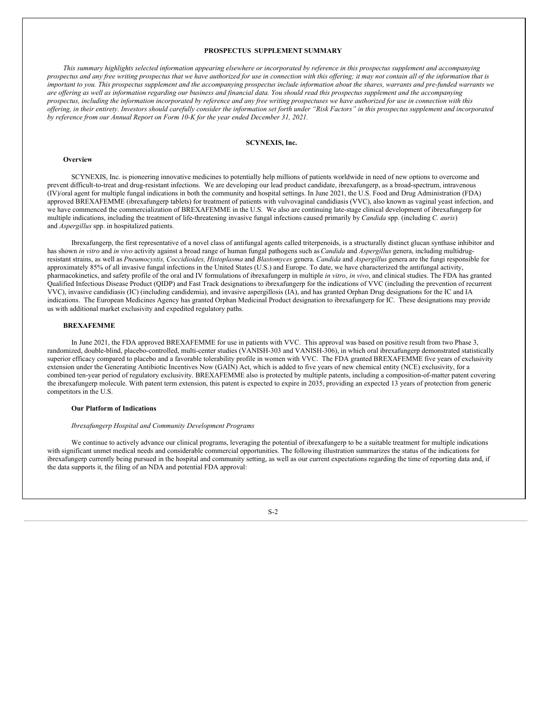### <span id="page-4-0"></span>**PROSPECTUS SUPPLEMENT SUMMARY**

This summary highlights selected information appearing elsewhere or incorporated by reference in this prospectus supplement and accompanying prospectus and any free writing prospectus that we have authorized for use in connection with this offering; it may not contain all of the information that is important to you. This prospectus supplement and the accompanying prospectus include information about the shares, warrants and pre-funded warrants we are offering as well as information regarding our business and financial data. You should read this prospectus supplement and the accompanying prospectus, including the information incorporated by reference and any free writing prospectuses we have authorized for use in connection with this offering, in their entirety. Investors should carefully consider the information set forth under "Risk Factors" in this prospectus supplement and incorporated *by reference from our Annual Report on Form 10-K for the year ended December 31, 2021.*

#### **SCYNEXIS, Inc.**

#### **Overview**

SCYNEXIS, Inc. is pioneering innovative medicines to potentially help millions of patients worldwide in need of new options to overcome and prevent difficult-to-treat and drug-resistant infections. We are developing our lead product candidate, ibrexafungerp, as a broad-spectrum, intravenous (IV)/oral agent for multiple fungal indications in both the community and hospital settings. In June 2021, the U.S. Food and Drug Administration (FDA) approved BREXAFEMME (ibrexafungerp tablets) for treatment of patients with vulvovaginal candidiasis (VVC), also known as vaginal yeast infection, and we have commenced the commercialization of BREXAFEMME in the U.S. We also are continuing late-stage clinical development of ibrexafungerp for multiple indications, including the treatment of life-threatening invasive fungal infections caused primarily by *Candida* spp. (including *C. auris*) and *Aspergillus* spp. in hospitalized patients.

Ibrexafungerp, the first representative of a novel class of antifungal agents called triterpenoids, is a structurally distinct glucan synthase inhibitor and has shown *in vitro* and *in vivo* activity against a broad range of human fungal pathogens such as*Candida* and *Aspergillus* genera, including multidrugresistant strains, as well as *Pneumocystis, Coccidioides, Histoplasma* and *Blastomyces* genera. *Candida* and *Aspergillus* genera are the fungi responsible for approximately 85% of all invasive fungal infections in the United States (U.S.) and Europe. To date, we have characterized the antifungal activity, pharmacokinetics, and safety profile of the oral and IV formulations of ibrexafungerp in multiple *in vitro*, *in vivo*, and clinical studies. The FDA has granted Qualified Infectious Disease Product (QIDP) and Fast Track designations to ibrexafungerp for the indications of VVC (including the prevention of recurrent VVC), invasive candidiasis (IC) (including candidemia), and invasive aspergillosis (IA), and has granted Orphan Drug designations for the IC and IA indications. The European Medicines Agency has granted Orphan Medicinal Product designation to ibrexafungerp for IC. These designations may provide us with additional market exclusivity and expedited regulatory paths.

#### **BREXAFEMME**

In June 2021, the FDA approved BREXAFEMME for use in patients with VVC. This approval was based on positive result from two Phase 3, randomized, double-blind, placebo-controlled, multi-center studies (VANISH-303 and VANISH-306), in which oral ibrexafungerp demonstrated statistically superior efficacy compared to placebo and a favorable tolerability profile in women with VVC. The FDA granted BREXAFEMME five years of exclusivity extension under the Generating Antibiotic Incentives Now (GAIN) Act, which is added to five years of new chemical entity (NCE) exclusivity, for a combined ten-year period of regulatory exclusivity. BREXAFEMME also is protected by multiple patents, including a composition-of-matter patent covering the ibrexafungerp molecule. With patent term extension, this patent is expected to expire in 2035, providing an expected 13 years of protection from generic competitors in the U.S.

#### **Our Platform of Indications**

#### *Ibrexafungerp Hospital and Community Development Programs*

We continue to actively advance our clinical programs, leveraging the potential of ibrexafungerp to be a suitable treatment for multiple indications with significant unmet medical needs and considerable commercial opportunities. The following illustration summarizes the status of the indications for ibrexafungerp currently being pursued in the hospital and community setting, as well as our current expectations regarding the time of reporting data and, if the data supports it, the filing of an NDA and potential FDA approval: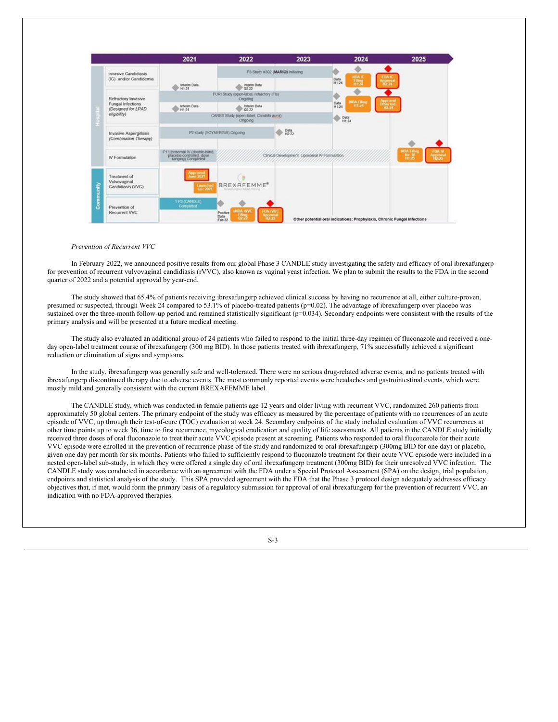

#### *Prevention of Recurrent VVC*

In February 2022, we announced positive results from our global Phase 3 CANDLE study investigating the safety and efficacy of oral ibrexafungerp for prevention of recurrent vulvovaginal candidiasis (rVVC), also known as vaginal yeast infection. We plan to submit the results to the FDA in the second quarter of 2022 and a potential approval by year-end.

The study showed that 65.4% of patients receiving ibrexafungerp achieved clinical success by having no recurrence at all, either culture-proven, presumed or suspected, through Week 24 compared to 53.1% of placebo-treated patients (p=0.02). The advantage of ibrexafungerp over placebo was sustained over the three-month follow-up period and remained statistically significant  $(p=0.034)$ . Secondary endpoints were consistent with the results of the primary analysis and will be presented at a future medical meeting.

The study also evaluated an additional group of 24 patients who failed to respond to the initial three-day regimen of fluconazole and received a oneday open-label treatment course of ibrexafungerp (300 mg BID). In those patients treated with ibrexafungerp, 71% successfully achieved a significant reduction or elimination of signs and symptoms.

In the study, ibrexafungerp was generally safe and well-tolerated. There were no serious drug-related adverse events, and no patients treated with ibrexafungerp discontinued therapy due to adverse events. The most commonly reported events were headaches and gastrointestinal events, which were mostly mild and generally consistent with the current BREXAFEMME label.

The CANDLE study, which was conducted in female patients age 12 years and older living with recurrent VVC, randomized 260 patients from approximately 50 global centers. The primary endpoint of the study was efficacy as measured by the percentage of patients with no recurrences of an acute episode of VVC, up through their test-of-cure (TOC) evaluation at week 24. Secondary endpoints of the study included evaluation of VVC recurrences at other time points up to week 36, time to first recurrence, mycological eradication and quality of life assessments. All patients in the CANDLE study initially received three doses of oral fluconazole to treat their acute VVC episode present at screening. Patients who responded to oral fluconazole for their acute VVC episode were enrolled in the prevention of recurrence phase of the study and randomized to oral ibrexafungerp (300mg BID for one day) or placebo, given one day per month for six months. Patients who failed to sufficiently respond to fluconazole treatment for their acute VVC episode were included in a nested open-label sub-study, in which they were offered a single day of oral ibrexafungerp treatment (300mg BID) for their unresolved VVC infection. The CANDLE study was conducted in accordance with an agreement with the FDA under a Special Protocol Assessment (SPA) on the design, trial population, endpoints and statistical analysis of the study. This SPA provided agreement with the FDA that the Phase 3 protocol design adequately addresses efficacy objectives that, if met, would form the primary basis of a regulatory submission for approval of oral ibrexafungerp for the prevention of recurrent VVC, an indication with no FDA-approved therapies.

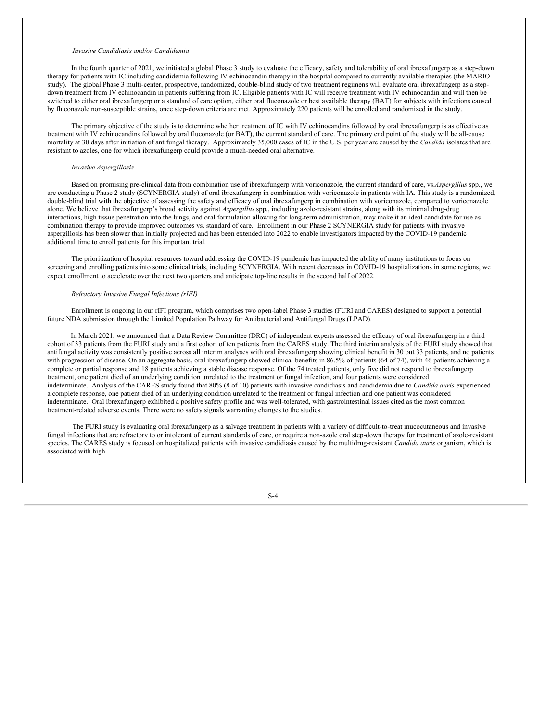#### *Invasive Candidiasis and/or Candidemia*

In the fourth quarter of 2021, we initiated a global Phase 3 study to evaluate the efficacy, safety and tolerability of oral ibrexafungerp as a step-down therapy for patients with IC including candidemia following IV echinocandin therapy in the hospital compared to currently available therapies (the MARIO study). The global Phase 3 multi-center, prospective, randomized, double-blind study of two treatment regimens will evaluate oral ibrexafungerp as a stepdown treatment from IV echinocandin in patients suffering from IC. Eligible patients with IC will receive treatment with IV echinocandin and will then be switched to either oral ibrexafungerp or a standard of care option, either oral fluconazole or best available therapy (BAT) for subjects with infections caused by fluconazole non-susceptible strains, once step-down criteria are met. Approximately 220 patients will be enrolled and randomized in the study.

The primary objective of the study is to determine whether treatment of IC with IV echinocandins followed by oral ibrexafungerp is as effective as treatment with IV echinocandins followed by oral fluconazole (or BAT), the current standard of care. The primary end point of the study will be all-cause mortality at 30 days after initiation of antifungal therapy. Approximately 35,000 cases of IC in the U.S. per year are caused by the *Candida* isolates that are resistant to azoles, one for which ibrexafungerp could provide a much-needed oral alternative.

#### *Invasive Aspergillosis*

Based on promising pre-clinical data from combination use of ibrexafungerp with voriconazole, the current standard of care, vs.*Aspergillus* spp., we are conducting a Phase 2 study (SCYNERGIA study) of oral ibrexafungerp in combination with voriconazole in patients with IA. This study is a randomized, double-blind trial with the objective of assessing the safety and efficacy of oral ibrexafungerp in combination with voriconazole, compared to voriconazole alone. We believe that ibrexafungerp's broad activity against *Aspergillus* spp., including azole-resistant strains, along with its minimal drug-drug interactions, high tissue penetration into the lungs, and oral formulation allowing for long-term administration, may make it an ideal candidate for use as combination therapy to provide improved outcomes vs. standard of care. Enrollment in our Phase 2 SCYNERGIA study for patients with invasive aspergillosis has been slower than initially projected and has been extended into 2022 to enable investigators impacted by the COVID-19 pandemic additional time to enroll patients for this important trial.

The prioritization of hospital resources toward addressing the COVID-19 pandemic has impacted the ability of many institutions to focus on screening and enrolling patients into some clinical trials, including SCYNERGIA. With recent decreases in COVID-19 hospitalizations in some regions, we expect enrollment to accelerate over the next two quarters and anticipate top-line results in the second half of 2022.

#### *Refractory Invasive Fungal Infections (rIFI)*

Enrollment is ongoing in our rIFI program, which comprises two open-label Phase 3 studies (FURI and CARES) designed to support a potential future NDA submission through the Limited Population Pathway for Antibacterial and Antifungal Drugs (LPAD).

In March 2021, we announced that a Data Review Committee (DRC) of independent experts assessed the efficacy of oral ibrexafungerp in a third cohort of 33 patients from the FURI study and a first cohort of ten patients from the CARES study. The third interim analysis of the FURI study showed that antifungal activity was consistently positive across all interim analyses with oral ibrexafungerp showing clinical benefit in 30 out 33 patients, and no patients with progression of disease. On an aggregate basis, oral ibrexafungerp showed clinical benefits in 86.5% of patients (64 of 74), with 46 patients achieving a complete or partial response and 18 patients achieving a stable disease response. Of the 74 treated patients, only five did not respond to ibrexafungerp treatment, one patient died of an underlying condition unrelated to the treatment or fungal infection, and four patients were considered indeterminate. Analysis of the CARES study found that 80% (8 of 10) patients with invasive candidiasis and candidemia due to *Candida auris* experienced a complete response, one patient died of an underlying condition unrelated to the treatment or fungal infection and one patient was considered indeterminate. Oral ibrexafungerp exhibited a positive safety profile and was well-tolerated, with gastrointestinal issues cited as the most common treatment-related adverse events. There were no safety signals warranting changes to the studies.

The FURI study is evaluating oral ibrexafungerp as a salvage treatment in patients with a variety of difficult-to-treat mucocutaneous and invasive fungal infections that are refractory to or intolerant of current standards of care, or require a non-azole oral step-down therapy for treatment of azole-resistant species. The CARES study is focused on hospitalized patients with invasive candidiasis caused by the multidrug-resistant *Candida auris* organism, which is associated with high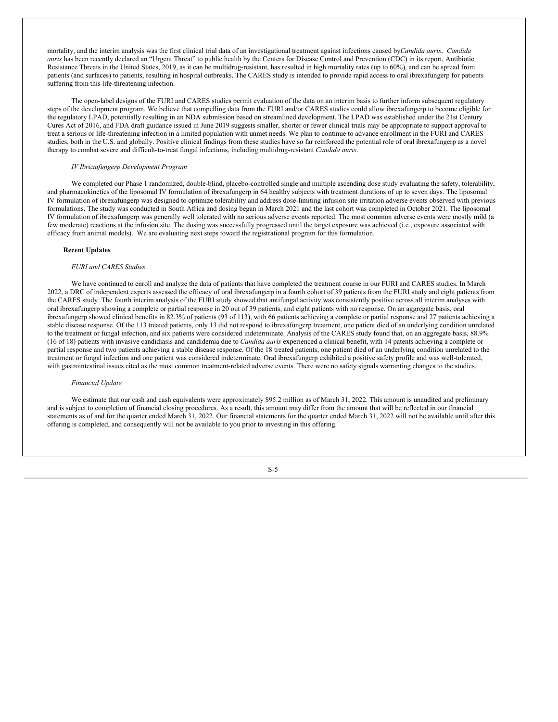mortality, and the interim analysis was the first clinical trial data of an investigational treatment against infections caused by*Candida auris*. *Candida auris* has been recently declared an "Urgent Threat" to public health by the Centers for Disease Control and Prevention (CDC) in its report, Antibiotic Resistance Threats in the United States, 2019, as it can be multidrug-resistant, has resulted in high mortality rates (up to 60%), and can be spread from patients (and surfaces) to patients, resulting in hospital outbreaks. The CARES study is intended to provide rapid access to oral ibrexafungerp for patients suffering from this life-threatening infection.

The open-label designs of the FURI and CARES studies permit evaluation of the data on an interim basis to further inform subsequent regulatory steps of the development program. We believe that compelling data from the FURI and/or CARES studies could allow ibrexafungerp to become eligible for the regulatory LPAD, potentially resulting in an NDA submission based on streamlined development. The LPAD was established under the 21st Century Cures Act of 2016, and FDA draft guidance issued in June 2019 suggests smaller, shorter or fewer clinical trials may be appropriate to support approval to treat a serious or life-threatening infection in a limited population with unmet needs. We plan to continue to advance enrollment in the FURI and CARES studies, both in the U.S. and globally. Positive clinical findings from these studies have so far reinforced the potential role of oral ibrexafungerp as a novel therapy to combat severe and difficult-to-treat fungal infections, including multidrug-resistant *Candida auris*.

#### *IV Ibrexafungerp Development Program*

We completed our Phase 1 randomized, double-blind, placebo-controlled single and multiple ascending dose study evaluating the safety, tolerability, and pharmacokinetics of the liposomal IV formulation of ibrexafungerp in 64 healthy subjects with treatment durations of up to seven days. The liposomal IV formulation of ibrexafungerp was designed to optimize tolerability and address dose-limiting infusion site irritation adverse events observed with previous formulations. The study was conducted in South Africa and dosing began in March 2021 and the last cohort was completed in October 2021. The liposomal IV formulation of ibrexafungerp was generally well tolerated with no serious adverse events reported. The most common adverse events were mostly mild (a few moderate) reactions at the infusion site. The dosing was successfully progressed until the target exposure was achieved (i.e., exposure associated with efficacy from animal models). We are evaluating next steps toward the registrational program for this formulation.

#### **Recent Updates**

#### *FURI and CARES Studies*

We have continued to enroll and analyze the data of patients that have completed the treatment course in our FURI and CARES studies. In March 2022, a DRC of independent experts assessed the efficacy of oral ibrexafungerp in a fourth cohort of 39 patients from the FURI study and eight patients from the CARES study. The fourth interim analysis of the FURI study showed that antifungal activity was consistently positive across all interim analyses with oral ibrexafungerp showing a complete or partial response in 20 out of 39 patients, and eight patients with no response. On an aggregate basis, oral ibrexafungerp showed clinical benefits in 82.3% of patients (93 of 113), with 66 patients achieving a complete or partial response and 27 patients achieving a stable disease response. Of the 113 treated patients, only 13 did not respond to ibrexafungerp treatment, one patient died of an underlying condition unrelated to the treatment or fungal infection, and six patients were considered indeterminate. Analysis of the CARES study found that, on an aggregate basis, 88.9% (16 of 18) patients with invasive candidiasis and candidemia due to *Candida auris* experienced a clinical benefit, with 14 patents achieving a complete or partial response and two patients achieving a stable disease response. Of the 18 treated patients, one patient died of an underlying condition unrelated to the treatment or fungal infection and one patient was considered indeterminate. Oral ibrexafungerp exhibited a positive safety profile and was well-tolerated, with gastrointestinal issues cited as the most common treatment-related adverse events. There were no safety signals warranting changes to the studies.

#### *Financial Update*

We estimate that our cash and cash equivalents were approximately \$95.2 million as of March 31, 2022. This amount is unaudited and preliminary and is subject to completion of financial closing procedures. As a result, this amount may differ from the amount that will be reflected in our financial statements as of and for the quarter ended March 31, 2022. Our financial statements for the quarter ended March 31, 2022 will not be available until after this offering is completed, and consequently will not be available to you prior to investing in this offering.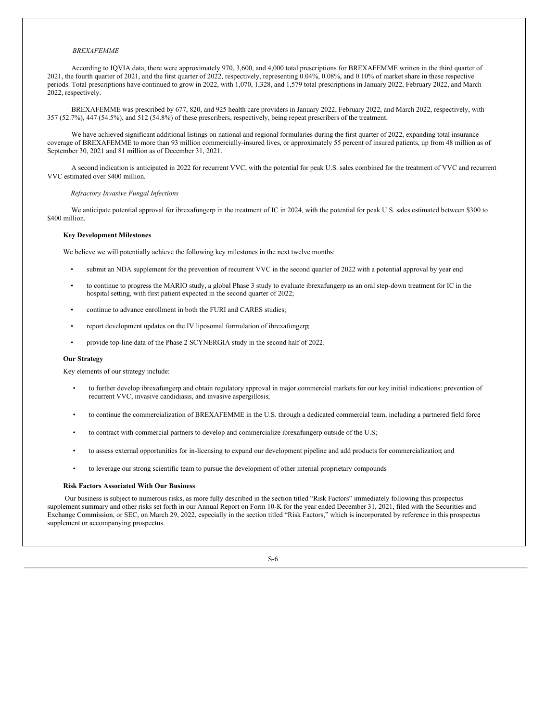#### *BREXAFEMME*

According to IQVIA data, there were approximately 970, 3,600, and 4,000 total prescriptions for BREXAFEMME written in the third quarter of 2021, the fourth quarter of 2021, and the first quarter of 2022, respectively, representing 0.04%, 0.08%, and 0.10% of market share in these respective periods. Total prescriptions have continued to grow in 2022, with 1,070, 1,328, and 1,579 total prescriptions in January 2022, February 2022, and March 2022, respectively.

BREXAFEMME was prescribed by 677, 820, and 925 health care providers in January 2022, February 2022, and March 2022, respectively, with 357 (52.7%), 447 (54.5%), and 512 (54.8%) of these prescribers, respectively, being repeat prescribers of the treatment.

We have achieved significant additional listings on national and regional formularies during the first quarter of 2022, expanding total insurance coverage of BREXAFEMME to more than 93 million commercially-insured lives, or approximately 55 percent of insured patients, up from 48 million as of September 30, 2021 and 81 million as of December 31, 2021.

A second indication is anticipated in 2022 for recurrent VVC, with the potential for peak U.S. sales combined for the treatment of VVC and recurrent VVC estimated over \$400 million.

#### *Refractory Invasive Fungal Infections*

We anticipate potential approval for ibrexafungerp in the treatment of IC in 2024, with the potential for peak U.S. sales estimated between \$300 to \$400 million.

#### **Key Development Milestones**

We believe we will potentially achieve the following key milestones in the next twelve months:

- submit an NDA supplement for the prevention of recurrent VVC in the second quarter of 2022 with a potential approval by year end
- to continue to progress the MARIO study, a global Phase 3 study to evaluate ibrexafungerp as an oral step-down treatment for IC in the hospital setting, with first patient expected in the second quarter of 2022;
- continue to advance enrollment in both the FURI and CARES studies;
- report development updates on the IV liposomal formulation of ibrexafungerp;
- provide top-line data of the Phase 2 SCYNERGIA study in the second half of 2022.

#### **Our Strategy**

Key elements of our strategy include:

- to further develop ibrexafungerp and obtain regulatory approval in major commercial markets for our key initial indications: prevention of recurrent VVC, invasive candidiasis, and invasive aspergillosis;
- to continue the commercialization of BREXAFEMME in the U.S. through a dedicated commercial team, including a partnered field force;
- to contract with commercial partners to develop and commercialize ibrexafungerp outside of the U.S.;
- to assess external opportunities for in-licensing to expand our development pipeline and add products for commercialization; and
- to leverage our strong scientific team to pursue the development of other internal proprietary compounds.

#### **Risk Factors Associated With Our Business**

Our business is subject to numerous risks, as more fully described in the section titled "Risk Factors" immediately following this prospectus supplement summary and other risks set forth in our Annual Report on Form 10-K for the year ended December 31, 2021, filed with the Securities and Exchange Commission, or SEC, on March 29, 2022, especially in the section titled "Risk Factors," which is incorporated by reference in this prospectus supplement or accompanying prospectus.

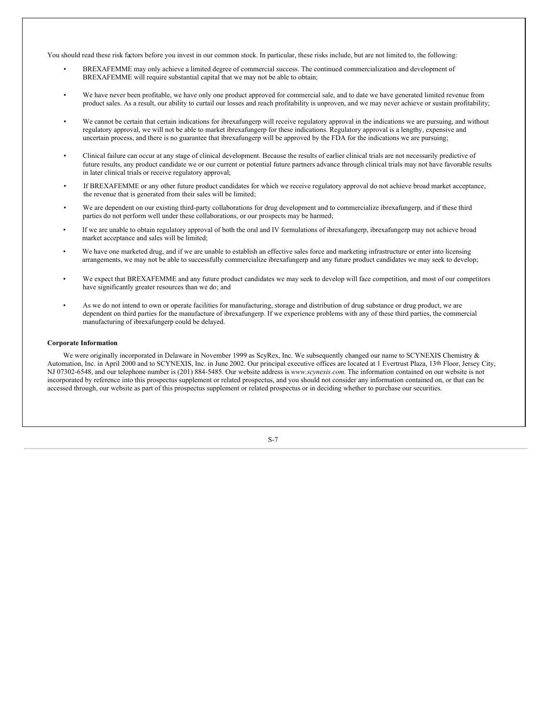You should read these risk factors before you invest in our common stock. In particular, these risks include, but are not limited to, the following:

- BREXAFEMME may only achieve a limited degree of commercial success. The continued commercialization and development of BREXAFEMME will require substantial capital that we may not be able to obtain;
- We have never been profitable, we have only one product approved for commercial sale, and to date we have generated limited revenue from product sales. As a result, our ability to curtail our losses and reach profitability is unproven, and we may never achieve or sustain profitability;
- We cannot be certain that certain indications for ibrexafungerp will receive regulatory approval in the indications we are pursuing, and without regulatory approval, we will not be able to market ibrexafungerp for these indications. Regulatory approval is a lengthy, expensive and uncertain process, and there is no guarantee that ibrexafungerp will be approved by the FDA for the indications we are pursuing;
- Clinical failure can occur at any stage of clinical development. Because the results of earlier clinical trials are not necessarily predictive of future results, any product candidate we or our current or potential future partners advance through clinical trials may not have favorable results in later clinical trials or receive regulatory approval;
- If BREXAFEMME or any other future product candidates for which we receive regulatory approval do not achieve broad market acceptance, the revenue that is generated from their sales will be limited;
- We are dependent on our existing third-party collaborations for drug development and to commercialize ibrexafungerp, and if these third parties do not perform well under these collaborations, or our prospects may be harmed;
- If we are unable to obtain regulatory approval of both the oral and IV formulations of ibrexafungerp, ibrexafungerp may not achieve broad market acceptance and sales will be limited;
- We have one marketed drug, and if we are unable to establish an effective sales force and marketing infrastructure or enter into licensing arrangements, we may not be able to successfully commercialize ibrexafungerp and any future product candidates we may seek to develop;
- We expect that BREXAFEMME and any future product candidates we may seek to develop will face competition, and most of our competitors have significantly greater resources than we do; and
- As we do not intend to own or operate facilities for manufacturing, storage and distribution of drug substance or drug product, we are dependent on third parties for the manufacture of ibrexafungerp. If we experience problems with any of these third parties, the commercial manufacturing of ibrexafungerp could be delayed.

#### **Corporate Information**

We were originally incorporated in Delaware in November 1999 as ScyRex, Inc. We subsequently changed our name to SCYNEXIS Chemistry & Automation, Inc. in April 2000 and to SCYNEXIS, Inc. in June 2002. Our principal executive offices are located at 1 Evertrust Plaza, 13th Floor, Jersey City, NJ 07302-6548, and our telephone number is (201) 884-5485. Our website address is *www.scynexis.com*. The information contained on our website is not incorporated by reference into this prospectus supplement or related prospectus, and you should not consider any information contained on, or that can be accessed through, our website as part of this prospectus supplement or related prospectus or in deciding whether to purchase our securities.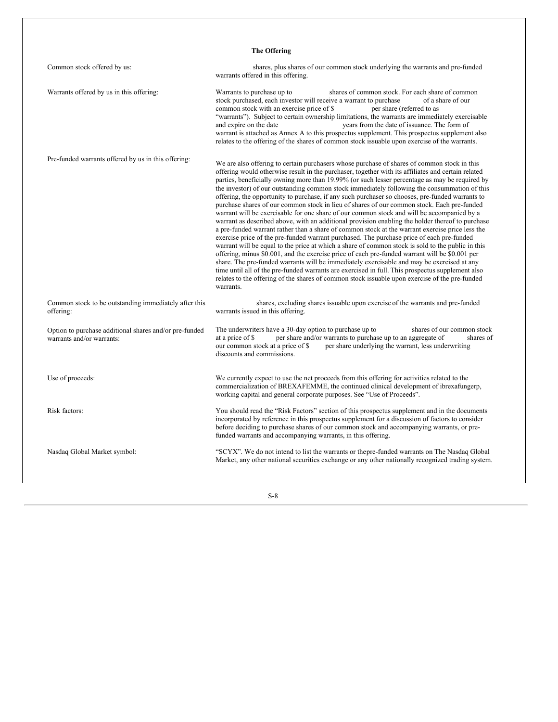# **The Offering**

| Common stock offered by us:                                                         | shares, plus shares of our common stock underlying the warrants and pre-funded<br>warrants offered in this offering.                                                                                                                                                                                                                                                                                                                                                                                                                                                                                                                                                                                                                                                                                                                                                                                                                                                                                                                                                                                                                                                                                                                                                                                                                                                                                                                                                                                                           |
|-------------------------------------------------------------------------------------|--------------------------------------------------------------------------------------------------------------------------------------------------------------------------------------------------------------------------------------------------------------------------------------------------------------------------------------------------------------------------------------------------------------------------------------------------------------------------------------------------------------------------------------------------------------------------------------------------------------------------------------------------------------------------------------------------------------------------------------------------------------------------------------------------------------------------------------------------------------------------------------------------------------------------------------------------------------------------------------------------------------------------------------------------------------------------------------------------------------------------------------------------------------------------------------------------------------------------------------------------------------------------------------------------------------------------------------------------------------------------------------------------------------------------------------------------------------------------------------------------------------------------------|
| Warrants offered by us in this offering:                                            | Warrants to purchase up to<br>shares of common stock. For each share of common<br>stock purchased, each investor will receive a warrant to purchase<br>of a share of our<br>common stock with an exercise price of \$<br>per share (referred to as<br>"warrants"). Subject to certain ownership limitations, the warrants are immediately exercisable<br>and expire on the date<br>years from the date of issuance. The form of<br>warrant is attached as Annex A to this prospectus supplement. This prospectus supplement also<br>relates to the offering of the shares of common stock issuable upon exercise of the warrants.                                                                                                                                                                                                                                                                                                                                                                                                                                                                                                                                                                                                                                                                                                                                                                                                                                                                                              |
| Pre-funded warrants offered by us in this offering:                                 | We are also offering to certain purchasers whose purchase of shares of common stock in this<br>offering would otherwise result in the purchaser, together with its affiliates and certain related<br>parties, beneficially owning more than 19.99% (or such lesser percentage as may be required by<br>the investor) of our outstanding common stock immediately following the consummation of this<br>offering, the opportunity to purchase, if any such purchaser so chooses, pre-funded warrants to<br>purchase shares of our common stock in lieu of shares of our common stock. Each pre-funded<br>warrant will be exercisable for one share of our common stock and will be accompanied by a<br>warrant as described above, with an additional provision enabling the holder thereof to purchase<br>a pre-funded warrant rather than a share of common stock at the warrant exercise price less the<br>exercise price of the pre-funded warrant purchased. The purchase price of each pre-funded<br>warrant will be equal to the price at which a share of common stock is sold to the public in this<br>offering, minus \$0.001, and the exercise price of each pre-funded warrant will be \$0.001 per<br>share. The pre-funded warrants will be immediately exercisable and may be exercised at any<br>time until all of the pre-funded warrants are exercised in full. This prospectus supplement also<br>relates to the offering of the shares of common stock issuable upon exercise of the pre-funded<br>warrants. |
| Common stock to be outstanding immediately after this<br>offering:                  | shares, excluding shares is suable upon exercise of the warrants and pre-funded<br>warrants issued in this offering.                                                                                                                                                                                                                                                                                                                                                                                                                                                                                                                                                                                                                                                                                                                                                                                                                                                                                                                                                                                                                                                                                                                                                                                                                                                                                                                                                                                                           |
| Option to purchase additional shares and/or pre-funded<br>warrants and/or warrants: | The underwriters have a 30-day option to purchase up to<br>shares of our common stock<br>per share and/or warrants to purchase up to an aggregate of<br>at a price of \$<br>shares of<br>our common stock at a price of \$<br>per share underlying the warrant, less underwriting<br>discounts and commissions.                                                                                                                                                                                                                                                                                                                                                                                                                                                                                                                                                                                                                                                                                                                                                                                                                                                                                                                                                                                                                                                                                                                                                                                                                |
| Use of proceeds:                                                                    | We currently expect to use the net proceeds from this offering for activities related to the<br>commercialization of BREXAFEMME, the continued clinical development of ibrexafungerp,<br>working capital and general corporate purposes. See "Use of Proceeds".                                                                                                                                                                                                                                                                                                                                                                                                                                                                                                                                                                                                                                                                                                                                                                                                                                                                                                                                                                                                                                                                                                                                                                                                                                                                |
| Risk factors:                                                                       | You should read the "Risk Factors" section of this prospectus supplement and in the documents<br>incorporated by reference in this prospectus supplement for a discussion of factors to consider<br>before deciding to purchase shares of our common stock and accompanying warrants, or pre-<br>funded warrants and accompanying warrants, in this offering.                                                                                                                                                                                                                                                                                                                                                                                                                                                                                                                                                                                                                                                                                                                                                                                                                                                                                                                                                                                                                                                                                                                                                                  |
| Nasdaq Global Market symbol:                                                        | "SCYX". We do not intend to list the warrants or thepre-funded warrants on The Nasdaq Global<br>Market, any other national securities exchange or any other nationally recognized trading system.                                                                                                                                                                                                                                                                                                                                                                                                                                                                                                                                                                                                                                                                                                                                                                                                                                                                                                                                                                                                                                                                                                                                                                                                                                                                                                                              |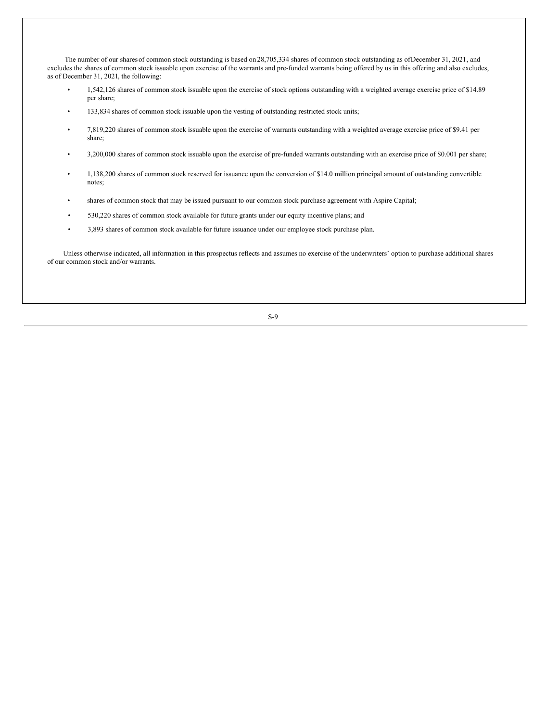The number of our sharesof common stock outstanding is based on 28,705,334 shares of common stock outstanding as ofDecember 31, 2021, and excludes the shares of common stock issuable upon exercise of the warrants and pre-funded warrants being offered by us in this offering and also excludes, as of December 31, 2021, the following:

- 1,542,126 shares of common stock issuable upon the exercise of stock options outstanding with a weighted average exercise price of \$14.89 per share;
- 133,834 shares of common stock issuable upon the vesting of outstanding restricted stock units;
- 7,819,220 shares of common stock issuable upon the exercise of warrants outstanding with a weighted average exercise price of \$9.41 per share;
- 3,200,000 shares of common stock issuable upon the exercise of pre-funded warrants outstanding with an exercise price of \$0.001 per share;
- 1,138,200 shares of common stock reserved for issuance upon the conversion of \$14.0 million principal amount of outstanding convertible notes;
- shares of common stock that may be issued pursuant to our common stock purchase agreement with Aspire Capital;
- 530,220 shares of common stock available for future grants under our equity incentive plans; and
- 3,893 shares of common stock available for future issuance under our employee stock purchase plan.

Unless otherwise indicated, all information in this prospectus reflects and assumes no exercise of the underwriters' option to purchase additional shares of our common stock and/or warrants.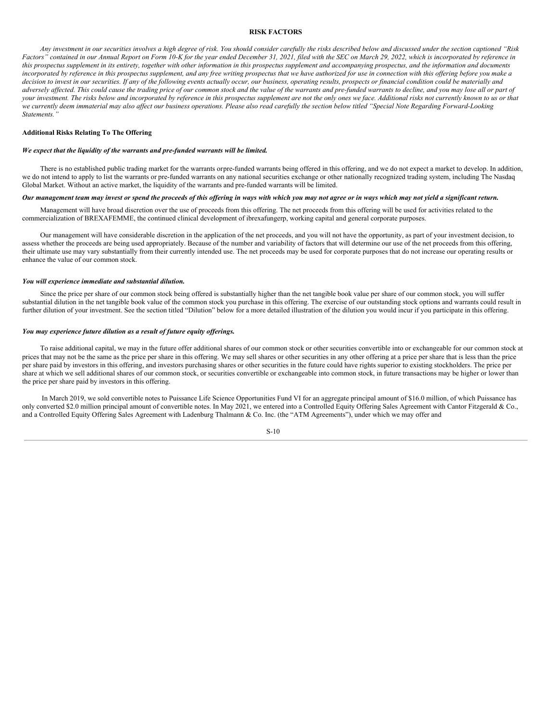#### <span id="page-12-0"></span>**RISK FACTORS**

Any investment in our securities involves a high degree of risk. You should consider carefully the risks described below and discussed under the section captioned "Risk Factors" contained in our Annual Report on Form 10-K for the year ended December 31, 2021, filed with the SEC on March 29, 2022, which is incorporated by reference in this prospectus supplement in its entirety, together with other information in this prospectus supplement and accompanying prospectus, and the information and documents incorporated by reference in this prospectus supplement, and any free writing prospectus that we have authorized for use in connection with this offering before you make a decision to invest in our securities. If any of the following events actually occur, our business, operating results, prospects or financial condition could be materially and adversely affected. This could cause the trading price of our common stock and the value of the warrants and pre-funded warrants to decline, and you may lose all or part of your investment. The risks below and incorporated by reference in this prospectus supplement are not the only ones we face. Additional risks not currently known to us or that we currently deem immaterial may also affect our business operations. Please also read carefully the section below titled "Special Note Regarding Forward-Looking *Statements."*

#### **Additional Risks Relating To The Offering**

#### *We expect that the liquidity of the warrants and pre-funded warrants will be limited.*

There is no established public trading market for the warrants orpre-funded warrants being offered in this offering, and we do not expect a market to develop. In addition, we do not intend to apply to list the warrants or pre-funded warrants on any national securities exchange or other nationally recognized trading system, including The Nasdaq Global Market. Without an active market, the liquidity of the warrants and pre-funded warrants will be limited.

#### Our management team may invest or spend the proceeds of this offering in ways with which you may not agree or in ways which may not yield a significant return.

Management will have broad discretion over the use of proceeds from this offering. The net proceeds from this offering will be used for activities related to the commercialization of BREXAFEMME, the continued clinical development of ibrexafungerp, working capital and general corporate purposes.

Our management will have considerable discretion in the application of the net proceeds, and you will not have the opportunity, as part of your investment decision, to assess whether the proceeds are being used appropriately. Because of the number and variability of factors that will determine our use of the net proceeds from this offering, their ultimate use may vary substantially from their currently intended use. The net proceeds may be used for corporate purposes that do not increase our operating results or enhance the value of our common stock.

#### *You will experience immediate and substantial dilution.*

Since the price per share of our common stock being offered is substantially higher than the net tangible book value per share of our common stock, you will suffer substantial dilution in the net tangible book value of the common stock you purchase in this offering. The exercise of our outstanding stock options and warrants could result in further dilution of your investment. See the section titled "Dilution" below for a more detailed illustration of the dilution you would incur if you participate in this offering.

#### *You may experience future dilution as a result of future equity of erings.*

To raise additional capital, we may in the future offer additional shares of our common stock or other securities convertible into or exchangeable for our common stock at prices that may not be the same as the price per share in this offering. We may sell shares or other securities in any other offering at a price per share that is less than the price per share paid by investors in this offering, and investors purchasing shares or other securities in the future could have rights superior to existing stockholders. The price per share at which we sell additional shares of our common stock, or securities convertible or exchangeable into common stock, in future transactions may be higher or lower than the price per share paid by investors in this offering.

In March 2019, we sold convertible notes to Puissance Life Science Opportunities Fund VI for an aggregate principal amount of \$16.0 million, of which Puissance has only converted \$2.0 million principal amount of convertible notes. In May 2021, we entered into a Controlled Equity Offering Sales Agreement with Cantor Fitzgerald & Co., and a Controlled Equity Offering Sales Agreement with Ladenburg Thalmann & Co. Inc. (the "ATM Agreements"), under which we may offer and

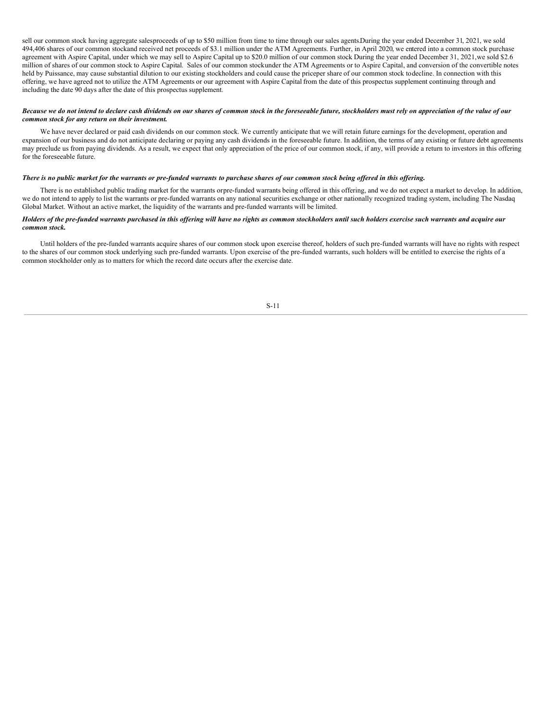sell our common stock having aggregate salesproceeds of up to \$50 million from time to time through our sales agents.During the year ended December 31, 2021, we sold 494,406 shares of our common stockand received net proceeds of \$3.1 million under the ATM Agreements. Further, in April 2020, we entered into a common stock purchase agreement with Aspire Capital, under which we may sell to Aspire Capital up to \$20.0 million of our common stock. During the year ended December 31, 2021,we sold \$2.6 million of shares of our common stock to Aspire Capital. Sales of our common stockunder the ATM Agreements or to Aspire Capital, and conversion of the convertible notes held by Puissance, may cause substantial dilution to our existing stockholders and could cause the priceper share of our common stock todecline. In connection with this offering, we have agreed not to utilize the ATM Agreements or our agreement with Aspire Capital from the date of this prospectus supplement continuing through and including the date 90 days after the date of this prospectus supplement.

#### Because we do not intend to declare cash dividends on our shares of common stock in the foreseeable future, stockholders must rely on appreciation of the value of our *common stock for any return on their investment.*

We have never declared or paid cash dividends on our common stock. We currently anticipate that we will retain future earnings for the development, operation and expansion of our business and do not anticipate declaring or paying any cash dividends in the foreseeable future. In addition, the terms of any existing or future debt agreements may preclude us from paying dividends. As a result, we expect that only appreciation of the price of our common stock, if any, will provide a return to investors in this offering for the foreseeable future.

#### There is no public market for the warrants or pre-funded warrants to purchase shares of our common stock being offered in this offering.

There is no established public trading market for the warrants orpre-funded warrants being offered in this offering, and we do not expect a market to develop. In addition, we do not intend to apply to list the warrants or pre-funded warrants on any national securities exchange or other nationally recognized trading system, including The Nasdaq Global Market. Without an active market, the liquidity of the warrants and pre-funded warrants will be limited.

#### Holders of the pre-funded warrants purchased in this offering will have no rights as common stockholders until such holders exercise such warrants and acquire our *common stock.*

Until holders of the pre-funded warrants acquire shares of our common stock upon exercise thereof, holders of such pre-funded warrants will have no rights with respect to the shares of our common stock underlying such pre-funded warrants. Upon exercise of the pre-funded warrants, such holders will be entitled to exercise the rights of a common stockholder only as to matters for which the record date occurs after the exercise date.

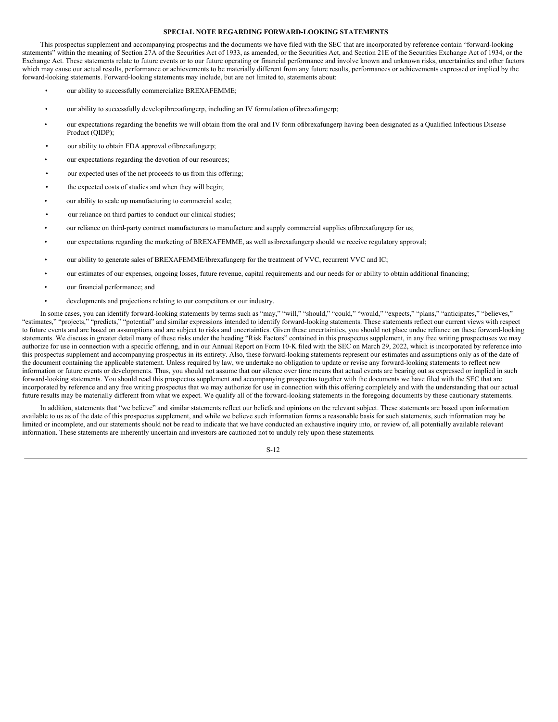#### <span id="page-14-0"></span>**SPECIAL NOTE REGARDING FORWARD-LOOKING STATEMENTS**

This prospectus supplement and accompanying prospectus and the documents we have filed with the SEC that are incorporated by reference contain "forward-looking statements" within the meaning of Section 27A of the Securities Act of 1933, as amended, or the Securities Act, and Section 21E of the Securities Exchange Act of 1934, or the Exchange Act. These statements relate to future events or to our future operating or financial performance and involve known and unknown risks, uncertainties and other factors which may cause our actual results, performance or achievements to be materially different from any future results, performances or achievements expressed or implied by the forward-looking statements. Forward-looking statements may include, but are not limited to, statements about:

- our ability to successfully commercialize BREXAFEMME;
- our ability to successfully developibrexafungerp, including an IV formulation ofibrexafungerp;
- our expectations regarding the benefits we will obtain from the oral and IV form ofibrexafungerp having been designated as a Qualified Infectious Disease Product (QIDP);
- our ability to obtain FDA approval ofibrexafungerp;
- our expectations regarding the devotion of our resources;
- our expected uses of the net proceeds to us from this offering;
- the expected costs of studies and when they will begin;
- our ability to scale up manufacturing to commercial scale;
- our reliance on third parties to conduct our clinical studies;
- our reliance on third-party contract manufacturers to manufacture and supply commercial supplies ofibrexafungerp for us;
- our expectations regarding the marketing of BREXAFEMME, as well asibrexafungerp should we receive regulatory approval;
- our ability to generate sales of BREXAFEMME/ibrexafungerp for the treatment of VVC, recurrent VVC and IC;
- our estimates of our expenses, ongoing losses, future revenue, capital requirements and our needs for or ability to obtain additional financing;
- our financial performance; and
- developments and projections relating to our competitors or our industry.

In some cases, you can identify forward-looking statements by terms such as "may," "will," "should," "could," "would," "expects," "plans," "anticipates," "believes," "estimates," "projects," "predicts," "potential" and similar expressions intended to identify forward-looking statements. These statements reflect our current views with respect to future events and are based on assumptions and are subject to risks and uncertainties. Given these uncertainties, you should not place undue reliance on these forward-looking statements. We discuss in greater detail many of these risks under the heading "Risk Factors" contained in this prospectus supplement, in any free writing prospectuses we may authorize for use in connection with a specific offering, and in our Annual Report on Form 10-K filed with the SEC on March 29, 2022, which is incorporated by reference into this prospectus supplement and accompanying prospectus in its entirety. Also, these forward-looking statements represent our estimates and assumptions only as of the date of the document containing the applicable statement. Unless required by law, we undertake no obligation to update or revise any forward-looking statements to reflect new information or future events or developments. Thus, you should not assume that our silence over time means that actual events are bearing out as expressed or implied in such forward-looking statements. You should read this prospectus supplement and accompanying prospectus together with the documents we have filed with the SEC that are incorporated by reference and any free writing prospectus that we may authorize for use in connection with this offering completely and with the understanding that our actual future results may be materially different from what we expect. We qualify all of the forward-looking statements in the foregoing documents by these cautionary statements.

In addition, statements that "we believe" and similar statements reflect our beliefs and opinions on the relevant subject. These statements are based upon information available to us as of the date of this prospectus supplement, and while we believe such information forms a reasonable basis for such statements, such information may be limited or incomplete, and our statements should not be read to indicate that we have conducted an exhaustive inquiry into, or review of, all potentially available relevant information. These statements are inherently uncertain and investors are cautioned not to unduly rely upon these statements.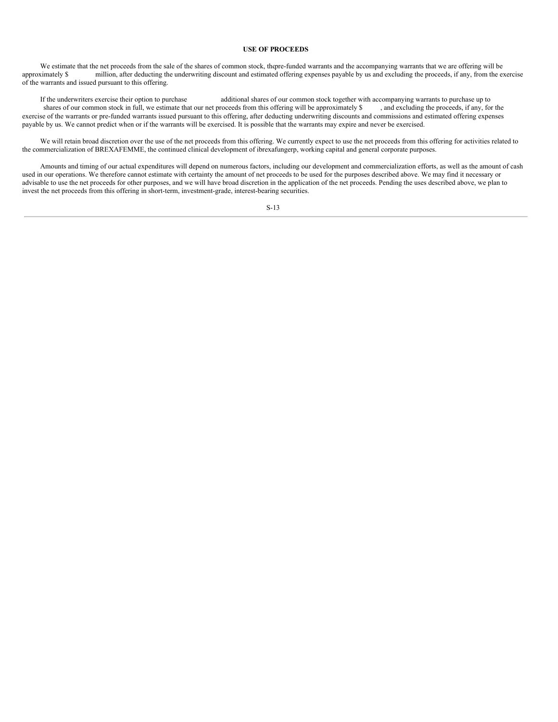# <span id="page-15-0"></span>**USE OF PROCEEDS**

We estimate that the net proceeds from the sale of the shares of common stock, thepre-funded warrants and the accompanying warrants that we are offering will be approximately \$ million, after deducting the underwriting dis million, after deducting the underwriting discount and estimated offering expenses payable by us and excluding the proceeds, if any, from the exercise of the warrants and issued pursuant to this offering.

If the underwriters exercise their option to purchase additional shares of our common stock together with accompanying warrants to purchase up to shares of our common stock in full, we estimate that our net proceeds from this offering will be approximately \$, and excluding the proceeds, if any, for the exercise of the warrants or pre-funded warrants issued pursuant to this offering, after deducting underwriting discounts and commissions and estimated offering expenses payable by us. We cannot predict when or if the warrants will be exercised. It is possible that the warrants may expire and never be exercised.

We will retain broad discretion over the use of the net proceeds from this offering. We currently expect to use the net proceeds from this offering for activities related to the commercialization of BREXAFEMME, the continued clinical development of ibrexafungerp, working capital and general corporate purposes.

Amounts and timing of our actual expenditures will depend on numerous factors, including our development and commercialization efforts, as well as the amount of cash used in our operations. We therefore cannot estimate with certainty the amount of net proceeds to be used for the purposes described above. We may find it necessary or advisable to use the net proceeds for other purposes, and we will have broad discretion in the application of the net proceeds. Pending the uses described above, we plan to invest the net proceeds from this offering in short-term, investment-grade, interest-bearing securities.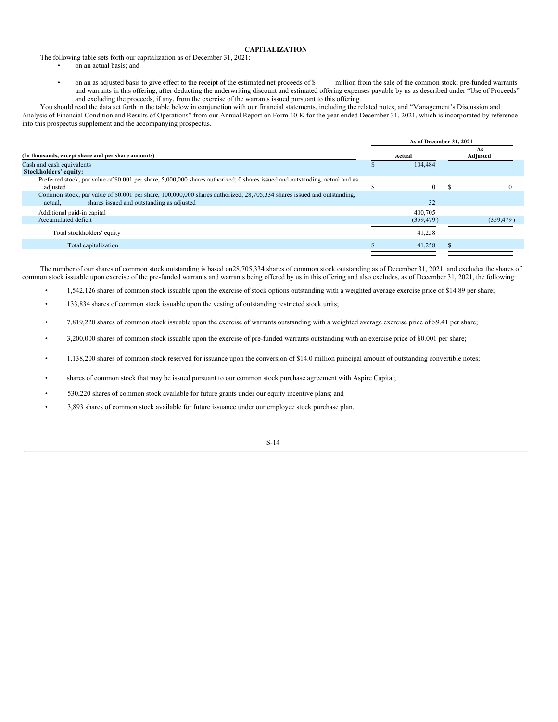# <span id="page-16-0"></span>**CAPITALIZATION**

The following table sets forth our capitalization as of December 31, 2021:

- on an actual basis; and
- on an as adjusted basis to give effect to the receipt of the estimated net proceeds of \$ million from the sale of the common stock, pre-funded warrants and warrants in this offering, after deducting the underwriting discount and estimated offering expenses payable by us as described under "Use of Proceeds" and excluding the proceeds, if any, from the exercise of the warrants issued pursuant to this offering.

You should read the data set forth in the table below in conjunction with our financial statements, including the related notes, and "Management's Discussion and Analysis of Financial Condition and Results of Operations" from our Annual Report on Form 10-K for the year ended December 31, 2021, which is incorporated by reference into this prospectus supplement and the accompanying prospectus.

|                                                                                                                                                                                | As of December 31, 2021 |                   |    |                |
|--------------------------------------------------------------------------------------------------------------------------------------------------------------------------------|-------------------------|-------------------|----|----------------|
| (In thousands, except share and per share amounts)<br>Cash and cash equivalents<br><b>Stockholders' equity:</b>                                                                |                         | Actual<br>104.484 |    | As<br>Adjusted |
| Preferred stock, par value of \$0.001 per share, 5,000,000 shares authorized; 0 shares issued and outstanding, actual and as<br>adjusted                                       |                         | $\Omega$          | -S | $\Omega$       |
| Common stock, par value of \$0.001 per share, 100,000,000 shares authorized; 28,705,334 shares issued and outstanding,<br>shares issued and outstanding as adjusted<br>actual, |                         | 32                |    |                |
| Additional paid-in capital                                                                                                                                                     |                         | 400,705           |    |                |
| Accumulated deficit                                                                                                                                                            |                         | (359, 479)        |    | (359.479)      |
| Total stockholders' equity                                                                                                                                                     |                         | 41,258            |    |                |
| Total capitalization                                                                                                                                                           |                         | 41.258            |    |                |

The number of our shares of common stock outstanding is based on28,705,334 shares of common stock outstanding as of December 31, 2021, and excludes the shares of common stock issuable upon exercise of the pre-funded warrants and warrants being offered by us in this offering and also excludes, as of December 31, 2021, the following:

- 1,542,126 shares of common stock issuable upon the exercise of stock options outstanding with a weighted average exercise price of \$14.89 per share;
- 133,834 shares of common stock issuable upon the vesting of outstanding restricted stock units;
- 7,819,220 shares of common stock issuable upon the exercise of warrants outstanding with a weighted average exercise price of \$9.41 per share;
- 3,200,000 shares of common stock issuable upon the exercise of pre-funded warrants outstanding with an exercise price of \$0.001 per share;
- 1,138,200 shares of common stock reserved for issuance upon the conversion of \$14.0 million principal amount of outstanding convertible notes;
- shares of common stock that may be issued pursuant to our common stock purchase agreement with Aspire Capital;
- 530,220 shares of common stock available for future grants under our equity incentive plans; and
- 3,893 shares of common stock available for future issuance under our employee stock purchase plan.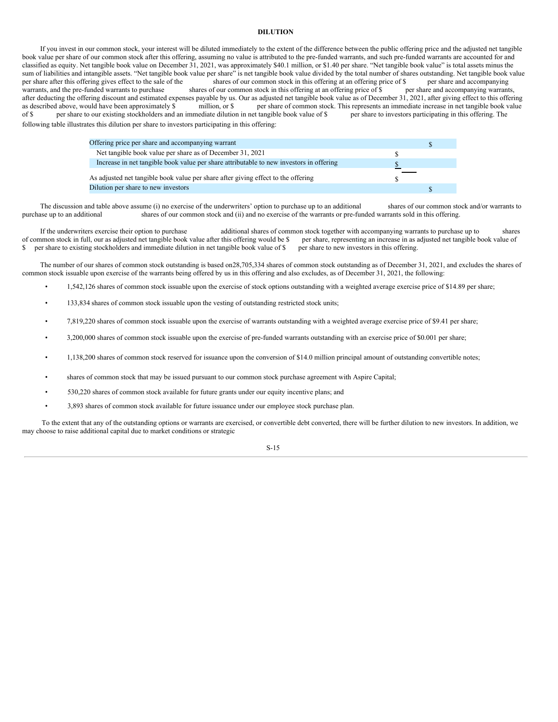# <span id="page-17-0"></span>**DILUTION**

If you invest in our common stock, your interest will be diluted immediately to the extent of the difference between the public offering price and the adjusted net tangible book value per share of our common stock after this offering, assuming no value is attributed to the pre-funded warrants, and such pre-funded warrants are accounted for and classified as equity. Net tangible book value on December 31, 2021, was approximately \$40.1 million, or \$1.40 per share. "Net tangible book value" is total assets minus the sum of liabilities and intangible assets. "Net tangible book value per share" is net tangible book value divided by the total number of shares outstanding. Net tangible book value per share after this offering gives effect to the sale of the shares of our common stock in this offering at an offering price of \$ per share and accompanying warrants, and the pre-funded warrants to purchase shares of our warrants, and the pre-funded warrants to purchase shares of our common stock in this offering at an offering price of \$ after deducting the offering discount and estimated expenses payable by us. Our as adjusted net tangible book value as of December 31, 2021, after giving effect to this offering as described above, would have been approximately \$ million, or \$ per share of common stock. This represents an immediate increase in net tangible book value of \$ per share to our existing stockholders and an immediate dilution in net tangible book value of \$ per share to investors participating in this offering. The following table illustrates this dilution per share to investors participating in this offering:

| Offering price per share and accompanying warrant                                       |  |
|-----------------------------------------------------------------------------------------|--|
| Net tangible book value per share as of December 31, 2021                               |  |
| Increase in net tangible book value per share attributable to new investors in offering |  |
| As adjusted net tangible book value per share after giving effect to the offering       |  |
| Dilution per share to new investors                                                     |  |

The discussion and table above assume (i) no exercise of the underwriters' option to purchase up to an additional shares of our common stock and/or warrants to shares of our common stock and (ii) and no exercise of the war shares of our common stock and (ii) and no exercise of the warrants or pre-funded warrants sold in this offering.

If the underwriters exercise their option to purchase additional shares of common stock together with accompanying warrants to purchase up to shares of common stock in full, our as adjusted net tangible book value after this offering would be \$ per share, representing an increase in as adjusted net tangible book value of per share to existing stockholders and immediate dilution in net tangible book value of \$ per share to new investors in this offering.

The number of our shares of common stock outstanding is based on28,705,334 shares of common stock outstanding as of December 31, 2021, and excludes the shares of common stock issuable upon exercise of the warrants being offered by us in this offering and also excludes, as of December 31, 2021, the following:

- 1,542,126 shares of common stock issuable upon the exercise of stock options outstanding with a weighted average exercise price of \$14.89 per share;
- 133,834 shares of common stock issuable upon the vesting of outstanding restricted stock units;
- 7,819,220 shares of common stock issuable upon the exercise of warrants outstanding with a weighted average exercise price of \$9.41 per share;
- 3,200,000 shares of common stock issuable upon the exercise of pre-funded warrants outstanding with an exercise price of \$0.001 per share;
- 1,138,200 shares of common stock reserved for issuance upon the conversion of \$14.0 million principal amount of outstanding convertible notes;
- shares of common stock that may be issued pursuant to our common stock purchase agreement with Aspire Capital;
- 530,220 shares of common stock available for future grants under our equity incentive plans; and
- 3,893 shares of common stock available for future issuance under our employee stock purchase plan.

To the extent that any of the outstanding options or warrants are exercised, or convertible debt converted, there will be further dilution to new investors. In addition, we may choose to raise additional capital due to market conditions or strategic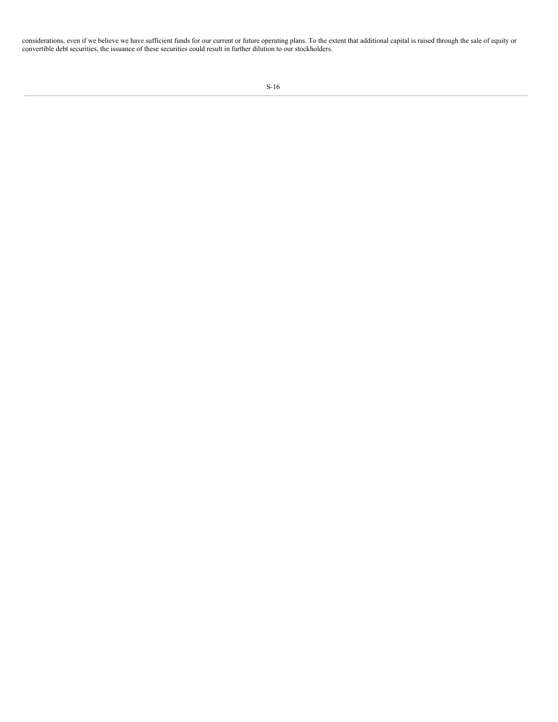considerations, even if we believe we have sufficient funds for our current or future operating plans. To the extent that additional capital is raised through the sale of equity or convertible debt securities, the issuance of these securities could result in further dilution to our stockholders.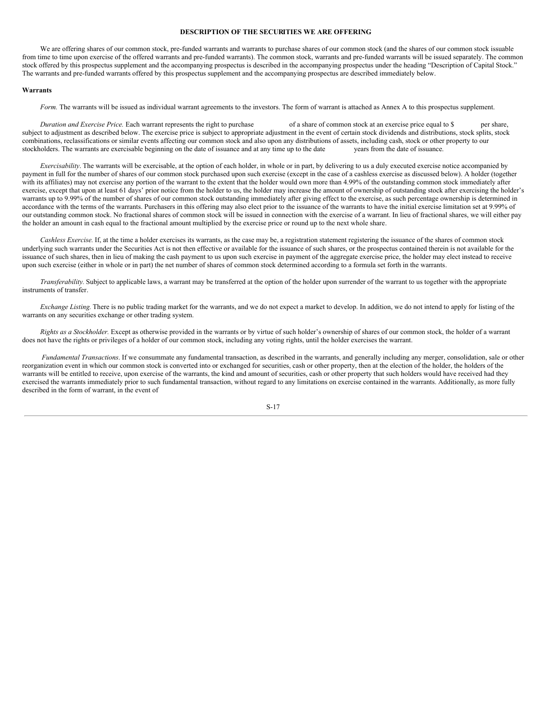# <span id="page-19-0"></span>**DESCRIPTION OF THE SECURITIES WE ARE OFFERING**

We are offering shares of our common stock, pre-funded warrants and warrants to purchase shares of our common stock (and the shares of our common stock issuable from time to time upon exercise of the offered warrants and pre-funded warrants). The common stock, warrants and pre-funded warrants will be issued separately. The common stock offered by this prospectus supplement and the accompanying prospectus is described in the accompanying prospectus under the heading "Description of Capital Stock." The warrants and pre-funded warrants offered by this prospectus supplement and the accompanying prospectus are described immediately below.

#### **Warrants**

*Form.* The warrants will be issued as individual warrant agreements to the investors. The form of warrant is attached as Annex A to this prospectus supplement.

*Duration and Exercise Price*. Each warrant represents the right to purchase of a share of common stock at an exercise price equal to \$ per share, subject to adjustment as described below. The exercise price is subject to appropriate adjustment in the event of certain stock dividends and distributions, stock splits, stock combinations, reclassifications or similar events affecting our common stock and also upon any distributions of assets, including cash, stock or other property to our stockholders. The warrants are exercisable beginning on stockholders. The warrants are exercisable beginning on the date of issuance and at any time up to the date

*Exercisability*. The warrants will be exercisable, at the option of each holder, in whole or in part, by delivering to us a duly executed exercise notice accompanied by payment in full for the number of shares of our common stock purchased upon such exercise (except in the case of a cashless exercise as discussed below). A holder (together with its affiliates) may not exercise any portion of the warrant to the extent that the holder would own more than 4.99% of the outstanding common stock immediately after exercise, except that upon at least 61 days' prior notice from the holder to us, the holder may increase the amount of ownership of outstanding stock after exercising the holder's warrants up to 9.99% of the number of shares of our common stock outstanding immediately after giving effect to the exercise, as such percentage ownership is determined in accordance with the terms of the warrants. Purchasers in this offering may also elect prior to the issuance of the warrants to have the initial exercise limitation set at 9.99% of our outstanding common stock. No fractional shares of common stock will be issued in connection with the exercise of a warrant. In lieu of fractional shares, we will either pay the holder an amount in cash equal to the fractional amount multiplied by the exercise price or round up to the next whole share.

*Cashless Exercise.* If, at the time a holder exercises its warrants, as the case may be, a registration statement registering the issuance of the shares of common stock underlying such warrants under the Securities Act is not then effective or available for the issuance of such shares, or the prospectus contained therein is not available for the issuance of such shares, then in lieu of making the cash payment to us upon such exercise in payment of the aggregate exercise price, the holder may elect instead to receive upon such exercise (either in whole or in part) the net number of shares of common stock determined according to a formula set forth in the warrants.

*Transferability.* Subject to applicable laws, a warrant may be transferred at the option of the holder upon surrender of the warrant to us together with the appropriate instruments of transfer.

*Exchange Listing.* There is no public trading market for the warrants, and we do not expect a market to develop. In addition, we do not intend to apply for listing of the warrants on any securities exchange or other trading system.

*Rights as a Stockholder.* Except as otherwise provided in the warrants or by virtue of such holder's ownership of shares of our common stock, the holder of a warrant does not have the rights or privileges of a holder of our common stock, including any voting rights, until the holder exercises the warrant.

*Fundamental Transactions*. If we consummate any fundamental transaction, as described in the warrants, and generally including any merger, consolidation, sale or other reorganization event in which our common stock is converted into or exchanged for securities, cash or other property, then at the election of the holder, the holders of the warrants will be entitled to receive, upon exercise of the warrants, the kind and amount of securities, cash or other property that such holders would have received had they exercised the warrants immediately prior to such fundamental transaction, without regard to any limitations on exercise contained in the warrants. Additionally, as more fully described in the form of warrant, in the event of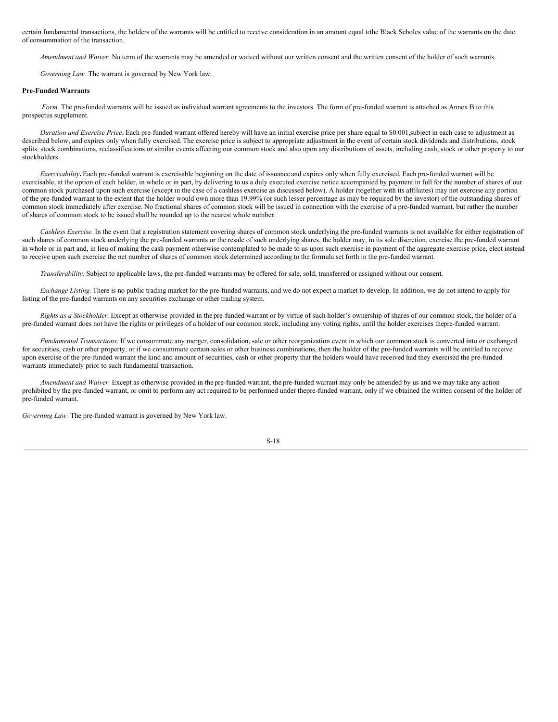certain fundamental transactions, the holders of the warrants will be entitled to receive consideration in an amount equal tothe Black Scholes value of the warrants on the date of consummation of the transaction.

*Amendment and Waiver.* No term of the warrants may be amended or waived without our written consent and the written consent of the holder of such warrants.

*Governing Law.* The warrant is governed by New York law.

#### **Pre-Funded Warrants**

*Form.* The pre-funded warrants will be issued as individual warrant agreements to the investors. The form of pre-funded warrant is attached as Annex B to this prospectus supplement.

*Duration and Exercise Price***.** Each pre-funded warrant offered hereby will have an initial exercise price per share equal to \$0.001,subject in each case to adjustment as described below, and expires only when fully exercised. The exercise price is subject to appropriate adjustment in the event of certain stock dividends and distributions, stock splits, stock combinations, reclassifications or similar events affecting our common stock and also upon any distributions of assets, including cash, stock or other property to our stockholders.

*Exercisability***.** Each pre-funded warrant is exercisable beginning on the date of issuance and expires only when fully exercised. Each pre-funded warrant will be exercisable, at the option of each holder, in whole or in part, by delivering to us a duly executed exercise notice accompanied by payment in full for the number of shares of our common stock purchased upon such exercise (except in the case of a cashless exercise as discussed below). A holder (together with its affiliates) may not exercise any portion of the pre-funded warrant to the extent that the holder would own more than 19.99% (or such lesser percentage as may be required by the investor) of the outstanding shares of common stock immediately after exercise. No fractional shares of common stock will be issued in connection with the exercise of a pre-funded warrant, but rather the number of shares of common stock to be issued shall be rounded up to the nearest whole number.

*Cashless Exercise.* In the event that a registration statement covering shares of common stock underlying the pre-funded warrants is not available for either registration of such shares of common stock underlying the pre-funded warrants or the resale of such underlying shares, the holder may, in its sole discretion, exercise the pre-funded warrant in whole or in part and, in lieu of making the cash payment otherwise contemplated to be made to us upon such exercise in payment of the aggregate exercise price, elect instead to receive upon such exercise the net number of shares of common stock determined according to the formula set forth in the pre-funded warrant.

*Transferability.* Subject to applicable laws, the pre-funded warrants may be offered for sale, sold, transferred or assigned without our consent.

*Exchange Listing.* There is no public trading market for the pre-funded warrants, and we do not expect a market to develop. In addition, we do not intend to apply for listing of the pre-funded warrants on any securities exchange or other trading system.

*Rights as a Stockholder.* Except as otherwise provided in the pre-funded warrant or by virtue of such holder's ownership of shares of our common stock, the holder of a pre-funded warrant does not have the rights or privileges of a holder of our common stock, including any voting rights, until the holder exercises thepre-funded warrant.

*Fundamental Transactions*. If we consummate any merger, consolidation, sale or other reorganization event in which our common stock is converted into or exchanged for securities, cash or other property, or if we consummate certain sales or other business combinations, then the holder of the pre-funded warrants will be entitled to receive upon exercise of the pre-funded warrant the kind and amount of securities, cash or other property that the holders would have received had they exercised the pre-funded warrants immediately prior to such fundamental transaction.

*Amendment and Waiver.* Except as otherwise provided in the pre-funded warrant, the pre-funded warrant may only be amended by us and we may take any action prohibited by the pre-funded warrant, or omit to perform any act required to be performed under thepre-funded warrant, only if we obtained the written consent of the holder of pre-funded warrant.

*Governing Law.* The pre-funded warrant is governed by New York law.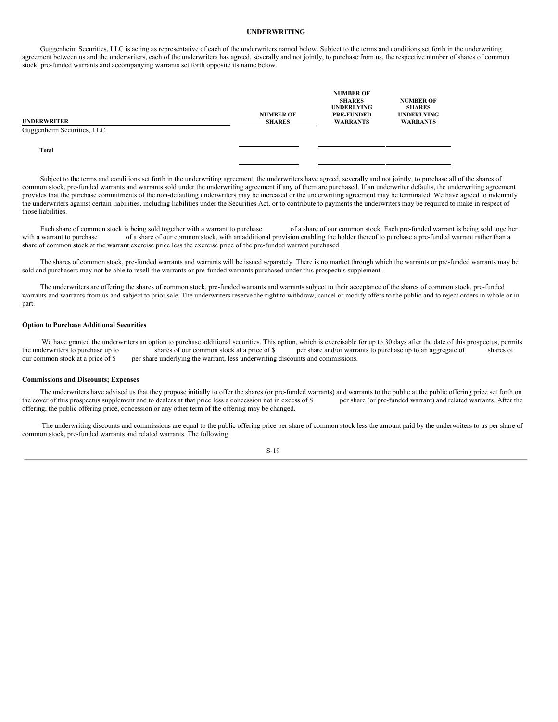#### <span id="page-21-0"></span>**UNDERWRITING**

Guggenheim Securities, LLC is acting as representative of each of the underwriters named below. Subject to the terms and conditions set forth in the underwriting agreement between us and the underwriters, each of the underwriters has agreed, severally and not jointly, to purchase from us, the respective number of shares of common stock, pre-funded warrants and accompanying warrants set forth opposite its name below.

| <b>UNDERWRITER</b>         | <b>NUMBER OF</b><br><b>SHARES</b> | <b>NUMBER OF</b><br><b>SHARES</b><br><b>UNDERLYING</b><br><b>PRE-FUNDED</b><br><b>WARRANTS</b> | <b>NUMBER OF</b><br><b>SHARES</b><br><b>UNDERLYING</b><br><b>WARRANTS</b> |
|----------------------------|-----------------------------------|------------------------------------------------------------------------------------------------|---------------------------------------------------------------------------|
| Guggenheim Securities, LLC |                                   |                                                                                                |                                                                           |
| Total                      |                                   |                                                                                                |                                                                           |

Subject to the terms and conditions set forth in the underwriting agreement, the underwriters have agreed, severally and not jointly, to purchase all of the shares of common stock, pre-funded warrants and warrants sold under the underwriting agreement if any of them are purchased. If an underwriter defaults, the underwriting agreement provides that the purchase commitments of the non-defaulting underwriters may be increased or the underwriting agreement may be terminated. We have agreed to indemnify the underwriters against certain liabilities, including liabilities under the Securities Act, or to contribute to payments the underwriters may be required to make in respect of those liabilities.

Each share of common stock is being sold together with a warrant to purchase of a share of our common stock. Each pre-funded warrant is being sold together with a warrant to purchase of a share of our common stock, with an additional provision enabling the holder thereof to purchase a pre-funded warrant rather than a share of common stock at the warrant exercise price less the exercise price of the pre-funded warrant purchased.

The shares of common stock, pre-funded warrants and warrants will be issued separately. There is no market through which the warrants or pre-funded warrants may be sold and purchasers may not be able to resell the warrants or pre-funded warrants purchased under this prospectus supplement.

The underwriters are offering the shares of common stock, pre-funded warrants and warrants subject to their acceptance of the shares of common stock, pre-funded warrants and warrants from us and subject to prior sale. The underwriters reserve the right to withdraw, cancel or modify offers to the public and to reject orders in whole or in part.

#### **Option to Purchase Additional Securities**

We have granted the underwriters an option to purchase additional securities. This option, which is exercisable for up to 30 days after the date of this prospectus, permits the underwriters to purchase up to shares of our common stock at a price of \$ per share and/or warrants to purchase up to an aggregate of shares of our common stock at a price of \$ per share underlying the warrant, less underwriting discounts and commissions.

#### **Commissions and Discounts; Expenses**

The underwriters have advised us that they propose initially to offer the shares (or pre-funded warrants) and warrants to the public at the public offering price set forth on ver of this prospectus supplement and to dealer the cover of this prospectus supplement and to dealers at that price less a concession not in excess of \$ offering, the public offering price, concession or any other term of the offering may be changed.

The underwriting discounts and commissions are equal to the public offering price per share of common stock less the amount paid by the underwriters to us per share of common stock, pre-funded warrants and related warrants. The following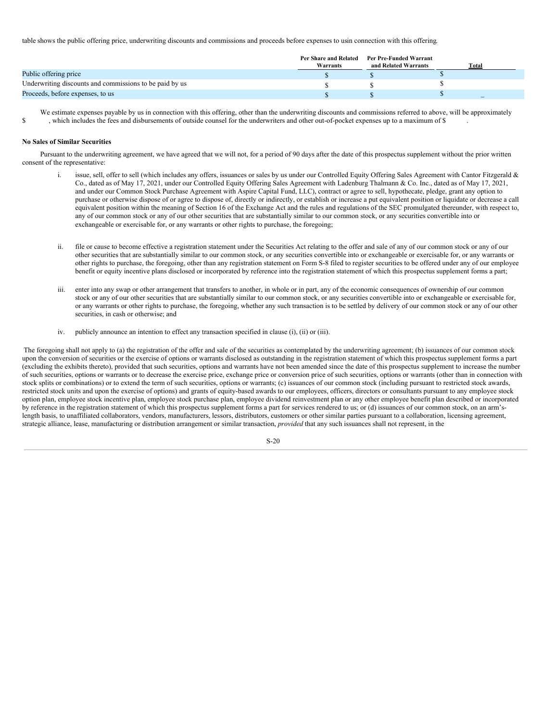table shows the public offering price, underwriting discounts and commissions and proceeds before expenses to usin connection with this offering.

|                                                         | Per Share and Related<br>Warrants | Per Pre-Funded Warrant<br>and Related Warrants | Total  |
|---------------------------------------------------------|-----------------------------------|------------------------------------------------|--------|
| Public offering price                                   |                                   |                                                |        |
| Underwriting discounts and commissions to be paid by us |                                   |                                                |        |
| Proceeds, before expenses, to us                        |                                   |                                                | $\sim$ |

We estimate expenses payable by us in connection with this offering, other than the underwriting discounts and commissions referred to above, will be approximately

\$ , which includes the fees and disbursements of outside counsel for the underwriters and other out-of-pocket expenses up to a maximum of \$

# **No Sales of Similar Securities**

Pursuant to the underwriting agreement, we have agreed that we will not, for a period of 90 days after the date of this prospectus supplement without the prior written consent of the representative:

- i. issue, sell, offer to sell (which includes any offers, issuances or sales by us under our Controlled Equity Offering Sales Agreement with Cantor Fitzgerald & Co., dated as of May 17, 2021, under our Controlled Equity Offering Sales Agreement with Ladenburg Thalmann & Co. Inc., dated as of May 17, 2021, and under our Common Stock Purchase Agreement with Aspire Capital Fund, LLC), contract or agree to sell, hypothecate, pledge, grant any option to purchase or otherwise dispose of or agree to dispose of, directly or indirectly, or establish or increase a put equivalent position or liquidate or decrease a call equivalent position within the meaning of Section 16 of the Exchange Act and the rules and regulations of the SEC promulgated thereunder, with respect to, any of our common stock or any of our other securities that are substantially similar to our common stock, or any securities convertible into or exchangeable or exercisable for, or any warrants or other rights to purchase, the foregoing;
- ii. file or cause to become effective a registration statement under the Securities Act relating to the offer and sale of any of our common stock or any of our other securities that are substantially similar to our common stock, or any securities convertible into or exchangeable or exercisable for, or any warrants or other rights to purchase, the foregoing, other than any registration statement on Form S-8 filed to register securities to be offered under any of our employee benefit or equity incentive plans disclosed or incorporated by reference into the registration statement of which this prospectus supplement forms a part;
- iii. enter into any swap or other arrangement that transfers to another, in whole or in part, any of the economic consequences of ownership of our common stock or any of our other securities that are substantially similar to our common stock, or any securities convertible into or exchangeable or exercisable for, or any warrants or other rights to purchase, the foregoing, whether any such transaction is to be settled by delivery of our common stock or any of our other securities, in cash or otherwise; and
- iv. publicly announce an intention to effect any transaction specified in clause (i), (ii) or (iii).

The foregoing shall not apply to (a) the registration of the offer and sale of the securities as contemplated by the underwriting agreement; (b) issuances of our common stock upon the conversion of securities or the exercise of options or warrants disclosed as outstanding in the registration statement of which this prospectus supplement forms a part (excluding the exhibits thereto), provided that such securities, options and warrants have not been amended since the date of this prospectus supplement to increase the number of such securities, options or warrants or to decrease the exercise price, exchange price or conversion price of such securities, options or warrants (other than in connection with stock splits or combinations) or to extend the term of such securities, options or warrants; (c) issuances of our common stock (including pursuant to restricted stock awards, restricted stock units and upon the exercise of options) and grants of equity-based awards to our employees, officers, directors or consultants pursuant to any employee stock option plan, employee stock incentive plan, employee stock purchase plan, employee dividend reinvestment plan or any other employee benefit plan described or incorporated by reference in the registration statement of which this prospectus supplement forms a part for services rendered to us; or (d) issuances of our common stock, on an arm'slength basis, to unaffiliated collaborators, vendors, manufacturers, lessors, distributors, customers or other similar parties pursuant to a collaboration, licensing agreement, strategic alliance, lease, manufacturing or distribution arrangement or similar transaction, *provided* that any such issuances shall not represent, in the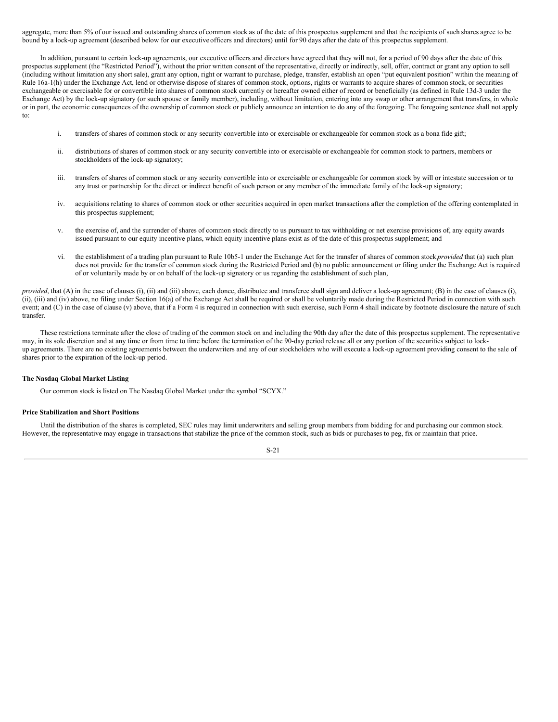aggregate, more than 5% of our issued and outstanding shares of common stock as of the date of this prospectus supplement and that the recipients of such shares agree to be bound by a lock-up agreement (described below for our executive officers and directors) until for 90 days after the date of this prospectus supplement.

In addition, pursuant to certain lock-up agreements, our executive officers and directors have agreed that they will not, for a period of 90 days after the date of this prospectus supplement (the "Restricted Period"), without the prior written consent of the representative, directly or indirectly, sell, offer, contract or grant any option to sell (including without limitation any short sale), grant any option, right or warrant to purchase, pledge, transfer, establish an open "put equivalent position" within the meaning of Rule 16a-1(h) under the Exchange Act, lend or otherwise dispose of shares of common stock, options, rights or warrants to acquire shares of common stock, or securities exchangeable or exercisable for or convertible into shares of common stock currently or hereafter owned either of record or beneficially (as defined in Rule 13d-3 under the Exchange Act) by the lock-up signatory (or such spouse or family member), including, without limitation, entering into any swap or other arrangement that transfers, in whole or in part, the economic consequences of the ownership of common stock or publicly announce an intention to do any of the foregoing. The foregoing sentence shall not apply to:

- i. transfers of shares of common stock or any security convertible into or exercisable or exchangeable for common stock as a bona fide gift;
- ii. distributions of shares of common stock or any security convertible into or exercisable or exchangeable for common stock to partners, members or stockholders of the lock-up signatory;
- iii. transfers of shares of common stock or any security convertible into or exercisable or exchangeable for common stock by will or intestate succession or to any trust or partnership for the direct or indirect benefit of such person or any member of the immediate family of the lock-up signatory;
- iv. acquisitions relating to shares of common stock or other securities acquired in open market transactions after the completion of the offering contemplated in this prospectus supplement;
- v. the exercise of, and the surrender of shares of common stock directly to us pursuant to tax withholding or net exercise provisions of, any equity awards issued pursuant to our equity incentive plans, which equity incentive plans exist as of the date of this prospectus supplement; and
- vi. the establishment of a trading plan pursuant to Rule 10b5-1 under the Exchange Act for the transfer of shares of common stock,*provided* that (a) such plan does not provide for the transfer of common stock during the Restricted Period and (b) no public announcement or filing under the Exchange Act is required of or voluntarily made by or on behalf of the lock-up signatory or us regarding the establishment of such plan,

*provided*, that (A) in the case of clauses (i), (ii) and (iii) above, each donee, distributee and transferee shall sign and deliver a lock-up agreement; (B) in the case of clauses (i),  $(i)$ ,  $(iii)$  and  $(iv)$  above, no filing under Section 16(a) of the Exchange Act shall be required or shall be voluntarily made during the Restricted Period in connection with such event; and (C) in the case of clause (v) above, that if a Form 4 is required in connection with such exercise, such Form 4 shall indicate by footnote disclosure the nature of such transfer.

These restrictions terminate after the close of trading of the common stock on and including the 90th day after the date of this prospectus supplement. The representative may, in its sole discretion and at any time or from time to time before the termination of the 90-day period release all or any portion of the securities subject to lockup agreements. There are no existing agreements between the underwriters and any of our stockholders who will execute a lock-up agreement providing consent to the sale of shares prior to the expiration of the lock-up period.

#### **The Nasdaq Global Market Listing**

Our common stock is listed on The Nasdaq Global Market under the symbol "SCYX."

#### **Price Stabilization and Short Positions**

Until the distribution of the shares is completed, SEC rules may limit underwriters and selling group members from bidding for and purchasing our common stock. However, the representative may engage in transactions that stabilize the price of the common stock, such as bids or purchases to peg, fix or maintain that price.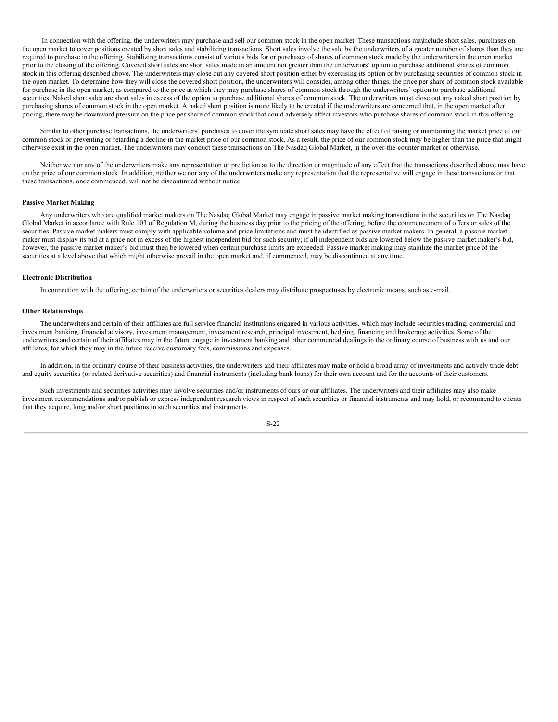In connection with the offering, the underwriters may purchase and sell our common stock in the open market. These transactions mayinclude short sales, purchases on the open market to cover positions created by short sales and stabilizing transactions. Short sales involve the sale by the underwriters of a greater number of shares than they are required to purchase in the offering. Stabilizing transactions consist of various bids for or purchases of shares of common stock made by the underwriters in the open market prior to the closing of the offering. Covered short sales are short sales made in an amount not greater than the underwrites' option to purchase additional shares of common stock in this offering described above. The underwriters may close out any covered short position either by exercising its option or by purchasing securities of common stock in the open market. To determine how they will close the covered short position, the underwriters will consider, among other things, the price per share of common stock available for purchase in the open market, as compared to the price at which they may purchase shares of common stock through the underwriters' option to purchase additional securities. Naked short sales are short sales in excess of the option to purchase additional shares of common stock. The underwriters must close out any naked short position by purchasing shares of common stock in the open market. A naked short position is more likely to be created if the underwriters are concerned that, in the open market after pricing, there may be downward pressure on the price per share of common stock that could adversely affect investors who purchase shares of common stock in this offering.

Similar to other purchase transactions, the underwriters' purchases to cover the syndicate short sales may have the effect of raising or maintaining the market price of our common stock or preventing or retarding a decline in the market price of our common stock. As a result, the price of our common stock may be higher than the price that might otherwise exist in the open market. The underwriters may conduct these transactions on The Nasdaq Global Market, in the over-the-counter market or otherwise.

Neither we nor any of the underwriters make any representation or prediction as to the direction or magnitude of any effect that the transactions described above may have on the price of our common stock. In addition, neither we nor any of the underwriters make any representation that the representative will engage in these transactions or that these transactions, once commenced, will not be discontinued without notice.

#### **Passive Market Making**

Any underwriters who are qualified market makers on The Nasdaq Global Market may engage in passive market making transactions in the securities on The Nasdaq Global Market in accordance with Rule 103 of Regulation M, during the business day prior to the pricing of the offering, before the commencement of offers or sales of the securities. Passive market makers must comply with applicable volume and price limitations and must be identified as passive market makers. In general, a passive market maker must display its bid at a price not in excess of the highest independent bid for such security; if all independent bids are lowered below the passive market maker's bid, however, the passive market maker's bid must then be lowered when certain purchase limits are exceeded. Passive market making may stabilize the market price of the securities at a level above that which might otherwise prevail in the open market and, if commenced, may be discontinued at any time.

#### **Electronic Distribution**

In connection with the offering, certain of the underwriters or securities dealers may distribute prospectuses by electronic means, such as e-mail.

#### **Other Relationships**

The underwriters and certain of their affiliates are full service financial institutions engaged in various activities, which may include securities trading, commercial and investment banking, financial advisory, investment management, investment research, principal investment, hedging, financing and brokerage activities. Some of the underwriters and certain of their affiliates may in the future engage in investment banking and other commercial dealings in the ordinary course of business with us and our affiliates, for which they may in the future receive customary fees, commissions and expenses.

In addition, in the ordinary course of their business activities, the underwriters and their affiliates may make or hold a broad array of investments and actively trade debt and equity securities (or related derivative securities) and financial instruments (including bank loans) for their own account and for the accounts of their customers.

Such investments and securities activities may involve securities and/or instruments of ours or our affiliates. The underwriters and their affiliates may also make investment recommendations and/or publish or express independent research views in respect of such securities or financial instruments and may hold, or recommend to clients that they acquire, long and/or short positions in such securities and instruments.

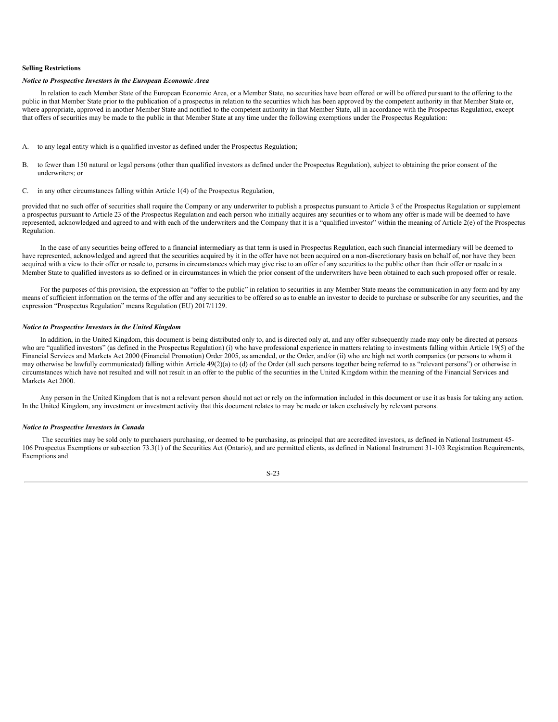#### **Selling Restrictions**

#### *Notice to Prospective Investors in the European Economic Area*

In relation to each Member State of the European Economic Area, or a Member State, no securities have been offered or will be offered pursuant to the offering to the public in that Member State prior to the publication of a prospectus in relation to the securities which has been approved by the competent authority in that Member State or, where appropriate, approved in another Member State and notified to the competent authority in that Member State, all in accordance with the Prospectus Regulation, except that offers of securities may be made to the public in that Member State at any time under the following exemptions under the Prospectus Regulation:

- A. to any legal entity which is a qualified investor as defined under the Prospectus Regulation;
- B. to fewer than 150 natural or legal persons (other than qualified investors as defined under the Prospectus Regulation), subject to obtaining the prior consent of the underwriters; or
- C. in any other circumstances falling within Article 1(4) of the Prospectus Regulation,

provided that no such offer of securities shall require the Company or any underwriter to publish a prospectus pursuant to Article 3 of the Prospectus Regulation or supplement a prospectus pursuant to Article 23 of the Prospectus Regulation and each person who initially acquires any securities or to whom any offer is made will be deemed to have represented, acknowledged and agreed to and with each of the underwriters and the Company that it is a "qualified investor" within the meaning of Article 2(e) of the Prospectus Regulation.

In the case of any securities being offered to a financial intermediary as that term is used in Prospectus Regulation, each such financial intermediary will be deemed to have represented, acknowledged and agreed that the securities acquired by it in the offer have not been acquired on a non-discretionary basis on behalf of, nor have they been acquired with a view to their offer or resale to, persons in circumstances which may give rise to an offer of any securities to the public other than their offer or resale in a Member State to qualified investors as so defined or in circumstances in which the prior consent of the underwriters have been obtained to each such proposed offer or resale.

For the purposes of this provision, the expression an "offer to the public" in relation to securities in any Member State means the communication in any form and by any means of sufficient information on the terms of the offer and any securities to be offered so as to enable an investor to decide to purchase or subscribe for any securities, and the expression "Prospectus Regulation" means Regulation (EU) 2017/1129.

#### *Notice to Prospective Investors in the United Kingdom*

In addition, in the United Kingdom, this document is being distributed only to, and is directed only at, and any offer subsequently made may only be directed at persons who are "qualified investors" (as defined in the Prospectus Regulation) (i) who have professional experience in matters relating to investments falling within Article 19(5) of the Financial Services and Markets Act 2000 (Financial Promotion) Order 2005, as amended, or the Order, and/or (ii) who are high net worth companies (or persons to whom it may otherwise be lawfully communicated) falling within Article 49(2)(a) to (d) of the Order (all such persons together being referred to as "relevant persons") or otherwise in circumstances which have not resulted and will not result in an offer to the public of the securities in the United Kingdom within the meaning of the Financial Services and Markets Act 2000.

Any person in the United Kingdom that is not a relevant person should not act or rely on the information included in this document or use it as basis for taking any action. In the United Kingdom, any investment or investment activity that this document relates to may be made or taken exclusively by relevant persons.

#### *Notice to Prospective Investors in Canada*

The securities may be sold only to purchasers purchasing, or deemed to be purchasing, as principal that are accredited investors, as defined in National Instrument 45-106 Prospectus Exemptions or subsection 73.3(1) of the Securities Act (Ontario), and are permitted clients, as defined in National Instrument 31-103 Registration Requirements, Exemptions and

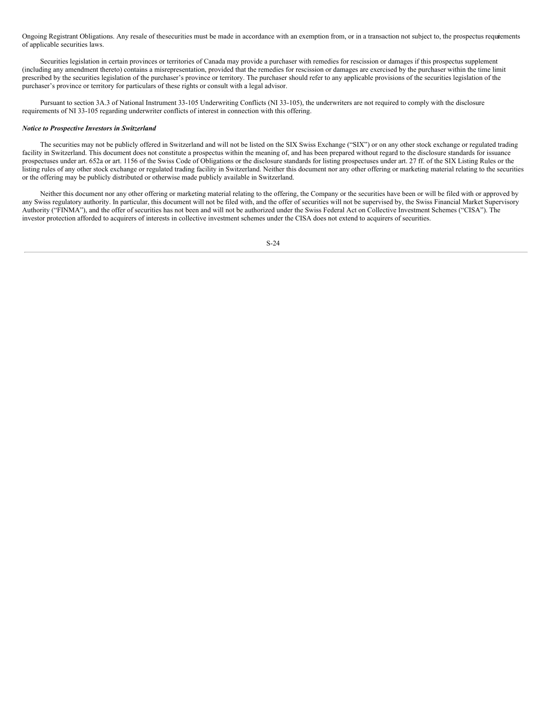Ongoing Registrant Obligations. Any resale of thesecurities must be made in accordance with an exemption from, or in a transaction not subject to, the prospectus requiements of applicable securities laws.

Securities legislation in certain provinces or territories of Canada may provide a purchaser with remedies for rescission or damages if this prospectus supplement (including any amendment thereto) contains a misrepresentation, provided that the remedies for rescission or damages are exercised by the purchaser within the time limit prescribed by the securities legislation of the purchaser's province or territory. The purchaser should refer to any applicable provisions of the securities legislation of the purchaser's province or territory for particulars of these rights or consult with a legal advisor.

Pursuant to section 3A.3 of National Instrument 33-105 Underwriting Conflicts (NI 33-105), the underwriters are not required to comply with the disclosure requirements of NI 33-105 regarding underwriter conflicts of interest in connection with this offering.

# *Notice to Prospective Investors in Switzerland*

The securities may not be publicly offered in Switzerland and will not be listed on the SIX Swiss Exchange ("SIX") or on any other stock exchange or regulated trading facility in Switzerland. This document does not constitute a prospectus within the meaning of, and has been prepared without regard to the disclosure standards for issuance prospectuses under art. 652a or art. 1156 of the Swiss Code of Obligations or the disclosure standards for listing prospectuses under art. 27 ff. of the SIX Listing Rules or the listing rules of any other stock exchange or regulated trading facility in Switzerland. Neither this document nor any other offering or marketing material relating to the securities or the offering may be publicly distributed or otherwise made publicly available in Switzerland.

Neither this document nor any other offering or marketing material relating to the offering, the Company or the securities have been or will be filed with or approved by any Swiss regulatory authority. In particular, this document will not be filed with, and the offer of securities will not be supervised by, the Swiss Financial Market Supervisory Authority ("FINMA"), and the offer of securities has not been and will not be authorized under the Swiss Federal Act on Collective Investment Schemes ("CISA"). The investor protection afforded to acquirers of interests in collective investment schemes under the CISA does not extend to acquirers of securities.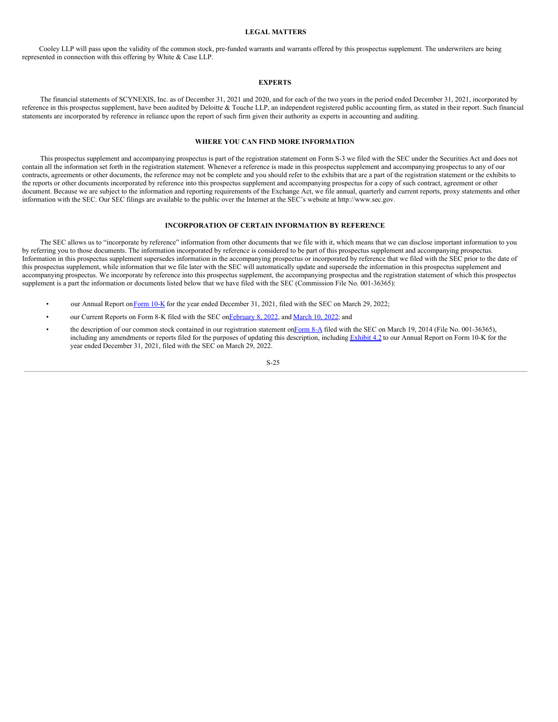#### <span id="page-27-0"></span>**LEGAL MATTERS**

Cooley LLP will pass upon the validity of the common stock, pre-funded warrants and warrants offered by this prospectus supplement. The underwriters are being represented in connection with this offering by White & Case LLP.

#### <span id="page-27-1"></span>**EXPERTS**

The financial statements of SCYNEXIS, Inc. as of December 31, 2021 and 2020, and for each of the two years in the period ended December 31, 2021, incorporated by reference in this prospectus supplement, have been audited by Deloitte  $&$  Touche LLP, an independent registered public accounting firm, as stated in their report. Such financial statements are incorporated by reference in reliance upon the report of such firm given their authority as experts in accounting and auditing.

#### <span id="page-27-2"></span>**WHERE YOU CAN FIND MORE INFORMATION**

This prospectus supplement and accompanying prospectus is part of the registration statement on Form S-3 we filed with the SEC under the Securities Act and does not contain all the information set forth in the registration statement. Whenever a reference is made in this prospectus supplement and accompanying prospectus to any of our contracts, agreements or other documents, the reference may not be complete and you should refer to the exhibits that are a part of the registration statement or the exhibits to the reports or other documents incorporated by reference into this prospectus supplement and accompanying prospectus for a copy of such contract, agreement or other document. Because we are subject to the information and reporting requirements of the Exchange Act, we file annual, quarterly and current reports, proxy statements and other information with the SEC. Our SEC filings are available to the public over the Internet at the SEC's website at http://www.sec.gov.

### <span id="page-27-3"></span>**INCORPORATION OF CERTAIN INFORMATION BY REFERENCE**

The SEC allows us to "incorporate by reference" information from other documents that we file with it, which means that we can disclose important information to you by referring you to those documents. The information incorporated by reference is considered to be part of this prospectus supplement and accompanying prospectus. Information in this prospectus supplement supersedes information in the accompanying prospectus or incorporated by reference that we filed with the SEC prior to the date of this prospectus supplement, while information that we file later with the SEC will automatically update and supersede the information in this prospectus supplement and accompanying prospectus. We incorporate by reference into this prospectus supplement, the accompanying prospectus and the registration statement of which this prospectus supplement is a part the information or documents listed below that we have filed with the SEC (Commission File No. 001-36365):

- our Annual Report on [Form](http://www.sec.gov/Archives/edgar/data/1178253/000156459020009875/scyx-10k_20191231.htm) 10-K for the year ended December 31, 2021, filed with the SEC on March 29, 2022;
- our Current Reports on Form 8-K filed with the SEC o[nFebruary](https://www.sec.gov/ix?doc=/Archives/edgar/data/1178253/000156459022004229/scyx-8k_20220204.htm) 8, 2022, and [March](https://www.sec.gov/ix?doc=/Archives/edgar/data/1178253/000156459022009487/scyx-8k_20220309.htm) 10, 2022; and
- the description of our common stock contained in our registration statement o[nForm](http://www.sec.gov/Archives/edgar/data/1178253/000119312514106556/d695245d8a12b.htm) 8-A filed with the SEC on March 19, 2014 (File No. 001-36365), including any amendments or reports filed for the purposes of updating this description, including [Exhibit](http://www.sec.gov/Archives/edgar/data/1178253/000156459022012199/scyx-ex42_10.htm) 4.2 to our Annual Report on Form 10-K for the year ended December 31, 2021, filed with the SEC on March 29, 2022.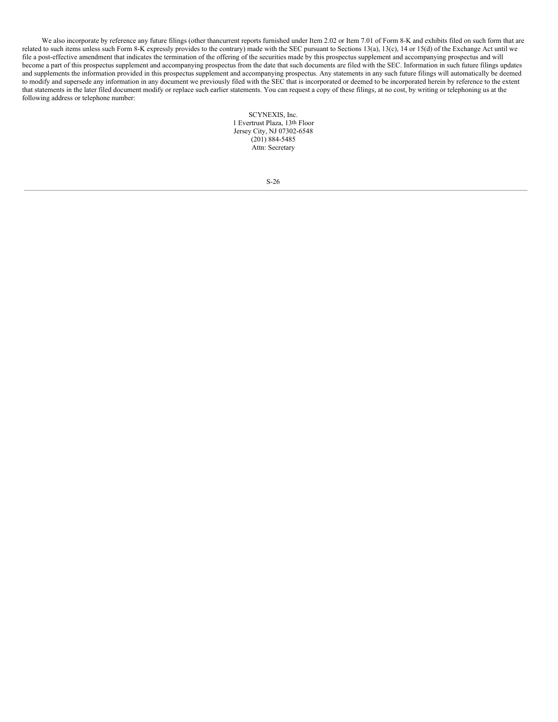We also incorporate by reference any future filings (other thancurrent reports furnished under Item 2.02 or Item 7.01 of Form 8-K and exhibits filed on such form that are related to such items unless such Form 8-K expressly provides to the contrary) made with the SEC pursuant to Sections 13(a), 13(c), 14 or 15(d) of the Exchange Act until we file a post-effective amendment that indicates the termination of the offering of the securities made by this prospectus supplement and accompanying prospectus and will become a part of this prospectus supplement and accompanying prospectus from the date that such documents are filed with the SEC. Information in such future filings updates and supplements the information provided in this prospectus supplement and accompanying prospectus. Any statements in any such future filings will automatically be deemed to modify and supersede any information in any document we previously filed with the SEC that is incorporated or deemed to be incorporated herein by reference to the extent that statements in the later filed document modify or replace such earlier statements. You can request a copy of these filings, at no cost, by writing or telephoning us at the following address or telephone number:

> SCYNEXIS, Inc. 1 Evertrust Plaza, 13th Floor Jersey City, NJ 07302-6548 (201) 884-5485 Attn: Secretary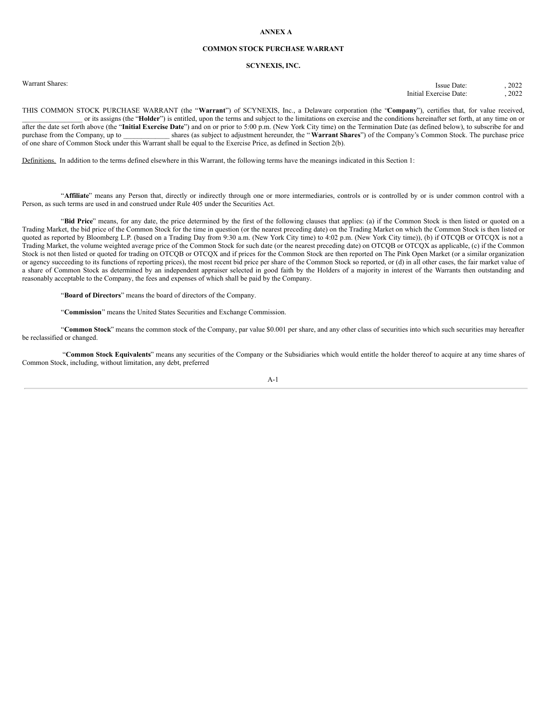### <span id="page-29-0"></span>**ANNEX A**

# **COMMON STOCK PURCHASE WARRANT**

# **SCYNEXIS, INC.**

Warrant Shares: Shares:  $\frac{1}{2}$  Shares:  $\frac{1}{2}$  Share Date:  $\frac{1}{2}$  Share Date:  $\frac{1}{2}$  3022 Initial Exercise Date: , 2022

THIS COMMON STOCK PURCHASE WARRANT (the "**Warrant**") of SCYNEXIS, Inc., a Delaware corporation (the "**Company**"), certifies that, for value received, or its assigns (the "**Holder**") is entitled, upon the terms and subject to the limitations on exercise and the conditions hereinafter set forth, at any time on or after the date set forth above (the "**Initial Exercise Date**") and on or prior to 5:00 p.m. (New York City time) on the Termination Date (as defined below), to subscribe for and shares (as subject to adjustment hereunder, shares (as subject to adjustment hereunder, the "Warrant Shares") of the Company's Common Stock. The purchase price of one share of Common Stock under this Warrant shall be equal to the Exercise Price, as defined in Section 2(b).

Definitions. In addition to the terms defined elsewhere in this Warrant, the following terms have the meanings indicated in this Section 1:

"**Affiliate**" means any Person that, directly or indirectly through one or more intermediaries, controls or is controlled by or is under common control with a Person, as such terms are used in and construed under Rule 405 under the Securities Act.

"**Bid Price**" means, for any date, the price determined by the first of the following clauses that applies: (a) if the Common Stock is then listed or quoted on a Trading Market, the bid price of the Common Stock for the time in question (or the nearest preceding date) on the Trading Market on which the Common Stock is then listed or quoted as reported by Bloomberg L.P. (based on a Trading Day from 9:30 a.m. (New York City time) to 4:02 p.m. (New York City time)), (b) if OTCQB or OTCQX is not a Trading Market, the volume weighted average price of the Common Stock for such date (or the nearest preceding date) on OTCQB or OTCQX as applicable, (c) if the Common Stock is not then listed or quoted for trading on OTCQB or OTCQX and if prices for the Common Stock are then reported on The Pink Open Market (or a similar organization or agency succeeding to its functions of reporting prices), the most recent bid price per share of the Common Stock so reported, or (d) in all other cases, the fair market value of a share of Common Stock as determined by an independent appraiser selected in good faith by the Holders of a majority in interest of the Warrants then outstanding and reasonably acceptable to the Company, the fees and expenses of which shall be paid by the Company.

"**Board of Directors**" means the board of directors of the Company.

"**Commission**" means the United States Securities and Exchange Commission.

"**Common Stock**" means the common stock of the Company, par value \$0.001 per share, and any other class of securities into which such securities may hereafter be reclassified or changed.

"**Common Stock Equivalents**" means any securities of the Company or the Subsidiaries which would entitle the holder thereof to acquire at any time shares of Common Stock, including, without limitation, any debt, preferred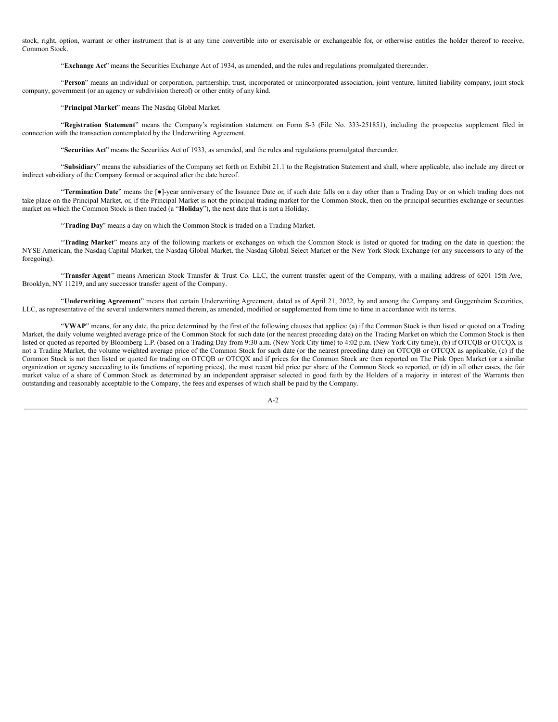stock, right, option, warrant or other instrument that is at any time convertible into or exercisable or exchangeable for, or otherwise entitles the holder thereof to receive, Common Stock.

"**Exchange Act**" means the Securities Exchange Act of 1934, as amended, and the rules and regulations promulgated thereunder.

"**Person**" means an individual or corporation, partnership, trust, incorporated or unincorporated association, joint venture, limited liability company, joint stock company, government (or an agency or subdivision thereof) or other entity of any kind.

"**Principal Market**" means The Nasdaq Global Market.

"**Registration Statement**" means the Company's registration statement on Form S-3 (File No. 333-251851), including the prospectus supplement filed in connection with the transaction contemplated by the Underwriting Agreement.

"**Securities Act**" means the Securities Act of 1933, as amended, and the rules and regulations promulgated thereunder.

"**Subsidiary**" means the subsidiaries of the Company set forth on Exhibit 21.1 to the Registration Statement and shall, where applicable, also include any direct or indirect subsidiary of the Company formed or acquired after the date hereof.

"**Termination Date**" means the [●]-year anniversary of the Issuance Date or, if such date falls on a day other than a Trading Day or on which trading does not take place on the Principal Market, or, if the Principal Market is not the principal trading market for the Common Stock, then on the principal securities exchange or securities market on which the Common Stock is then traded (a "**Holiday**"), the next date that is not a Holiday.

"**Trading Day**" means a day on which the Common Stock is traded on a Trading Market.

"**Trading Market**" means any of the following markets or exchanges on which the Common Stock is listed or quoted for trading on the date in question: the NYSE American, the Nasdaq Capital Market, the Nasdaq Global Market, the Nasdaq Global Select Market or the New York Stock Exchange (or any successors to any of the foregoing).

"Transfer Agent" means American Stock Transfer & Trust Co. LLC, the current transfer agent of the Company, with a mailing address of 6201 15th Ave, Brooklyn, NY 11219, and any successor transfer agent of the Company.

"**Underwriting Agreement**" means that certain Underwriting Agreement, dated as of April 21, 2022, by and among the Company and Guggenheim Securities, LLC, as representative of the several underwriters named therein, as amended, modified or supplemented from time to time in accordance with its terms.

"**VWAP**" means, for any date, the price determined by the first of the following clauses that applies: (a) if the Common Stock is then listed or quoted on a Trading Market, the daily volume weighted average price of the Common Stock for such date (or the nearest preceding date) on the Trading Market on which the Common Stock is then listed or quoted as reported by Bloomberg L.P. (based on a Trading Day from 9:30 a.m. (New York City time) to 4:02 p.m. (New York City time)), (b) if OTCQB or OTCQX is not a Trading Market, the volume weighted average price of the Common Stock for such date (or the nearest preceding date) on OTCQB or OTCQX as applicable, (c) if the Common Stock is not then listed or quoted for trading on OTCQB or OTCQX and if prices for the Common Stock are then reported on The Pink Open Market (or a similar organization or agency succeeding to its functions of reporting prices), the most recent bid price per share of the Common Stock so reported, or (d) in all other cases, the fair market value of a share of Common Stock as determined by an independent appraiser selected in good faith by the Holders of a majority in interest of the Warrants then outstanding and reasonably acceptable to the Company, the fees and expenses of which shall be paid by the Company.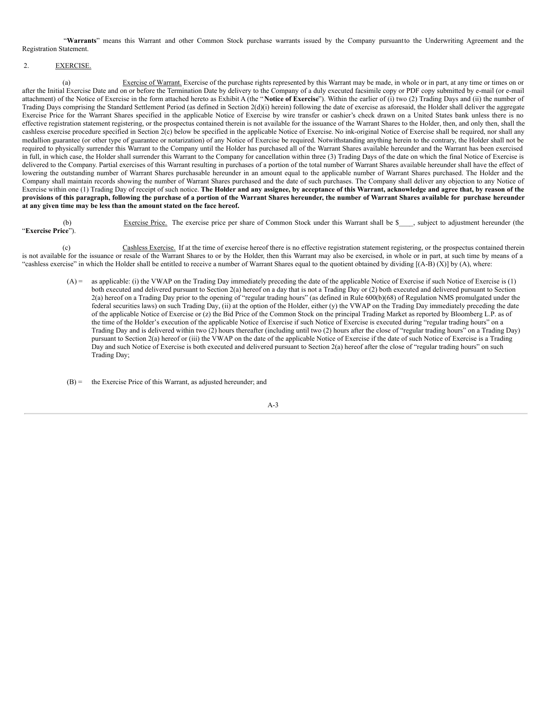"**Warrants**" means this Warrant and other Common Stock purchase warrants issued by the Company pursuantto the Underwriting Agreement and the Registration Statement.

# 2. EXERCISE.

(a) Exercise of Warrant. Exercise of the purchase rights represented by this Warrant may be made, in whole or in part, at any time or times on or after the Initial Exercise Date and on or before the Termination Date by delivery to the Company of a duly executed facsimile copy or PDF copy submitted by e-mail (or e-mail attachment) of the Notice of Exercise in the form attached hereto as Exhibit A (the "**Notice of Exercise**"). Within the earlier of (i) two (2) Trading Days and (ii) the number of Trading Days comprising the Standard Settlement Period (as defined in Section 2(d)(i) herein) following the date of exercise as aforesaid, the Holder shall deliver the aggregate Exercise Price for the Warrant Shares specified in the applicable Notice of Exercise by wire transfer or cashier's check drawn on a United States bank unless there is no effective registration statement registering, or the prospectus contained therein is not available for the issuance of the Warrant Shares to the Holder, then, and only then, shall the cashless exercise procedure specified in Section 2(c) below be specified in the applicable Notice of Exercise. No ink-original Notice of Exercise shall be required, nor shall any medallion guarantee (or other type of guarantee or notarization) of any Notice of Exercise be required. Notwithstanding anything herein to the contrary, the Holder shall not be required to physically surrender this Warrant to the Company until the Holder has purchased all of the Warrant Shares available hereunder and the Warrant has been exercised in full, in which case, the Holder shall surrender this Warrant to the Company for cancellation within three (3) Trading Days of the date on which the final Notice of Exercise is delivered to the Company. Partial exercises of this Warrant resulting in purchases of a portion of the total number of Warrant Shares available hereunder shall have the effect of lowering the outstanding number of Warrant Shares purchasable hereunder in an amount equal to the applicable number of Warrant Shares purchased. The Holder and the Company shall maintain records showing the number of Warrant Shares purchased and the date of such purchases. The Company shall deliver any objection to any Notice of Exercise within one (1) Trading Day of receipt of such notice. The Holder and any assignee, by acceptance of this Warrant, acknowledge and agree that, by reason of the provisions of this paragraph, following the purchase of a portion of the Warrant Shares hereunder, the number of Warrant Shares available for purchase hereunder **at any given time may be less than the amount stated on the face hereof.**

(b) Exercise Price. The exercise price per share of Common Stock under this Warrant shall be \$\_\_\_, subject to adjustment hereunder (the "**Exercise Price**").

(c) Cashless Exercise. If at the time of exercise hereof there is no effective registration statement registering, or the prospectus contained therein is not available for the issuance or resale of the Warrant Shares to or by the Holder, then this Warrant may also be exercised, in whole or in part, at such time by means of a "cashless exercise" in which the Holder shall be entitled to receive a number of Warrant Shares equal to the quotient obtained by dividing [(A-B) (X)] by (A), where:

- (A) = as applicable: (i) the VWAP on the Trading Day immediately preceding the date of the applicable Notice of Exercise if such Notice of Exercise is (1) both executed and delivered pursuant to Section 2(a) hereof on a day that is not a Trading Day or (2) both executed and delivered pursuant to Section 2(a) hereof on a Trading Day prior to the opening of "regular trading hours" (as defined in Rule 600(b)(68) of Regulation NMS promulgated under the federal securities laws) on such Trading Day, (ii) at the option of the Holder, either (y) the VWAP on the Trading Day immediately preceding the date of the applicable Notice of Exercise or (z) the Bid Price of the Common Stock on the principal Trading Market as reported by Bloomberg L.P. as of the time of the Holder's execution of the applicable Notice of Exercise if such Notice of Exercise is executed during "regular trading hours" on a Trading Day and is delivered within two (2) hours thereafter (including until two (2) hours after the close of "regular trading hours" on a Trading Day) pursuant to Section 2(a) hereof or (iii) the VWAP on the date of the applicable Notice of Exercise if the date of such Notice of Exercise is a Trading Day and such Notice of Exercise is both executed and delivered pursuant to Section 2(a) hereof after the close of "regular trading hours" on such Trading Day;
- (B) = the Exercise Price of this Warrant, as adjusted hereunder; and

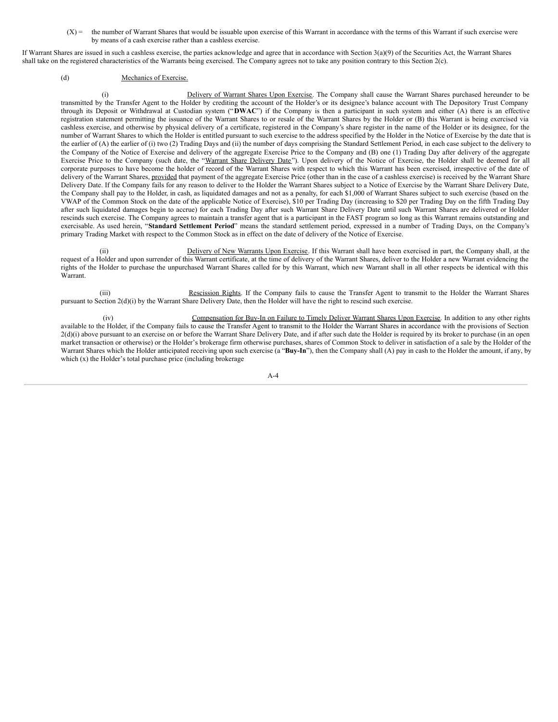$(X)$  = the number of Warrant Shares that would be issuable upon exercise of this Warrant in accordance with the terms of this Warrant if such exercise were by means of a cash exercise rather than a cashless exercise.

If Warrant Shares are issued in such a cashless exercise, the parties acknowledge and agree that in accordance with Section 3(a)(9) of the Securities Act, the Warrant Shares shall take on the registered characteristics of the Warrants being exercised. The Company agrees not to take any position contrary to this Section 2(c).

### (d) Mechanics of Exercise.

(i) Delivery of Warrant Shares Upon Exercise. The Company shall cause the Warrant Shares purchased hereunder to be transmitted by the Transfer Agent to the Holder by crediting the account of the Holder's or its designee's balance account with The Depository Trust Company through its Deposit or Withdrawal at Custodian system ("**DWAC**") if the Company is then a participant in such system and either (A) there is an effective registration statement permitting the issuance of the Warrant Shares to or resale of the Warrant Shares by the Holder or (B) this Warrant is being exercised via cashless exercise, and otherwise by physical delivery of a certificate, registered in the Company's share register in the name of the Holder or its designee, for the number of Warrant Shares to which the Holder is entitled pursuant to such exercise to the address specified by the Holder in the Notice of Exercise by the date that is the earlier of (A) the earlier of (i) two (2) Trading Days and (ii) the number of days comprising the Standard Settlement Period, in each case subject to the delivery to the Company of the Notice of Exercise and delivery of the aggregate Exercise Price to the Company and (B) one (1) Trading Day after delivery of the aggregate Exercise Price to the Company (such date, the "Warrant Share Delivery Date"). Upon delivery of the Notice of Exercise, the Holder shall be deemed for all corporate purposes to have become the holder of record of the Warrant Shares with respect to which this Warrant has been exercised, irrespective of the date of delivery of the Warrant Shares, provided that payment of the aggregate Exercise Price (other than in the case of a cashless exercise) is received by the Warrant Share Delivery Date. If the Company fails for any reason to deliver to the Holder the Warrant Shares subject to a Notice of Exercise by the Warrant Share Delivery Date, the Company shall pay to the Holder, in cash, as liquidated damages and not as a penalty, for each \$1,000 of Warrant Shares subject to such exercise (based on the VWAP of the Common Stock on the date of the applicable Notice of Exercise), \$10 per Trading Day (increasing to \$20 per Trading Day on the fifth Trading Day after such liquidated damages begin to accrue) for each Trading Day after such Warrant Share Delivery Date until such Warrant Shares are delivered or Holder rescinds such exercise. The Company agrees to maintain a transfer agent that is a participant in the FAST program so long as this Warrant remains outstanding and exercisable. As used herein, "**Standard Settlement Period**" means the standard settlement period, expressed in a number of Trading Days, on the Company's primary Trading Market with respect to the Common Stock as in effect on the date of delivery of the Notice of Exercise.

(ii) Delivery of New Warrants Upon Exercise. If this Warrant shall have been exercised in part, the Company shall, at the request of a Holder and upon surrender of this Warrant certificate, at the time of delivery of the Warrant Shares, deliver to the Holder a new Warrant evidencing the rights of the Holder to purchase the unpurchased Warrant Shares called for by this Warrant, which new Warrant shall in all other respects be identical with this Warrant.

(iii) Rescission Rights. If the Company fails to cause the Transfer Agent to transmit to the Holder the Warrant Shares pursuant to Section 2(d)(i) by the Warrant Share Delivery Date, then the Holder will have the right to rescind such exercise.

(iv) Compensation for Buy-In on Failure to Timely Deliver Warrant Shares Upon Exercise. In addition to any other rights available to the Holder, if the Company fails to cause the Transfer Agent to transmit to the Holder the Warrant Shares in accordance with the provisions of Section  $2(d)(i)$  above pursuant to an exercise on or before the Warrant Share Delivery Date, and if after such date the Holder is required by its broker to purchase (in an open market transaction or otherwise) or the Holder's brokerage firm otherwise purchases, shares of Common Stock to deliver in satisfaction of a sale by the Holder of the Warrant Shares which the Holder anticipated receiving upon such exercise (a "**Buy-In**"), then the Company shall (A) pay in cash to the Holder the amount, if any, by which (x) the Holder's total purchase price (including brokerage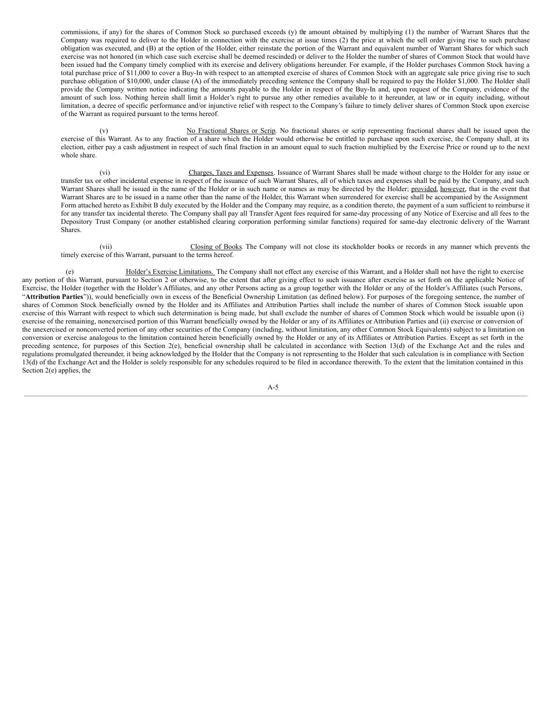commissions, if any) for the shares of Common Stock so purchased exceeds (y) the amount obtained by multiplying (1) the number of Warrant Shares that the Company was required to deliver to the Holder in connection with the exercise at issue times (2) the price at which the sell order giving rise to such purchase obligation was executed, and (B) at the option of the Holder, either reinstate the portion of the Warrant and equivalent number of Warrant Shares for which such exercise was not honored (in which case such exercise shall be deemed rescinded) or deliver to the Holder the number of shares of Common Stock that would have been issued had the Company timely complied with its exercise and delivery obligations hereunder. For example, if the Holder purchases Common Stock having a total purchase price of \$11,000 to cover a Buy-In with respect to an attempted exercise of shares of Common Stock with an aggregate sale price giving rise to such purchase obligation of \$10,000, under clause (A) of the immediately preceding sentence the Company shall be required to pay the Holder \$1,000. The Holder shall provide the Company written notice indicating the amounts payable to the Holder in respect of the Buy-In and, upon request of the Company, evidence of the amount of such loss. Nothing herein shall limit a Holder's right to pursue any other remedies available to it hereunder, at law or in equity including, without limitation, a decree of specific performance and/or injunctive relief with respect to the Company's failure to timely deliver shares of Common Stock upon exercise of the Warrant as required pursuant to the terms hereof.

(v) No Fractional Shares or Scrip. No fractional shares or scrip representing fractional shares shall be issued upon the exercise of this Warrant. As to any fraction of a share which the Holder would otherwise be entitled to purchase upon such exercise, the Company shall, at its election, either pay a cash adjustment in respect of such final fraction in an amount equal to such fraction multiplied by the Exercise Price or round up to the next whole share.

(vi) Charges, Taxes and Expenses. Issuance of Warrant Shares shall be made without charge to the Holder for any issue or transfer tax or other incidental expense in respect of the issuance of such Warrant Shares, all of which taxes and expenses shall be paid by the Company, and such Warrant Shares shall be issued in the name of the Holder or in such name or names as may be directed by the Holder; provided, however, that in the event that Warrant Shares are to be issued in a name other than the name of the Holder, this Warrant when surrendered for exercise shall be accompanied by the Assignment Form attached hereto as Exhibit B duly executed by the Holder and the Company may require, as a condition thereto, the payment of a sum sufficient to reimburse it for any transfer tax incidental thereto. The Company shall pay all Transfer Agent fees required for same-day processing of any Notice of Exercise and all fees to the Depository Trust Company (or another established clearing corporation performing similar functions) required for same-day electronic delivery of the Warrant Shares.

(vii) Closing of Books. The Company will not close its stockholder books or records in any manner which prevents the timely exercise of this Warrant, pursuant to the terms hereof.

(e) Holder's Exercise Limitations. The Company shall not effect any exercise of this Warrant, and a Holder shall not have the right to exercise any portion of this Warrant, pursuant to Section 2 or otherwise, to the extent that after giving effect to such issuance after exercise as set forth on the applicable Notice of Exercise, the Holder (together with the Holder's Affiliates, and any other Persons acting as a group together with the Holder or any of the Holder's Affiliates (such Persons, "**Attribution Parties**")), would beneficially own in excess of the Beneficial Ownership Limitation (as defined below). For purposes of the foregoing sentence, the number of shares of Common Stock beneficially owned by the Holder and its Affiliates and Attribution Parties shall include the number of shares of Common Stock issuable upon exercise of this Warrant with respect to which such determination is being made, but shall exclude the number of shares of Common Stock which would be issuable upon (i) exercise of the remaining, nonexercised portion of this Warrant beneficially owned by the Holder or any of its Affiliates or Attribution Parties and (ii) exercise or conversion of the unexercised or nonconverted portion of any other securities of the Company (including, without limitation, any other Common Stock Equivalents) subject to a limitation on conversion or exercise analogous to the limitation contained herein beneficially owned by the Holder or any of its Affiliates or Attribution Parties. Except as set forth in the preceding sentence, for purposes of this Section 2(e), beneficial ownership shall be calculated in accordance with Section 13(d) of the Exchange Act and the rules and regulations promulgated thereunder, it being acknowledged by the Holder that the Company is not representing to the Holder that such calculation is in compliance with Section 13(d) of the Exchange Act and the Holder is solely responsible for any schedules required to be filed in accordance therewith. To the extent that the limitation contained in this Section 2(e) applies, the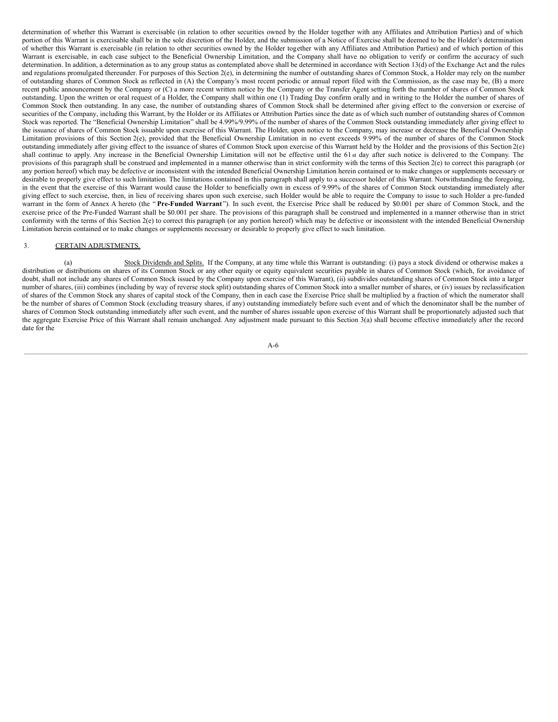determination of whether this Warrant is exercisable (in relation to other securities owned by the Holder together with any Affiliates and Attribution Parties) and of which portion of this Warrant is exercisable shall be in the sole discretion of the Holder, and the submission of a Notice of Exercise shall be deemed to be the Holder's determination of whether this Warrant is exercisable (in relation to other securities owned by the Holder together with any Affiliates and Attribution Parties) and of which portion of this Warrant is exercisable, in each case subject to the Beneficial Ownership Limitation, and the Company shall have no obligation to verify or confirm the accuracy of such determination. In addition, a determination as to any group status as contemplated above shall be determined in accordance with Section 13(d) of the Exchange Act and the rules and regulations promulgated thereunder. For purposes of this Section 2(e), in determining the number of outstanding shares of Common Stock, a Holder may rely on the number of outstanding shares of Common Stock as reflected in (A) the Company's most recent periodic or annual report filed with the Commission, as the case may be, (B) a more recent public announcement by the Company or (C) a more recent written notice by the Company or the Transfer Agent setting forth the number of shares of Common Stock outstanding. Upon the written or oral request of a Holder, the Company shall within one (1) Trading Day confirm orally and in writing to the Holder the number of shares of Common Stock then outstanding. In any case, the number of outstanding shares of Common Stock shall be determined after giving effect to the conversion or exercise of securities of the Company, including this Warrant, by the Holder or its Affiliates or Attribution Parties since the date as of which such number of outstanding shares of Common Stock was reported. The "Beneficial Ownership Limitation" shall be 4.99%/9.99% of the number of shares of the Common Stock outstanding immediately after giving effect to the issuance of shares of Common Stock issuable upon exercise of this Warrant. The Holder, upon notice to the Company, may increase or decrease the Beneficial Ownership Limitation provisions of this Section 2(e), provided that the Beneficial Ownership Limitation in no event exceeds 9.99% of the number of shares of the Common Stock outstanding immediately after giving effect to the issuance of shares of Common Stock upon exercise of this Warrant held by the Holder and the provisions of this Section 2(e) shall continue to apply. Any increase in the Beneficial Ownership Limitation will not be effective until the 61 st day after such notice is delivered to the Company. The provisions of this paragraph shall be construed and implemented in a manner otherwise than in strict conformity with the terms of this Section 2(e) to correct this paragraph (or any portion hereof) which may be defective or inconsistent with the intended Beneficial Ownership Limitation herein contained or to make changes or supplements necessary or desirable to properly give effect to such limitation. The limitations contained in this paragraph shall apply to a successor holder of this Warrant. Notwithstanding the foregoing, in the event that the exercise of this Warrant would cause the Holder to beneficially own in excess of 9.99% of the shares of Common Stock outstanding immediately after giving effect to such exercise, then, in lieu of receiving shares upon such exercise, such Holder would be able to require the Company to issue to such Holder a pre-funded warrant in the form of Annex A hereto (the "Pre-Funded Warrant"). In such event, the Exercise Price shall be reduced by \$0.001 per share of Common Stock, and the exercise price of the Pre-Funded Warrant shall be \$0.001 per share. The provisions of this paragraph shall be construed and implemented in a manner otherwise than in strict conformity with the terms of this Section 2(e) to correct this paragraph (or any portion hereof) which may be defective or inconsistent with the intended Beneficial Ownership Limitation herein contained or to make changes or supplements necessary or desirable to properly give effect to such limitation.

### 3. CERTAIN ADJUSTMENTS.

(a) Stock Dividends and Splits. If the Company, at any time while this Warrant is outstanding: (i) pays a stock dividend or otherwise makes a distribution or distributions on shares of its Common Stock or any other equity or equity equivalent securities payable in shares of Common Stock (which, for avoidance of doubt, shall not include any shares of Common Stock issued by the Company upon exercise of this Warrant), (ii) subdivides outstanding shares of Common Stock into a larger number of shares, (iii) combines (including by way of reverse stock split) outstanding shares of Common Stock into a smaller number of shares, or (iv) issues by reclassification of shares of the Common Stock any shares of capital stock of the Company, then in each case the Exercise Price shall be multiplied by a fraction of which the numerator shall be the number of shares of Common Stock (excluding treasury shares, if any) outstanding immediately before such event and of which the denominator shall be the number of shares of Common Stock outstanding immediately after such event, and the number of shares issuable upon exercise of this Warrant shall be proportionately adjusted such that the aggregate Exercise Price of this Warrant shall remain unchanged. Any adjustment made pursuant to this Section 3(a) shall become effective immediately after the record date for the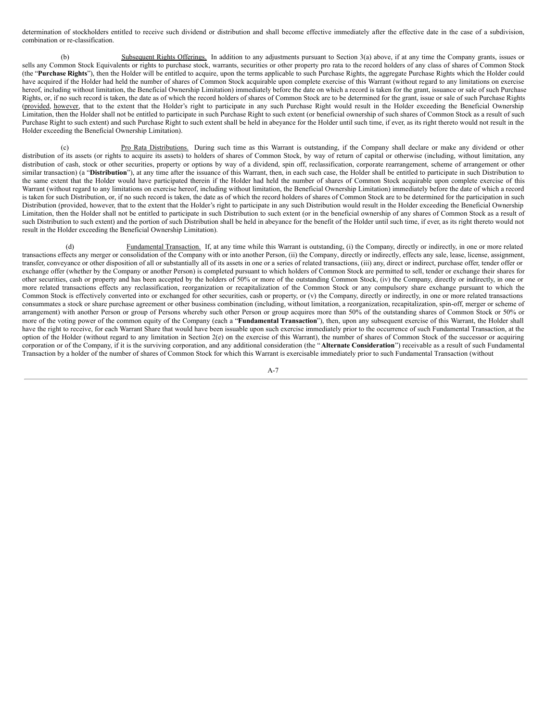determination of stockholders entitled to receive such dividend or distribution and shall become effective immediately after the effective date in the case of a subdivision, combination or re-classification.

Subsequent Rights Offerings. In addition to any adjustments pursuant to Section 3(a) above, if at any time the Company grants, issues or sells any Common Stock Equivalents or rights to purchase stock, warrants, securities or other property pro rata to the record holders of any class of shares of Common Stock (the "**Purchase Rights**"), then the Holder will be entitled to acquire, upon the terms applicable to such Purchase Rights, the aggregate Purchase Rights which the Holder could have acquired if the Holder had held the number of shares of Common Stock acquirable upon complete exercise of this Warrant (without regard to any limitations on exercise hereof, including without limitation, the Beneficial Ownership Limitation) immediately before the date on which a record is taken for the grant, issuance or sale of such Purchase Rights, or, if no such record is taken, the date as of which the record holders of shares of Common Stock are to be determined for the grant, issue or sale of such Purchase Rights (provided, however, that to the extent that the Holder's right to participate in any such Purchase Right would result in the Holder exceeding the Beneficial Ownership Limitation, then the Holder shall not be entitled to participate in such Purchase Right to such extent (or beneficial ownership of such shares of Common Stock as a result of such Purchase Right to such extent) and such Purchase Right to such extent shall be held in abeyance for the Holder until such time, if ever, as its right thereto would not result in the Holder exceeding the Beneficial Ownership Limitation).

Pro Rata Distributions. During such time as this Warrant is outstanding, if the Company shall declare or make any dividend or other distribution of its assets (or rights to acquire its assets) to holders of shares of Common Stock, by way of return of capital or otherwise (including, without limitation, any distribution of cash, stock or other securities, property or options by way of a dividend, spin off, reclassification, corporate rearrangement, scheme of arrangement or other similar transaction) (a "Distribution"), at any time after the issuance of this Warrant, then, in each such case, the Holder shall be entitled to participate in such Distribution to the same extent that the Holder would have participated therein if the Holder had held the number of shares of Common Stock acquirable upon complete exercise of this Warrant (without regard to any limitations on exercise hereof, including without limitation, the Beneficial Ownership Limitation) immediately before the date of which a record is taken for such Distribution, or, if no such record is taken, the date as of which the record holders of shares of Common Stock are to be determined for the participation in such Distribution (provided, however, that to the extent that the Holder's right to participate in any such Distribution would result in the Holder exceeding the Beneficial Ownership Limitation, then the Holder shall not be entitled to participate in such Distribution to such extent (or in the beneficial ownership of any shares of Common Stock as a result of such Distribution to such extent) and the portion of such Distribution shall be held in abeyance for the benefit of the Holder until such time, if ever, as its right thereto would not result in the Holder exceeding the Beneficial Ownership Limitation).

(d) Fundamental Transaction. If, at any time while this Warrant is outstanding, (i) the Company, directly or indirectly, in one or more related transactions effects any merger or consolidation of the Company with or into another Person, (ii) the Company, directly or indirectly, effects any sale, lease, license, assignment, transfer, conveyance or other disposition of all or substantially all of its assets in one or a series of related transactions, (iii) any, direct or indirect, purchase offer, tender offer or exchange offer (whether by the Company or another Person) is completed pursuant to which holders of Common Stock are permitted to sell, tender or exchange their shares for other securities, cash or property and has been accepted by the holders of 50% or more of the outstanding Common Stock, (iv) the Company, directly or indirectly, in one or more related transactions effects any reclassification, reorganization or recapitalization of the Common Stock or any compulsory share exchange pursuant to which the Common Stock is effectively converted into or exchanged for other securities, cash or property, or (v) the Company, directly or indirectly, in one or more related transactions consummates a stock or share purchase agreement or other business combination (including, without limitation, a reorganization, recapitalization, spin-off, merger or scheme of arrangement) with another Person or group of Persons whereby such other Person or group acquires more than 50% of the outstanding shares of Common Stock or 50% or more of the voting power of the common equity of the Company (each a "**Fundamental Transaction**"), then, upon any subsequent exercise of this Warrant, the Holder shall have the right to receive, for each Warrant Share that would have been issuable upon such exercise immediately prior to the occurrence of such Fundamental Transaction, at the option of the Holder (without regard to any limitation in Section 2(e) on the exercise of this Warrant), the number of shares of Common Stock of the successor or acquiring corporation or of the Company, if it is the surviving corporation, and any additional consideration (the "**Alternate Consideration**") receivable as a result of such Fundamental Transaction by a holder of the number of shares of Common Stock for which this Warrant is exercisable immediately prior to such Fundamental Transaction (without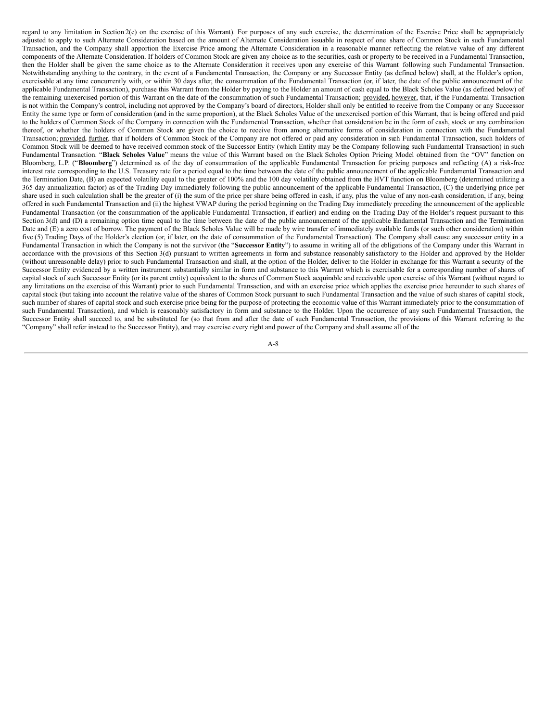regard to any limitation in Section 2(e) on the exercise of this Warrant). For purposes of any such exercise, the determination of the Exercise Price shall be appropriately adjusted to apply to such Alternate Consideration based on the amount of Alternate Consideration issuable in respect of one share of Common Stock in such Fundamental Transaction, and the Company shall apportion the Exercise Price among the Alternate Consideration in a reasonable manner reflecting the relative value of any different components of the Alternate Consideration. If holders of Common Stock are given any choice as to the securities, cash or property to be received in a Fundamental Transaction, then the Holder shall be given the same choice as to the Alternate Consideration it receives upon any exercise of this Warrant following such Fundamental Transaction. Notwithstanding anything to the contrary, in the event of a Fundamental Transaction, the Company or any Successor Entity (as defined below) shall, at the Holder's option, exercisable at any time concurrently with, or within 30 days after, the consummation of the Fundamental Transaction (or, if later, the date of the public announcement of the applicable Fundamental Transaction), purchase this Warrant from the Holder by paying to the Holder an amount of cash equal to the Black Scholes Value (as defined below) of the remaining unexercised portion of this Warrant on the date of the consummation of such Fundamental Transaction; provided, however, that, if the Fundamental Transaction is not within the Company's control, including not approved by the Company's board of directors, Holder shall only be entitled to receive from the Company or any Successor Entity the same type or form of consideration (and in the same proportion), at the Black Scholes Value of the unexercised portion of this Warrant, that is being offered and paid to the holders of Common Stock of the Company in connection with the Fundamental Transaction, whether that consideration be in the form of cash, stock or any combination thereof, or whether the holders of Common Stock are given the choice to receive from among alternative forms of consideration in connection with the Fundamental Transaction; provided, further, that if holders of Common Stock of the Company are not offered or paid any consideration in such Fundamental Transaction, such holders of Common Stock will be deemed to have received common stock of the Successor Entity (which Entity may be the Company following such Fundamental Transaction) in such Fundamental Transaction. "**Black Scholes Value**" means the value of this Warrant based on the Black Scholes Option Pricing Model obtained from the "OV" function on Bloomberg, L.P. ("**Bloomberg**") determined as of the day of consummation of the applicable Fundamental Transaction for pricing purposes and reflecting (A) a risk-free interest rate corresponding to the U.S. Treasury rate for a period equal to the time between the date of the public announcement of the applicable Fundamental Transaction and the Termination Date, (B) an expected volatility equal to the greater of 100% and the 100 day volatility obtained from the HVT function on Bloomberg (determined utilizing a 365 day annualization factor) as of the Trading Day immediately following the public announcement of the applicable Fundamental Transaction, (C) the underlying price per share used in such calculation shall be the greater of (i) the sum of the price per share being offered in cash, if any, plus the value of any non-cash consideration, if any, being offered in such Fundamental Transaction and (ii) the highest VWAP during the period beginning on the Trading Day immediately preceding the announcement of the applicable Fundamental Transaction (or the consummation of the applicable Fundamental Transaction, if earlier) and ending on the Trading Day of the Holder's request pursuant to this Section 3(d) and (D) a remaining option time equal to the time between the date of the public announcement of the applicable Endamental Transaction and the Termination Date and (E) a zero cost of borrow. The payment of the Black Scholes Value will be made by wire transfer of immediately available funds (or such other consideration) within five (5) Trading Days of the Holder's election (or, if later, on the date of consummation of the Fundamental Transaction). The Company shall cause any successor entity in a Fundamental Transaction in which the Company is not the survivor (the "**Successor Entity**") to assume in writing all of the obligations of the Company under this Warrant in accordance with the provisions of this Section 3(d) pursuant to written agreements in form and substance reasonably satisfactory to the Holder and approved by the Holder (without unreasonable delay) prior to such Fundamental Transaction and shall, at the option of the Holder, deliver to the Holder in exchange for this Warrant a security of the Successor Entity evidenced by a written instrument substantially similar in form and substance to this Warrant which is exercisable for a corresponding number of shares of capital stock of such Successor Entity (or its parent entity) equivalent to the shares of Common Stock acquirable and receivable upon exercise of this Warrant (without regard to any limitations on the exercise of this Warrant) prior to such Fundamental Transaction, and with an exercise price which applies the exercise price hereunder to such shares of capital stock (but taking into account the relative value of the shares of Common Stock pursuant to such Fundamental Transaction and the value of such shares of capital stock, such number of shares of capital stock and such exercise price being for the purpose of protecting the economic value of this Warrant immediately prior to the consummation of such Fundamental Transaction), and which is reasonably satisfactory in form and substance to the Holder. Upon the occurrence of any such Fundamental Transaction, the Successor Entity shall succeed to, and be substituted for (so that from and after the date of such Fundamental Transaction, the provisions of this Warrant referring to the "Company" shall refer instead to the Successor Entity), and may exercise every right and power of the Company and shall assume all of the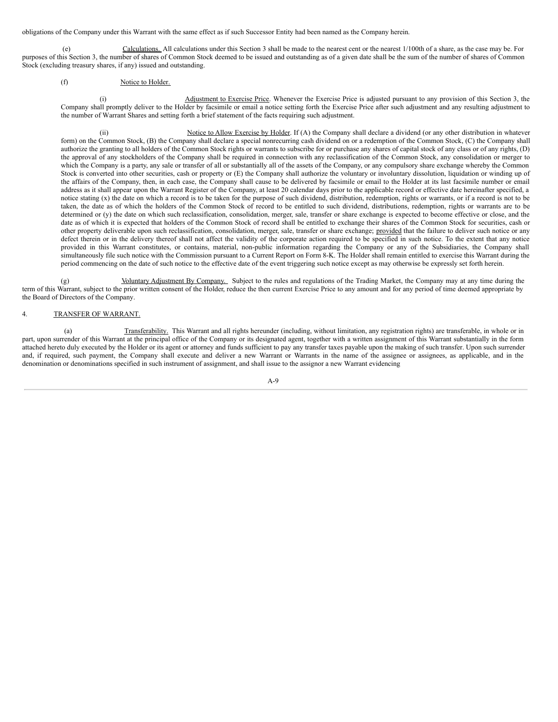obligations of the Company under this Warrant with the same effect as if such Successor Entity had been named as the Company herein.

(e) Calculations. All calculations under this Section 3 shall be made to the nearest cent or the nearest 1/100th of a share, as the case may be. For purposes of this Section 3, the number of shares of Common Stock deemed to be issued and outstanding as of a given date shall be the sum of the number of shares of Common Stock (excluding treasury shares, if any) issued and outstanding.

## (f) Notice to Holder.

(i) Adjustment to Exercise Price. Whenever the Exercise Price is adjusted pursuant to any provision of this Section 3, the Company shall promptly deliver to the Holder by facsimile or email a notice setting forth the Exercise Price after such adjustment and any resulting adjustment to the number of Warrant Shares and setting forth a brief statement of the facts requiring such adjustment.

Notice to Allow Exercise by Holder. If (A) the Company shall declare a dividend (or any other distribution in whatever form) on the Common Stock, (B) the Company shall declare a special nonrecurring cash dividend on or a redemption of the Common Stock, (C) the Company shall authorize the granting to all holders of the Common Stock rights or warrants to subscribe for or purchase any shares of capital stock of any class or of any rights, (D) the approval of any stockholders of the Company shall be required in connection with any reclassification of the Common Stock, any consolidation or merger to which the Company is a party, any sale or transfer of all or substantially all of the assets of the Company, or any compulsory share exchange whereby the Common Stock is converted into other securities, cash or property or (E) the Company shall authorize the voluntary or involuntary dissolution, liquidation or winding up of the affairs of the Company, then, in each case, the Company shall cause to be delivered by facsimile or email to the Holder at its last facsimile number or email address as it shall appear upon the Warrant Register of the Company, at least 20 calendar days prior to the applicable record or effective date hereinafter specified, a notice stating (x) the date on which a record is to be taken for the purpose of such dividend, distribution, redemption, rights or warrants, or if a record is not to be taken, the date as of which the holders of the Common Stock of record to be entitled to such dividend, distributions, redemption, rights or warrants are to be determined or (y) the date on which such reclassification, consolidation, merger, sale, transfer or share exchange is expected to become effective or close, and the date as of which it is expected that holders of the Common Stock of record shall be entitled to exchange their shares of the Common Stock for securities, cash or other property deliverable upon such reclassification, consolidation, merger, sale, transfer or share exchange; provided that the failure to deliver such notice or any defect therein or in the delivery thereof shall not affect the validity of the corporate action required to be specified in such notice. To the extent that any notice provided in this Warrant constitutes, or contains, material, non-public information regarding the Company or any of the Subsidiaries, the Company shall simultaneously file such notice with the Commission pursuant to a Current Report on Form 8-K. The Holder shall remain entitled to exercise this Warrant during the period commencing on the date of such notice to the effective date of the event triggering such notice except as may otherwise be expressly set forth herein.

(g) Voluntary Adjustment By Company. Subject to the rules and regulations of the Trading Market, the Company may at any time during the term of this Warrant, subject to the prior written consent of the Holder, reduce the then current Exercise Price to any amount and for any period of time deemed appropriate by the Board of Directors of the Company.

## 4. TRANSFER OF WARRANT.

(a) Transferability. This Warrant and all rights hereunder (including, without limitation, any registration rights) are transferable, in whole or in part, upon surrender of this Warrant at the principal office of the Company or its designated agent, together with a written assignment of this Warrant substantially in the form attached hereto duly executed by the Holder or its agent or attorney and funds sufficient to pay any transfer taxes payable upon the making of such transfer. Upon such surrender and, if required, such payment, the Company shall execute and deliver a new Warrant or Warrants in the name of the assignee or assignees, as applicable, and in the denomination or denominations specified in such instrument of assignment, and shall issue to the assignor a new Warrant evidencing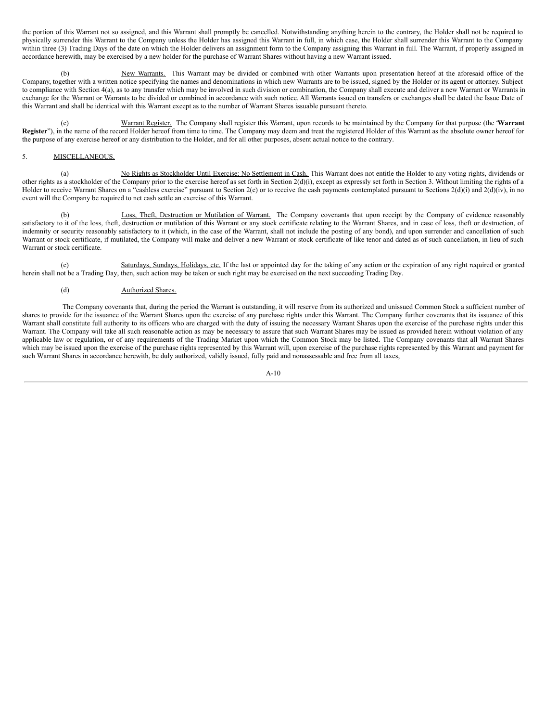the portion of this Warrant not so assigned, and this Warrant shall promptly be cancelled. Notwithstanding anything herein to the contrary, the Holder shall not be required to physically surrender this Warrant to the Company unless the Holder has assigned this Warrant in full, in which case, the Holder shall surrender this Warrant to the Company within three (3) Trading Days of the date on which the Holder delivers an assignment form to the Company assigning this Warrant in full. The Warrant, if properly assigned in accordance herewith, may be exercised by a new holder for the purchase of Warrant Shares without having a new Warrant issued.

New Warrants. This Warrant may be divided or combined with other Warrants upon presentation hereof at the aforesaid office of the Company, together with a written notice specifying the names and denominations in which new Warrants are to be issued, signed by the Holder or its agent or attorney. Subject to compliance with Section 4(a), as to any transfer which may be involved in such division or combination, the Company shall execute and deliver a new Warrant or Warrants in exchange for the Warrant or Warrants to be divided or combined in accordance with such notice. All Warrants issued on transfers or exchanges shall be dated the Issue Date of this Warrant and shall be identical with this Warrant except as to the number of Warrant Shares issuable pursuant thereto.

(c) Warrant Register. The Company shall register this Warrant, upon records to be maintained by the Company for that purpose (the "**Warrant Register**"), in the name of the record Holder hereof from time to time. The Company may deem and treat the registered Holder of this Warrant as the absolute owner hereof for the purpose of any exercise hereof or any distribution to the Holder, and for all other purposes, absent actual notice to the contrary.

## 5. MISCELLANEOUS.

(a) No Rights as Stockholder Until Exercise; No Settlement in Cash. This Warrant does not entitle the Holder to any voting rights, dividends or other rights as a stockholder of the Company prior to the exercise hereof as set forth in Section 2(d)(i), except as expressly set forth in Section 3. Without limiting the rights of a Holder to receive Warrant Shares on a "cashless exercise" pursuant to Section 2(c) or to receive the cash payments contemplated pursuant to Sections 2(d)(i) and 2(d)(iv), in no event will the Company be required to net cash settle an exercise of this Warrant.

(b) Loss, Theft, Destruction or Mutilation of Warrant. The Company covenants that upon receipt by the Company of evidence reasonably satisfactory to it of the loss, theft, destruction or mutilation of this Warrant or any stock certificate relating to the Warrant Shares, and in case of loss, theft or destruction, of indemnity or security reasonably satisfactory to it (which, in the case of the Warrant, shall not include the posting of any bond), and upon surrender and cancellation of such Warrant or stock certificate, if mutilated, the Company will make and deliver a new Warrant or stock certificate of like tenor and dated as of such cancellation, in lieu of such Warrant or stock certificate.

(c) Saturdays, Sundays, Holidays, etc. If the last or appointed day for the taking of any action or the expiration of any right required or granted herein shall not be a Trading Day, then, such action may be taken or such right may be exercised on the next succeeding Trading Day.

## (d) Authorized Shares.

The Company covenants that, during the period the Warrant is outstanding, it will reserve from its authorized and unissued Common Stock a sufficient number of shares to provide for the issuance of the Warrant Shares upon the exercise of any purchase rights under this Warrant. The Company further covenants that its issuance of this Warrant shall constitute full authority to its officers who are charged with the duty of issuing the necessary Warrant Shares upon the exercise of the purchase rights under this Warrant. The Company will take all such reasonable action as may be necessary to assure that such Warrant Shares may be issued as provided herein without violation of any applicable law or regulation, or of any requirements of the Trading Market upon which the Common Stock may be listed. The Company covenants that all Warrant Shares which may be issued upon the exercise of the purchase rights represented by this Warrant will, upon exercise of the purchase rights represented by this Warrant and payment for such Warrant Shares in accordance herewith, be duly authorized, validly issued, fully paid and nonassessable and free from all taxes,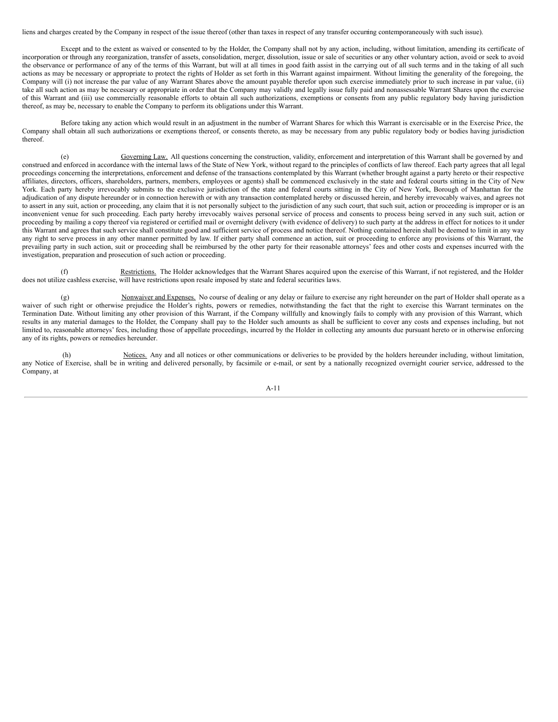liens and charges created by the Company in respect of the issue thereof (other than taxes in respect of any transfer occurring contemporaneously with such issue).

Except and to the extent as waived or consented to by the Holder, the Company shall not by any action, including, without limitation, amending its certificate of incorporation or through any reorganization, transfer of assets, consolidation, merger, dissolution, issue or sale of securities or any other voluntary action, avoid or seek to avoid the observance or performance of any of the terms of this Warrant, but will at all times in good faith assist in the carrying out of all such terms and in the taking of all such actions as may be necessary or appropriate to protect the rights of Holder as set forth in this Warrant against impairment. Without limiting the generality of the foregoing, the Company will (i) not increase the par value of any Warrant Shares above the amount payable therefor upon such exercise immediately prior to such increase in par value, (ii) take all such action as may be necessary or appropriate in order that the Company may validly and legally issue fully paid and nonassessable Warrant Shares upon the exercise of this Warrant and (iii) use commercially reasonable efforts to obtain all such authorizations, exemptions or consents from any public regulatory body having jurisdiction thereof, as may be, necessary to enable the Company to perform its obligations under this Warrant.

Before taking any action which would result in an adjustment in the number of Warrant Shares for which this Warrant is exercisable or in the Exercise Price, the Company shall obtain all such authorizations or exemptions thereof, or consents thereto, as may be necessary from any public regulatory body or bodies having jurisdiction thereof.

(e) Governing Law. All questions concerning the construction, validity, enforcement and interpretation of this Warrant shall be governed by and construed and enforced in accordance with the internal laws of the State of New York, without regard to the principles of conflicts of law thereof. Each party agrees that all legal proceedings concerning the interpretations, enforcement and defense of the transactions contemplated by this Warrant (whether brought against a party hereto or their respective affiliates, directors, officers, shareholders, partners, members, employees or agents) shall be commenced exclusively in the state and federal courts sitting in the City of New York. Each party hereby irrevocably submits to the exclusive jurisdiction of the state and federal courts sitting in the City of New York, Borough of Manhattan for the adjudication of any dispute hereunder or in connection herewith or with any transaction contemplated hereby or discussed herein, and hereby irrevocably waives, and agrees not to assert in any suit, action or proceeding, any claim that it is not personally subject to the jurisdiction of any such court, that such suit, action or proceeding is improper or is an inconvenient venue for such proceeding. Each party hereby irrevocably waives personal service of process and consents to process being served in any such suit, action or proceeding by mailing a copy thereof via registered or certified mail or overnight delivery (with evidence of delivery) to such party at the address in effect for notices to it under this Warrant and agrees that such service shall constitute good and sufficient service of process and notice thereof. Nothing contained herein shall be deemed to limit in any way any right to serve process in any other manner permitted by law. If either party shall commence an action, suit or proceeding to enforce any provisions of this Warrant, the prevailing party in such action, suit or proceeding shall be reimbursed by the other party for their reasonable attorneys' fees and other costs and expenses incurred with the investigation, preparation and prosecution of such action or proceeding.

Restrictions. The Holder acknowledges that the Warrant Shares acquired upon the exercise of this Warrant, if not registered, and the Holder does not utilize cashless exercise, will have restrictions upon resale imposed by state and federal securities laws.

(g) Nonwaiver and Expenses. No course of dealing or any delay or failure to exercise any right hereunder on the part of Holder shall operate as a waiver of such right or otherwise prejudice the Holder's rights, powers or remedies, notwithstanding the fact that the right to exercise this Warrant terminates on the Termination Date. Without limiting any other provision of this Warrant, if the Company willfully and knowingly fails to comply with any provision of this Warrant, which results in any material damages to the Holder, the Company shall pay to the Holder such amounts as shall be sufficient to cover any costs and expenses including, but not limited to, reasonable attorneys' fees, including those of appellate proceedings, incurred by the Holder in collecting any amounts due pursuant hereto or in otherwise enforcing any of its rights, powers or remedies hereunder.

(h) Notices. Any and all notices or other communications or deliveries to be provided by the holders hereunder including, without limitation, any Notice of Exercise, shall be in writing and delivered personally, by facsimile or e-mail, or sent by a nationally recognized overnight courier service, addressed to the Company, at

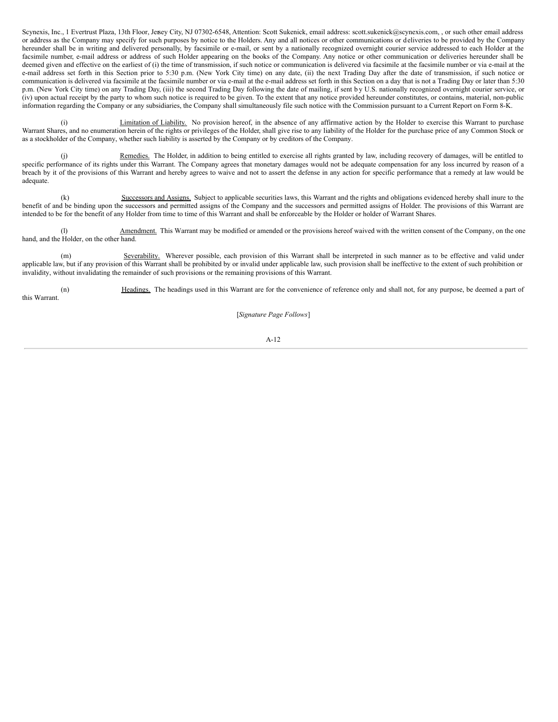Scynexis, Inc., 1 Evertrust Plaza, 13th Floor, Jersey City, NJ 07302-6548, Attention: Scott Sukenick, email address: scott.sukenick@scynexis.com, , or such other email address or address as the Company may specify for such purposes by notice to the Holders. Any and all notices or other communications or deliveries to be provided by the Company hereunder shall be in writing and delivered personally, by facsimile or e-mail, or sent by a nationally recognized overnight courier service addressed to each Holder at the facsimile number, e-mail address or address of such Holder appearing on the books of the Company. Any notice or other communication or deliveries hereunder shall be deemed given and effective on the earliest of (i) the time of transmission, if such notice or communication is delivered via facsimile at the facsimile number or via e-mail at the e-mail address set forth in this Section prior to 5:30 p.m. (New York City time) on any date, (ii) the next Trading Day after the date of transmission, if such notice or communication is delivered via facsimile at the facsimile number or via e-mail at the e-mail address set forth in this Section on a day that is not a Trading Day or later than 5:30 p.m. (New York City time) on any Trading Day, (iii) the second Trading Day following the date of mailing, if sent b y U.S. nationally recognized overnight courier service, or (iv) upon actual receipt by the party to whom such notice is required to be given. To the extent that any notice provided hereunder constitutes, or contains, material, non-public information regarding the Company or any subsidiaries, the Company shall simultaneously file such notice with the Commission pursuant to a Current Report on Form 8-K.

(i) Limitation of Liability. No provision hereof, in the absence of any affirmative action by the Holder to exercise this Warrant to purchase Warrant Shares, and no enumeration herein of the rights or privileges of the Holder, shall give rise to any liability of the Holder for the purchase price of any Common Stock or as a stockholder of the Company, whether such liability is asserted by the Company or by creditors of the Company.

(j) Remedies. The Holder, in addition to being entitled to exercise all rights granted by law, including recovery of damages, will be entitled to specific performance of its rights under this Warrant. The Company agrees that monetary damages would not be adequate compensation for any loss incurred by reason of a breach by it of the provisions of this Warrant and hereby agrees to waive and not to assert the defense in any action for specific performance that a remedy at law would be adequate.

(k) Successors and Assigns. Subject to applicable securities laws, this Warrant and the rights and obligations evidenced hereby shall inure to the benefit of and be binding upon the successors and permitted assigns of the Company and the successors and permitted assigns of Holder. The provisions of this Warrant are intended to be for the benefit of any Holder from time to time of this Warrant and shall be enforceable by the Holder or holder of Warrant Shares.

(l) **Amendment.** This Warrant may be modified or amended or the provisions hereof waived with the written consent of the Company, on the one hand, and the Holder, on the other hand.

(m) Severability. Wherever possible, each provision of this Warrant shall be interpreted in such manner as to be effective and valid under applicable law, but if any provision of this Warrant shall be prohibited by or invalid under applicable law, such provision shall be ineffective to the extent of such prohibition or invalidity, without invalidating the remainder of such provisions or the remaining provisions of this Warrant.

(n) Headings. The headings used in this Warrant are for the convenience of reference only and shall not, for any purpose, be deemed a part of this Warrant.

[*Signature Page Follows*]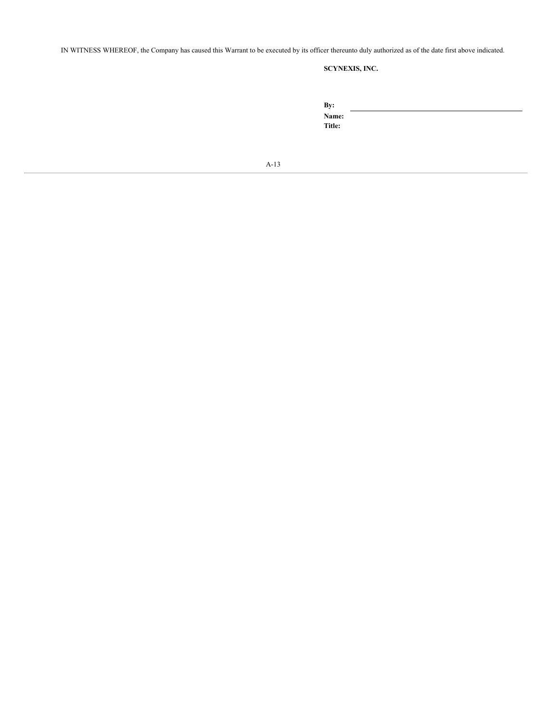IN WITNESS WHEREOF, the Company has caused this Warrant to be executed by its officer thereunto duly authorized as of the date first above indicated.

**SCYNEXIS, INC.**

**By: Name: Title:**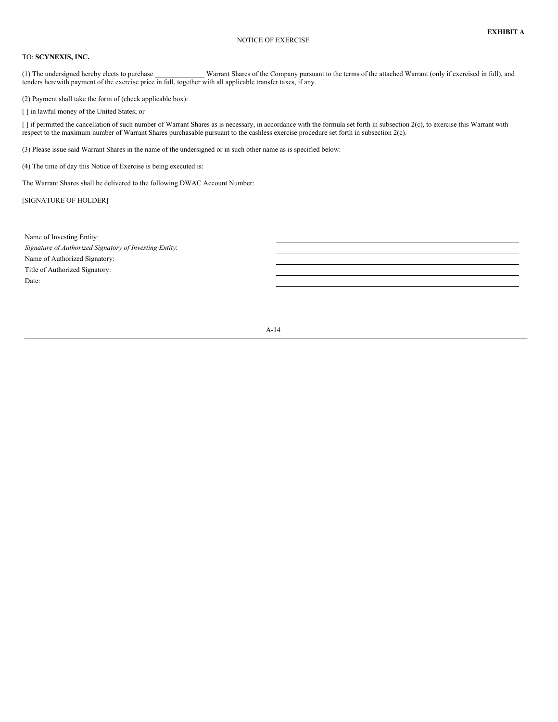## TO: **SCYNEXIS, INC.**

(1) The undersigned hereby elects to purchase \_\_\_\_\_\_\_\_\_\_\_\_\_\_ Warrant Shares of the Company pursuant to the terms of the attached Warrant (only if exercised in full), and tenders herewith payment of the exercise price in full, together with all applicable transfer taxes, if any.

(2) Payment shall take the form of (check applicable box):

[ ] in lawful money of the United States; or

[ ] if permitted the cancellation of such number of Warrant Shares as is necessary, in accordance with the formula set forth in subsection 2(c), to exercise this Warrant with respect to the maximum number of Warrant Shares purchasable pursuant to the cashless exercise procedure set forth in subsection 2(c).

(3) Please issue said Warrant Shares in the name of the undersigned or in such other name as is specified below:

(4) The time of day this Notice of Exercise is being executed is:

The Warrant Shares shall be delivered to the following DWAC Account Number:

[SIGNATURE OF HOLDER]

Name of Investing Entity: *Signature of Authorized Signatory of Investing Entity*: Name of Authorized Signatory: Title of Authorized Signatory: Date: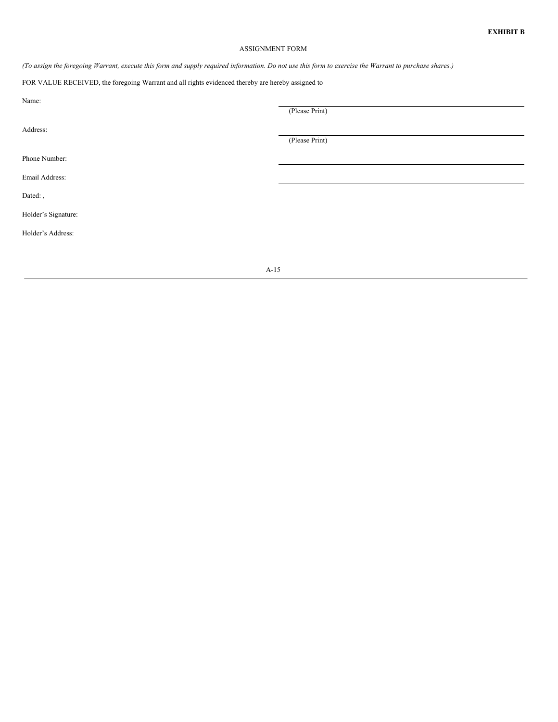## ASSIGNMENT FORM

(To assign the foregoing Warrant, execute this form and supply required information. Do not use this form to exercise the Warrant to purchase shares.)

FOR VALUE RECEIVED, the foregoing Warrant and all rights evidenced thereby are hereby assigned to

| Name:               |                |
|---------------------|----------------|
|                     | (Please Print) |
| Address:            |                |
|                     | (Please Print) |
| Phone Number:       |                |
| Email Address:      |                |
| Dated:,             |                |
| Holder's Signature: |                |
| Holder's Address:   |                |
|                     |                |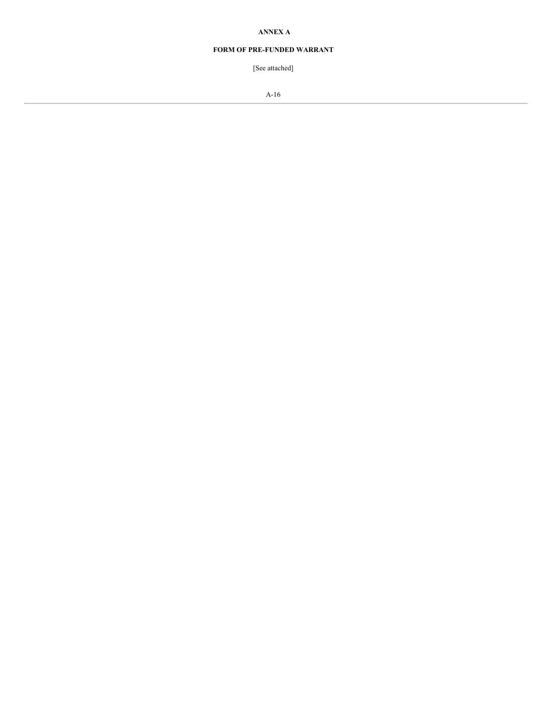# **ANNEX A**

# **FORM OF PRE-FUNDED WARRANT**

[See attached]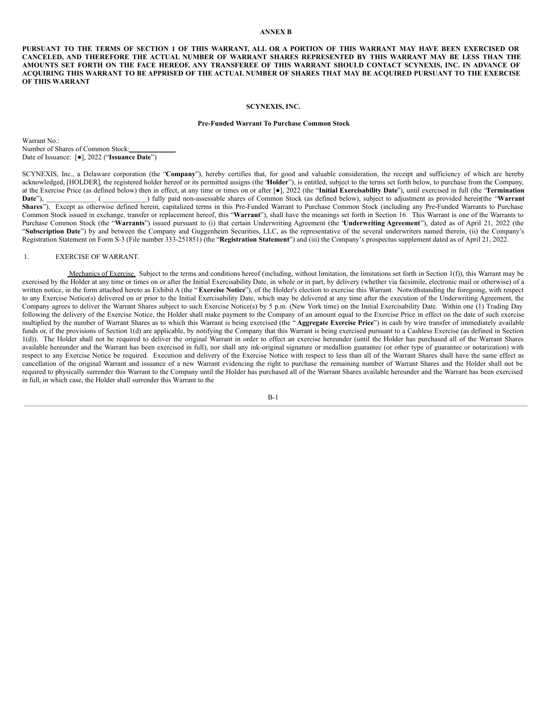## **ANNEX B**

PURSUANT TO THE TERMS OF SECTION 1 OF THIS WARRANT, ALL OR A PORTION OF THIS WARRANT MAY HAVE BEEN EXERCISED OR CANCELED, AND THEREFORE THE ACTUAL NUMBER OF WARRANT SHARES REPRESENTED BY THIS WARRANT MAY BE LESS THAN THE AMOUNTS SET FORTH ON THE FACE HEREOF. ANY TRANSFEREE OF THIS WARRANT SHOULD CONTACT SCYNEXIS, INC. IN ADVANCE OF ACQUIRING THIS WARRANT TO BE APPRISED OF THE ACTUAL NUMBER OF SHARES THAT MAY BE ACQUIRED PURSUANT TO THE EXERCISE **OF THIS WARRANT**

## **SCYNEXIS, INC.**

#### **Pre-Funded Warrant To Purchase Common Stock**

Warrant No.: Number of Shares of Common Stock: Date of Issuance: [●], 2022 ("**Issuance Date**")

SCYNEXIS, Inc., a Delaware corporation (the "**Company**"), hereby certifies that, for good and valuable consideration, the receipt and sufficiency of which are hereby acknowledged, [HOLDER], the registered holder hereof or its permitted assigns (the "**Holder**"), is entitled, subject to the terms set forth below, to purchase from the Company, at the Exercise Price (as defined below) then in effect, at any time or times on or after [●], 2022 (the "**Initial Exercisability Date**"), until exercised in full (the "**Termination Date**"), \_\_\_\_\_\_\_\_\_\_\_\_\_\_ (\_\_\_\_\_\_\_\_\_\_\_\_\_) fully paid non-assessable shares of Common Stock (as defined below), subject to adjustment as provided herein(the "**Warrant Shares**"). Except as otherwise defined herein, capitalized terms in this Pre-Funded Warrant to Purchase Common Stock (including any Pre-Funded Warrants to Purchase Common Stock issued in exchange, transfer or replacement hereof, this "**Warrant**"), shall have the meanings set forth in Section 16. This Warrant is one of the Warrants to Purchase Common Stock (the "**Warrants**") issued pursuant to (i) that certain Underwriting Agreement (the "**Underwriting Agreement**"), dated as of April 21, 2022 (the "**Subscription Date**") by and between the Company and Guggenheim Securities, LLC, as the representative of the several underwriters named therein, (ii) the Company's Registration Statement on Form S-3 (File number 333-251851) (the "**Registration Statement**") and (iii) the Company's prospectus supplement dated as of April 21, 2022.

## 1. EXERCISE OF WARRANT.

Mechanics of Exercise. Subject to the terms and conditions hereof (including, without limitation, the limitations set forth in Section 1(f)), this Warrant may be exercised by the Holder at any time or times on or after the Initial Exercisability Date, in whole or in part, by delivery (whether via facsimile, electronic mail or otherwise) of a written notice, in the form attached hereto as Exhibit A (the "**Exercise Notice**"), of the Holder's election to exercise this Warrant. Notwithstanding the foregoing, with respect to any Exercise Notice(s) delivered on or prior to the Initial Exercisability Date, which may be delivered at any time after the execution of the Underwriting Agreement, the Company agrees to deliver the Warrant Shares subject to such Exercise Notice(s) by 5 p.m. (New York time) on the Initial Exercisability Date. Within one (1) Trading Day following the delivery of the Exercise Notice, the Holder shall make payment to the Company of an amount equal to the Exercise Price in effect on the date of such exercise multiplied by the number of Warrant Shares as to which this Warrant is being exercised (the " **Aggregate Exercise Price**") in cash by wire transfer of immediately available funds or, if the provisions of Section 1(d) are applicable, by notifying the Company that this Warrant is being exercised pursuant to a Cashless Exercise (as defined in Section 1(d)). The Holder shall not be required to deliver the original Warrant in order to effect an exercise hereunder (until the Holder has purchased all of the Warrant Shares available hereunder and the Warrant has been exercised in full), nor shall any ink-original signature or medallion guarantee (or other type of guarantee or notarization) with respect to any Exercise Notice be required. Execution and delivery of the Exercise Notice with respect to less than all of the Warrant Shares shall have the same effect as cancellation of the original Warrant and issuance of a new Warrant evidencing the right to purchase the remaining number of Warrant Shares and the Holder shall not be required to physically surrender this Warrant to the Company until the Holder has purchased all of the Warrant Shares available hereunder and the Warrant has been exercised in full, in which case, the Holder shall surrender this Warrant to the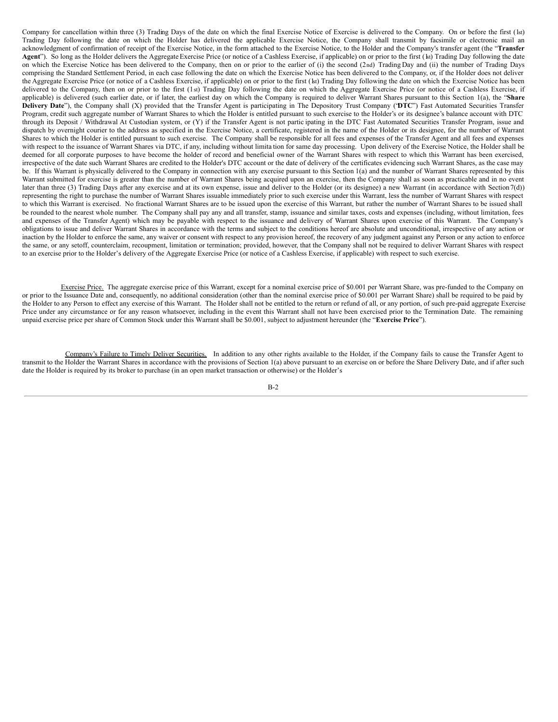Company for cancellation within three (3) Trading Days of the date on which the final Exercise Notice of Exercise is delivered to the Company. On or before the first (1st) Trading Day following the date on which the Holder has delivered the applicable Exercise Notice, the Company shall transmit by facsimile or electronic mail an acknowledgment of confirmation of receipt of the Exercise Notice, in the form attached to the Exercise Notice, to the Holder and the Company's transfer agent (the "**Transfer** Agent"). So long as the Holder delivers the Aggregate Exercise Price (or notice of a Cashless Exercise, if applicable) on or prior to the first (kt) Trading Day following the date on which the Exercise Notice has been delivered to the Company, then on or prior to the earlier of (i) the second (2nd) Trading Day and (ii) the number of Trading Days comprising the Standard Settlement Period, in each case following the date on which the Exercise Notice has been delivered to the Company, or, if the Holder does not deliver the Aggregate Exercise Price (or notice of a Cashless Exercise, if applicable) on or prior to the first (kt) Trading Day following the date on which the Exercise Notice has been delivered to the Company, then on or prior to the first (1st) Trading Day following the date on which the Aggregate Exercise Price (or notice of a Cashless Exercise, if applicable) is delivered (such earlier date, or if later, the earliest day on which the Company is required to deliver Warrant Shares pursuant to this Section 1(a), the "**Share Delivery Date**"), the Company shall (X) provided that the Transfer Agent is participating in The Depository Trust Company ("**DTC**") Fast Automated Securities Transfer Program, credit such aggregate number of Warrant Shares to which the Holder is entitled pursuant to such exercise to the Holder's or its designee's balance account with DTC through its Deposit / Withdrawal At Custodian system, or (Y) if the Transfer Agent is not partic ipating in the DTC Fast Automated Securities Transfer Program, issue and dispatch by overnight courier to the address as specified in the Exercise Notice, a certificate, registered in the name of the Holder or its designee, for the number of Warrant Shares to which the Holder is entitled pursuant to such exercise. The Company shall be responsible for all fees and expenses of the Transfer Agent and all fees and expenses with respect to the issuance of Warrant Shares via DTC, if any, including without limita tion for same day processing. Upon delivery of the Exercise Notice, the Holder shall be deemed for all corporate purposes to have become the holder of record and beneficial owner of the Warrant Shares with respect to which this Warrant has been exercised, irrespective of the date such Warrant Shares are credited to the Holder's DTC account or the date of delivery of the certificates evidencing such Warrant Shares, as the case may be. If this Warrant is physically delivered to the Company in connection with any exercise pursuant to this Section 1(a) and the number of Warrant Shares represented by this Warrant submitted for exercise is greater than the number of Warrant Shares being acquired upon an exercise, then the Company shall as soon as practicable and in no event later than three (3) Trading Days after any exercise and at its own expense, issue and deliver to the Holder (or its designee) a new Warrant (in accordance with Section 7(d)) representing the right to purchase the number of Warrant Shares issuable immediately prior to such exercise under this Warrant, less the number of Warrant Shares with respect to which this Warrant is exercised. No fractional Warrant Shares are to be issued upon the exercise of this Warrant, but rather the number of Warrant Shares to be issued shall be rounded to the nearest whole number. The Company shall pay any and all transfer, stamp, issuance and similar taxes, costs and expenses (including, without limitation, fees and expenses of the Transfer Agent) which may be payable with respect to the issuance and delivery of Warrant Shares upon exercise of this Warrant. The Company's obligations to issue and deliver Warrant Shares in accordance with the terms and subject to the conditions hereof are absolute and unconditional, irrespective of any action or inaction by the Holder to enforce the same, any waiver or consent with respect to any provision hereof, the recovery of any judgment against any Person or any action to enforce the same, or any setoff, counterclaim, recoupment, limitation or termination; provided, however, that the Company shall not be required to deliver Warrant Shares with respect to an exercise prior to the Holder's delivery of the Aggregate Exercise Price (or notice of a Cashless Exercise, if applicable) with respect to such exercise.

Exercise Price. The aggregate exercise price of this Warrant, except for a nominal exercise price of \$0.001 per Warrant Share, was pre-funded to the Company on or prior to the Issuance Date and, consequently, no additional consideration (other than the nominal exercise price of \$0.001 per Warrant Share) shall be required to be paid by the Holder to any Person to effect any exercise of this Warrant. The Holder shall not be entitled to the return or refund of all, or any portion, of such pre-paid aggregate Exercise Price under any circumstance or for any reason whatsoever, including in the event this Warrant shall not have been exercised prior to the Termination Date. The remaining unpaid exercise price per share of Common Stock under this Warrant shall be \$0.001, subject to adjustment hereunder (the "**Exercise Price**").

Company's Failure to Timely Deliver Securities. In addition to any other rights available to the Holder, if the Company fails to cause the Transfer Agent to transmit to the Holder the Warrant Shares in accordance with the provisions of Section 1(a) above pursuant to an exercise on or before the Share Delivery Date, and if after such date the Holder is required by its broker to purchase (in an open market transaction or otherwise) or the Holder's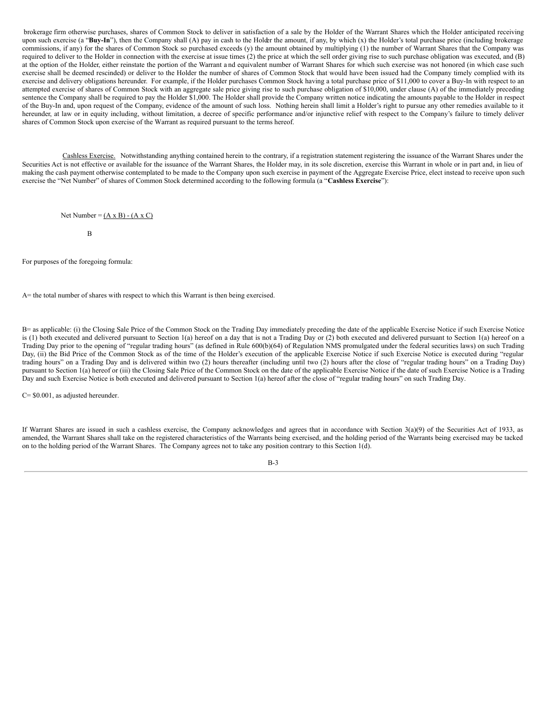brokerage firm otherwise purchases, shares of Common Stock to deliver in satisfaction of a sale by the Holder of the Warrant Shares which the Holder anticipated receiving upon such exercise (a "Buy-In"), then the Company shall (A) pay in cash to the Holder the amount, if any, by which (x) the Holder's total purchase price (including brokerage commissions, if any) for the shares of Common Stock so purchased exceeds (y) the amount obtained by multiplying (1) the number of Warrant Shares that the Company was required to deliver to the Holder in connection with the exercise at issue times (2) the price at which the sell order giving rise to such purchase obligation was executed, and (B) at the option of the Holder, either reinstate the portion of the Warrant a nd equivalent number of Warrant Shares for which such exercise was not honored (in which case such exercise shall be deemed rescinded) or deliver to the Holder the number of shares of Common Stock that would have been issued had the Company timely complied with its exercise and delivery obligations hereunder. For example, if the Holder purchases Common Stock having a total purchase price of \$11,000 to cover a Buy-In with respect to an attempted exercise of shares of Common Stock with an aggregate sale price giving rise to such purchase obligation of \$10,000, under clause (A) of the immediately preceding sentence the Company shall be required to pay the Holder \$1,000. The Holder shall provide the Company written notice indicating the amounts payable to the Holder in respect of the Buy-In and, upon request of the Company, evidence of the amount of such loss. Nothing herein shall limit a Holder's right to pursue any other remedies available to it hereunder, at law or in equity including, without limitation, a decree of specific performance and/or injunctive relief with respect to the Company's failure to timely deliver shares of Common Stock upon exercise of the Warrant as required pursuant to the terms hereof.

Cashless Exercise. Notwithstanding anything contained herein to the contrary, if a registration statement registering the issuance of the Warrant Shares under the Securities Act is not effective or available for the issuance of the Warrant Shares, the Holder may, in its sole discretion, exercise this Warrant in whole or in part and, in lieu of making the cash payment otherwise contemplated to be made to the Company upon such exercise in payment of the Aggregate Exercise Price, elect instead to receive upon such exercise the "Net Number" of shares of Common Stock determined according to the following formula (a "**Cashless Exercise**"):

Net Number =  $(A \times B) - (A \times C)$ 

B

For purposes of the foregoing formula:

A= the total number of shares with respect to which this Warrant is then being exercised.

B= as applicable: (i) the Closing Sale Price of the Common Stock on the Trading Day immediately preceding the date of the applicable Exercise Notice if such Exercise Notice is (1) both executed and delivered pursuant to Section 1(a) hereof on a day that is not a Trading Day or (2) both executed and delivered pursuant to Section 1(a) hereof on a Trading Day prior to the opening of "regular trading hours" (as defined in Rule 600(b)(64) of Regulation NMS promulgated under the federal securities laws) on such Trading Day, (ii) the Bid Price of the Common Stock as of the time of the Holder's execution of the applicable Exercise Notice if such Exercise Notice is executed during "regular trading hours" on a Trading Day and is delivered within two (2) hours thereafter (including until two (2) hours after the close of "regular trading hours" on a Trading Day) pursuant to Section 1(a) hereof or (iii) the Closing Sale Price of the Common Stock on the date of the applicable Exercise Notice if the date of such Exercise Notice is a Trading Day and such Exercise Notice is both executed and delivered pursuant to Section 1(a) hereof after the close of "regular trading hours" on such Trading Day.

C= \$0.001, as adjusted hereunder.

If Warrant Shares are issued in such a cashless exercise, the Company acknowledges and agrees that in accordance with Section 3(a)(9) of the Securities Act of 1933, as amended, the Warrant Shares shall take on the registered characteristics of the Warrants being exercised, and the holding period of the Warrants being exercised may be tacked on to the holding period of the Warrant Shares. The Company agrees not to take any position contrary to this Section 1(d).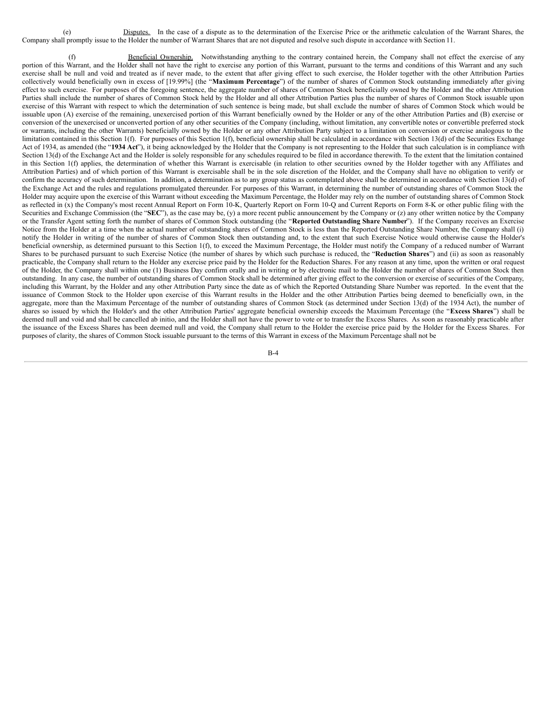(e) Disputes. In the case of a dispute as to the determination of the Exercise Price or the arithmetic calculation of the Warrant Shares, the Company shall promptly issue to the Holder the number of Warrant Shares that are not disputed and resolve such dispute in accordance with Section 11.

Beneficial Ownership. Notwithstanding anything to the contrary contained herein, the Company shall not effect the exercise of any portion of this Warrant, and the Holder shall not have the right to exercise any portion of this Warrant, pursuant to the terms and conditions of this Warrant and any such exercise shall be null and void and treated as if never made, to the extent that after giving effect to such exercise, the Holder together with the other Attribution Parties collectively would beneficially own in excess of [19.99%] (the "**Maximum Percentage**") of the number of shares of Common Stock outstanding immediately after giving effect to such exercise. For purposes of the foregoing sentence, the aggregate number of shares of Common Stock beneficially owned by the Holder and the other Attribution Parties shall include the number of shares of Common Stock held by the Holder and all other Attribution Parties plus the number of shares of Common Stock issuable upon exercise of this Warrant with respect to which the determination of such sentence is being made, but shall exclude the number of shares of Common Stock which would be issuable upon (A) exercise of the remaining, unexercised portion of this Warrant beneficially owned by the Holder or any of the other Attribution Parties and (B) exercise or conversion of the unexercised or unconverted portion of any other securities of the Company (including, without limitation, any convertible notes or convertible preferred stock or warrants, including the other Warrants) beneficially owned by the Holder or any other Attribution Party subject to a limitation on conversion or exercise analogous to the limitation contained in this Section 1(f). For purposes of this Section 1(f), beneficial ownership shall be calculated in accordance with Section 13(d) of the Securities Exchange Act of 1934, as amended (the "1934 Act"), it being acknowledged by the Holder that the Company is not representing to the Holder that such calculation is in compliance with Section 13(d) of the Exchange Act and the Holder is solely responsible for any schedules required to be filed in accordance therewith. To the extent that the limitation contained in this Section 1(f) applies, the determination of whether this Warrant is exercisable (in relation to other securities owned by the Holder together with any Affiliates and Attribution Parties) and of which portion of this Warrant is exercisable shall be in the sole discretion of the Holder, and the Company shall have no obligation to verify or confirm the accuracy of such determination. In addition, a determination as to any group status as contemplated above shall be determined in accordance with Section 13(d) of the Exchange Act and the rules and regulations promulgated thereunder. For purposes of this Warrant, in determining the number of outstanding shares of Common Stock the Holder may acquire upon the exercise of this Warrant without exceeding the Maximum Percentage, the Holder may rely on the number of outstanding shares of Common Stock as reflected in (x) the Company's most recent Annual Report on Form 10-K, Quarterly Report on Form 10-Q and Current Reports on Form 8-K or other public filing with the Securities and Exchange Commission (the "SEC"), as the case may be, (y) a more recent public announcement by the Company or (z) any other written notice by the Company or the Transfer Agent setting forth the number of shares of Common Stock outstanding (the "**Reported Outstanding Share Number**"). If the Company receives an Exercise Notice from the Holder at a time when the actual number of outstanding shares of Common Stock is less than the Reported Outstanding Share Number, the Company shall (i) notify the Holder in writing of the number of shares of Common Stock then outstanding and, to the extent that such Exercise Notice would otherwise cause the Holder's beneficial ownership, as determined pursuant to this Section 1(f), to exceed the Maximum Percentage, the Holder must notify the Company of a reduced number of Warrant Shares to be purchased pursuant to such Exercise Notice (the number of shares by which such purchase is reduced, the "**Reduction Shares**") and (ii) as soon as reasonably practicable, the Company shall return to the Holder any exercise price paid by the Holder for the Reduction Shares. For any reason at any time, upon the written or oral request of the Holder, the Company shall within one (1) Business Day confirm orally and in writing or by electronic mail to the Holder the number of shares of Common Stock then outstanding. In any case, the number of outstanding shares of Common Stock shall be determined after giving effect to the conversion or exercise of securities of the Company, including this Warrant, by the Holder and any other Attribution Party since the date as of which the Reported Outstanding Share Number was reported. In the event that the issuance of Common Stock to the Holder upon exercise of this Warrant results in the Holder and the other Attribution Parties being deemed to beneficially own, in the aggregate, more than the Maximum Percentage of the number of outstanding shares of Common Stock (as determined under Section 13(d) of the 1934 Act), the number of shares so issued by which the Holder's and the other Attribution Parties' aggregate beneficial ownership exceeds the Maximum Percentage (the "**Excess Shares**") shall be deemed null and void and shall be cancelled ab initio, and the Holder shall not have the power to vote or to transfer the Excess Shares. As soon as reasonably practicable after the issuance of the Excess Shares has been deemed null and void, the Company shall return to the Holder the exercise price paid by the Holder for the Excess Shares. For purposes of clarity, the shares of Common Stock issuable pursuant to the terms of this Warrant in excess of the Maximum Percentage shall not be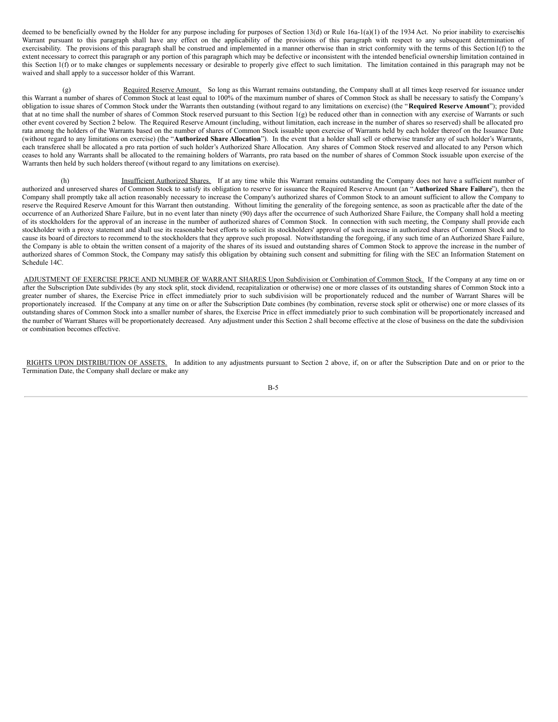deemed to be beneficially owned by the Holder for any purpose including for purposes of Section 13(d) or Rule 16a-1(a)(1) of the 1934 Act. No prior inability to exercise this Warrant pursuant to this paragraph shall have any effect on the applicability of the provisions of this paragraph with respect to any subsequent determination of exercisability. The provisions of this paragraph shall be construed and implemented in a manner otherwise than in strict conformity with the terms of this Section1(f) to the extent necessary to correct this paragraph or any portion of this paragraph which may be defective or inconsistent with the intended beneficial ownership limitation contained in this Section 1(f) or to make changes or supplements necessary or desirable to properly give effect to such limitation. The limitation contained in this paragraph may not be waived and shall apply to a successor holder of this Warrant.

Required Reserve Amount. So long as this Warrant remains outstanding, the Company shall at all times keep reserved for issuance under this Warrant a number of shares of Common Stock at least equal to 100% of the maximum number of shares of Common Stock as shall be necessary to satisfy the Company's obligation to issue shares of Common Stock under the Warrants then outstanding (without regard to any limitations on exercise) (the "**Required Reserve Amount**"); provided that at no time shall the number of shares of Common Stock reserved pursuant to this Section 1(g) be reduced other than in connection with any exercise of Warrants or such other event covered by Section 2 below. The Required Reserve Amount (including, without limitation, each increase in the number of shares so reserved) shall be allocated pro rata among the holders of the Warrants based on the number of shares of Common Stock issuable upon exercise of Warrants held by each holder thereof on the Issuance Date (without regard to any limitations on exercise) (the "**Authorized Share Allocation**"). In the event that a holder shall sell or otherwise transfer any of such holder's Warrants, each transferee shall be allocated a pro rata portion of such holder's Authorized Share Allocation. Any shares of Common Stock reserved and allocated to any Person which ceases to hold any Warrants shall be allocated to the remaining holders of Warrants, pro rata based on the number of shares of Common Stock issuable upon exercise of the Warrants then held by such holders thereof (without regard to any limitations on exercise).

(h) Insufficient Authorized Shares. If at any time while this Warrant remains outstanding the Company does not have a sufficient number of authorized and unreserved shares of Common Stock to satisfy its obligation to reserve for issuance the Required Reserve Amount (an "**Authorized Share Failure**"), then the Company shall promptly take all action reasonably necessary to increase the Company's authorized shares of Common Stock to an amount sufficient to allow the Company to reserve the Required Reserve Amount for this Warrant then outstanding. Without limiting the generality of the foregoing sentence, as soon as practicable after the date of the occurrence of an Authorized Share Failure, but in no event later than ninety (90) days after the occurrence of such Authorized Share Failure, the Company shall hold a meeting of its stockholders for the approval of an increase in the number of authorized shares of Common Stock. In connection with such meeting, the Company shall provide each stockholder with a proxy statement and shall use its reasonable best efforts to solicit its stockholders' approval of such increase in authorized shares of Common Stock and to cause its board of directors to recommend to the stockholders that they approve such proposal. Notwithstanding the foregoing, if any such time of an Authorized Share Failure, the Company is able to obtain the written consent of a majority of the shares of its issued and outstanding shares of Common Stock to approve the increase in the number of authorized shares of Common Stock, the Company may satisfy this obligation by obtaining such consent and submitting for filing with the SEC an Information Statement on Schedule 14C.

ADJUSTMENT OF EXERCISE PRICE AND NUMBER OF WARRANT SHARES Upon Subdivision or Combination of Common Stock. If the Company at any time on or after the Subscription Date subdivides (by any stock split, stock dividend, recapitalization or otherwise) one or more classes of its outstanding shares of Common Stock into a greater number of shares, the Exercise Price in effect immediately prior to such subdivision will be proportionately reduced and the number of Warrant Shares will be proportionately increased. If the Company at any time on or after the Subscription Date combines (by combination, reverse stock split or otherwise) one or more classes of its outstanding shares of Common Stock into a smaller number of shares, the Exercise Price in effect immediately prior to such combination will be proportionately increased and the number of Warrant Shares will be proportionately decreased. Any adjustment under this Section 2 shall become effective at the close of business on the date the subdivision or combination becomes effective.

RIGHTS UPON DISTRIBUTION OF ASSETS. In addition to any adjustments pursuant to Section 2 above, if, on or after the Subscription Date and on or prior to the Termination Date, the Company shall declare or make any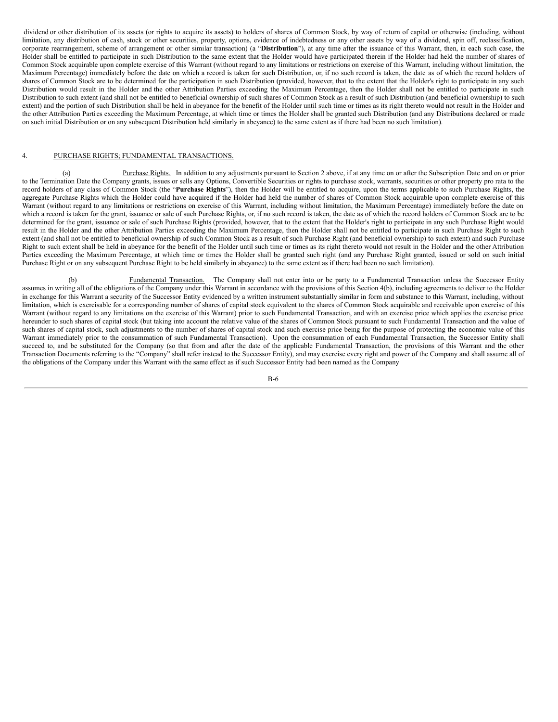dividend or other distribution of its assets (or rights to acquire its assets) to holders of shares of Common Stock, by way of return of capital or otherwise (including, without limitation, any distribution of cash, stock or other securities, property, options, evidence of indebtedness or any other assets by way of a dividend, spin off, reclassification, corporate rearrangement, scheme of arrangement or other similar transaction) (a "**Distribution**"), at any time after the issuance of this Warrant, then, in each such case, the Holder shall be entitled to participate in such Distribution to the same extent that the Holder would have participated therein if the Holder had held the number of shares of Common Stock acquirable upon complete exercise of this Warrant (without regard to any limitations or restrictions on exercise of this Warrant, including without limitation, the Maximum Percentage) immediately before the date on which a record is taken for such Distribution, or, if no such record is taken, the date as of which the record holders of shares of Common Stock are to be determined for the participation in such Distribution (provided, however, that to the extent that the Holder's right to participate in any such Distribution would result in the Holder and the other Attribution Parties exceeding the Maximum Percentage, then the Holder shall not be entitled to participate in such Distribution to such extent (and shall not be entitled to beneficial ownership of such shares of Common Stock as a result of such Distribution (and beneficial ownership) to such extent) and the portion of such Distribution shall be held in abeyance for the benefit of the Holder until such time or times as its right thereto would not result in the Holder and the other Attribution Parties exceeding the Maximum Percentage, at which time or times the Holder shall be granted such Distribution (and any Distributions declared or made on such initial Distribution or on any subsequent Distribution held similarly in abeyance) to the same extent as if there had been no such limitation).

## 4. PURCHASE RIGHTS; FUNDAMENTAL TRANSACTIONS.

Purchase Rights. In addition to any adjustments pursuant to Section 2 above, if at any time on or after the Subscription Date and on or prior to the Termination Date the Company grants, issues or sells any Options, Convertible Securities or rights to purchase stock, warrants, securities or other property pro rata to the record holders of any class of Common Stock (the "**Purchase Rights**"), then the Holder will be entitled to acquire, upon the terms applicable to such Purchase Rights, the aggregate Purchase Rights which the Holder could have acquired if the Holder had held the number of shares of Common Stock acquirable upon complete exercise of this Warrant (without regard to any limitations or restrictions on exercise of this Warrant, including without limitation, the Maximum Percentage) immediately before the date on which a record is taken for the grant, issuance or sale of such Purchase Rights, or, if no such record is taken, the date as of which the record holders of Common Stock are to be determined for the grant, issuance or sale of such Purchase Rights (provided, however, that to the extent that the Holder's right to participate in any such Purchase Right would result in the Holder and the other Attribution Parties exceeding the Maximum Percentage, then the Holder shall not be entitled to participate in such Purchase Right to such extent (and shall not be entitled to beneficial ownership of such Common Stock as a result of such Purchase Right (and beneficial ownership) to such extent) and such Purchase Right to such extent shall be held in abeyance for the benefit of the Holder until such time or times as its right thereto would not result in the Holder and the other Attribution Parties exceeding the Maximum Percentage, at which time or times the Holder shall be granted such right (and any Purchase Right granted, issued or sold on such initial Purchase Right or on any subsequent Purchase Right to be held similarly in abeyance) to the same extent as if there had been no such limitation).

(b) Fundamental Transaction. The Company shall not enter into or be party to a Fundamental Transaction unless the Successor Entity assumes in writing all of the obligations of the Company under this Warrant in accordance with the provisions of this Section 4(b), including agreements to deliver to the Holder in exchange for this Warrant a security of the Successor Entity evidenced by a written instrument substantially similar in form and substance to this Warrant, including, without limitation, which is exercisable for a corresponding number of shares of capital stock equivalent to the shares of Common Stock acquirable and receivable upon exercise of this Warrant (without regard to any limitations on the exercise of this Warrant) prior to such Fundamental Transaction, and with an exercise price which applies the exercise price hereunder to such shares of capital stock (but taking into account the relative value of the shares of Common Stock pursuant to such Fundamental Transaction and the value of such shares of capital stock, such adjustments to the number of shares of capital stock and such exercise price being for the purpose of protecting the economic value of this Warrant immediately prior to the consummation of such Fundamental Transaction). Upon the consummation of each Fundamental Transaction, the Successor Entity shall succeed to, and be substituted for the Company (so that from and after the date of the applicable Fundamental Transaction, the provisions of this Warrant and the other Transaction Documents referring to the "Company" shall refer instead to the Successor Entity), and may exercise every right and power of the Company and shall assume all of the obligations of the Company under this Warrant with the same effect as if such Successor Entity had been named as the Company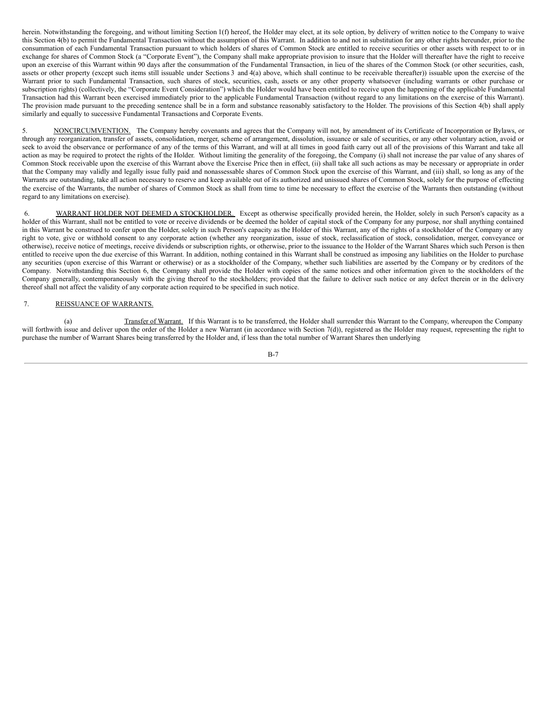herein. Notwithstanding the foregoing, and without limiting Section 1(f) hereof, the Holder may elect, at its sole option, by delivery of written notice to the Company to waive this Section 4(b) to permit the Fundamental Transaction without the assumption of this Warrant. In addition to and not in substitution for any other rights hereunder, prior to the consummation of each Fundamental Transaction pursuant to which holders of shares of Common Stock are entitled to receive securities or other assets with respect to or in exchange for shares of Common Stock (a "Corporate Event"), the Company shall make appropriate provision to insure that the Holder will thereafter have the right to receive upon an exercise of this Warrant within 90 days after the consummation of the Fundamental Transaction, in lieu of the shares of the Common Stock (or other securities, cash, assets or other property (except such items still issuable under Sections 3 and 4(a) above, which shall continue to be receivable thereafter)) issuable upon the exercise of the Warrant prior to such Fundamental Transaction, such shares of stock, securities, cash, assets or any other property whatsoever (including warrants or other purchase or subscription rights) (collectively, the "Corporate Event Consideration") which the Holder would have been entitled to receive upon the happening of the applicable Fundamental Transaction had this Warrant been exercised immediately prior to the applicable Fundamental Transaction (without regard to any limitations on the exercise of this Warrant). The provision made pursuant to the preceding sentence shall be in a form and substance reasonably satisfactory to the Holder. The provisions of this Section 4(b) shall apply similarly and equally to successive Fundamental Transactions and Corporate Events.

5. NONCIRCUMVENTION. The Company hereby covenants and agrees that the Company will not, by amendment of its Certificate of Incorporation or Bylaws, or through any reorganization, transfer of assets, consolidation, merger, scheme of arrangement, dissolution, issuance or sale of securities, or any other voluntary action, avoid or seek to avoid the observance or performance of any of the terms of this Warrant, and will at all times in good faith carry out all of the provisions of this Warrant and take all action as may be required to protect the rights of the Holder. Without limiting the generality of the foregoing, the Company (i) shall not increase the par value of any shares of Common Stock receivable upon the exercise of this Warrant above the Exercise Price then in effect, (ii) shall take all such actions as may be necessary or appropriate in order that the Company may validly and legally issue fully paid and nonassessable shares of Common Stock upon the exercise of this Warrant, and (iii) shall, so long as any of the Warrants are outstanding, take all action necessary to reserve and keep available out of its authorized and unissued shares of Common Stock, solely for the purpose of effecting the exercise of the Warrants, the number of shares of Common Stock as shall from time to time be necessary to effect the exercise of the Warrants then outstanding (without regard to any limitations on exercise).

6. WARRANT HOLDER NOT DEEMED A STOCKHOLDER. Except as otherwise specifically provided herein, the Holder, solely in such Person's capacity as a holder of this Warrant, shall not be entitled to vote or receive dividends or be deemed the holder of capital stock of the Company for any purpose, nor shall anything contained in this Warrant be construed to confer upon the Holder, solely in such Person's capacity as the Holder of this Warrant, any of the rights of a stockholder of the Company or any right to vote, give or withhold consent to any corporate action (whether any reorganization, issue of stock, reclassification of stock, consolidation, merger, conveyance or otherwise), receive notice of meetings, receive dividends or subscription rights, or otherwise, prior to the issuance to the Holder of the Warrant Shares which such Person is then entitled to receive upon the due exercise of this Warrant. In addition, nothing contained in this Warrant shall be construed as imposing any liabilities on the Holder to purchase any securities (upon exercise of this Warrant or otherwise) or as a stockholder of the Company, whether such liabilities are asserted by the Company or by creditors of the Company. Notwithstanding this Section 6, the Company shall provide the Holder with copies of the same notices and other information given to the stockholders of the Company generally, contemporaneously with the giving thereof to the stockholders; provided that the failure to deliver such notice or any defect therein or in the delivery thereof shall not affect the validity of any corporate action required to be specified in such notice.

## 7. REISSUANCE OF WARRANTS.

(a) Transfer of Warrant. If this Warrant is to be transferred, the Holder shall surrender this Warrant to the Company, whereupon the Company will forthwith issue and deliver upon the order of the Holder a new Warrant (in accordance with Section 7(d)), registered as the Holder may request, representing the right to purchase the number of Warrant Shares being transferred by the Holder and, if less than the total number of Warrant Shares then underlying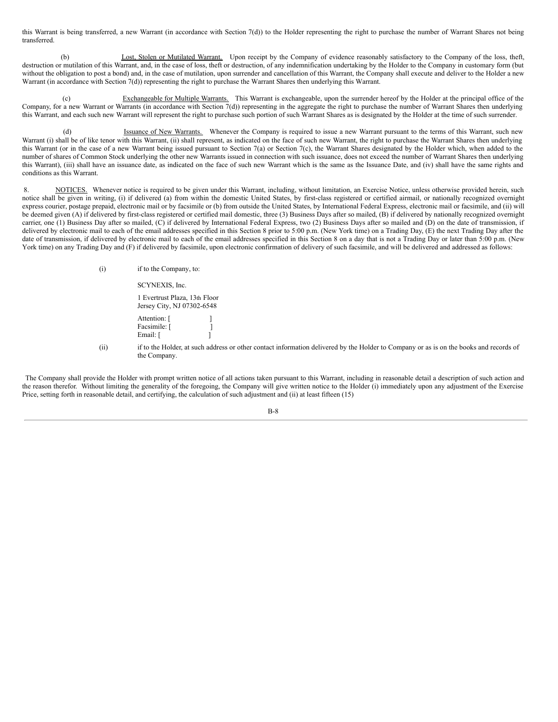this Warrant is being transferred, a new Warrant (in accordance with Section 7(d)) to the Holder representing the right to purchase the number of Warrant Shares not being transferred.

(b) Lost, Stolen or Mutilated Warrant. Upon receipt by the Company of evidence reasonably satisfactory to the Company of the loss, theft, destruction or mutilation of this Warrant, and, in the case of loss, theft or destruction, of any indemnification undertaking by the Holder to the Company in customary form (but without the obligation to post a bond) and, in the case of mutilation, upon surrender and cancellation of this Warrant, the Company shall execute and deliver to the Holder a new Warrant (in accordance with Section 7(d)) representing the right to purchase the Warrant Shares then underlying this Warrant.

(c) Exchangeable for Multiple Warrants. This Warrant is exchangeable, upon the surrender hereof by the Holder at the principal office of the Company, for a new Warrant or Warrants (in accordance with Section 7(d)) representing in the aggregate the right to purchase the number of Warrant Shares then underlying this Warrant, and each such new Warrant will represent the right to purchase such portion of such Warrant Shares as is designated by the Holder at the time of such surrender.

Issuance of New Warrants. Whenever the Company is required to issue a new Warrant pursuant to the terms of this Warrant, such new Warrant (i) shall be of like tenor with this Warrant, (ii) shall represent, as indicated on the face of such new Warrant, the right to purchase the Warrant Shares then underlying this Warrant (or in the case of a new Warrant being issued pursuant to Section 7(a) or Section 7(c), the Warrant Shares designated by the Holder which, when added to the number of shares of Common Stock underlying the other new Warrants issued in connection with such issuance, does not exceed the number of Warrant Shares then underlying this Warrant), (iii) shall have an issuance date, as indicated on the face of such new Warrant which is the same as the Issuance Date, and (iv) shall have the same rights and conditions as this Warrant.

8. NOTICES. Whenever notice is required to be given under this Warrant, including, without limitation, an Exercise Notice, unless otherwise provided herein, such notice shall be given in writing, (i) if delivered (a) from within the domestic United States, by first-class registered or certified airmail, or nationally recognized overnight express courier, postage prepaid, electronic mail or by facsimile or (b) from outside the United States, by International Federal Express, electronic mail or facsimile, and (ii) will be deemed given (A) if delivered by first-class registered or certified mail domestic, three (3) Business Days after so mailed, (B) if delivered by nationally recognized overnight carrier, one (1) Business Day after so mailed, (C) if delivered by International Federal Express, two (2) Business Days after so mailed and (D) on the date of transmission, if delivered by electronic mail to each of the email addresses specified in this Section 8 prior to 5:00 p.m. (New York time) on a Trading Day, (E) the next Trading Day after the date of transmission, if delivered by electronic mail to each of the email addresses specified in this Section 8 on a day that is not a Trading Day or later than 5:00 p.m. (New York time) on any Trading Day and (F) if delivered by facsimile, upon electronic confirmation of delivery of such facsimile, and will be delivered and addressed as follows:

- (i) if to the Company, to: SCYNEXIS, Inc. 1 Evertrust Plaza, 13th Floor Jersey City, NJ 07302-6548 Attention: [ Facsimile: [ ]<br>Email: [ ] Email: [
- 

(ii) if to the Holder, at such address or other contact information delivered by the Holder to Company or as is on the books and records of the Company.

The Company shall provide the Holder with prompt written notice of all actions taken pursuant to this Warrant, including in reasonable detail a description of such action and the reason therefor. Without limiting the generality of the foregoing, the Company will give written notice to the Holder (i) immediately upon any adjustment of the Exercise Price, setting forth in reasonable detail, and certifying, the calculation of such adjustment and (ii) at least fifteen (15)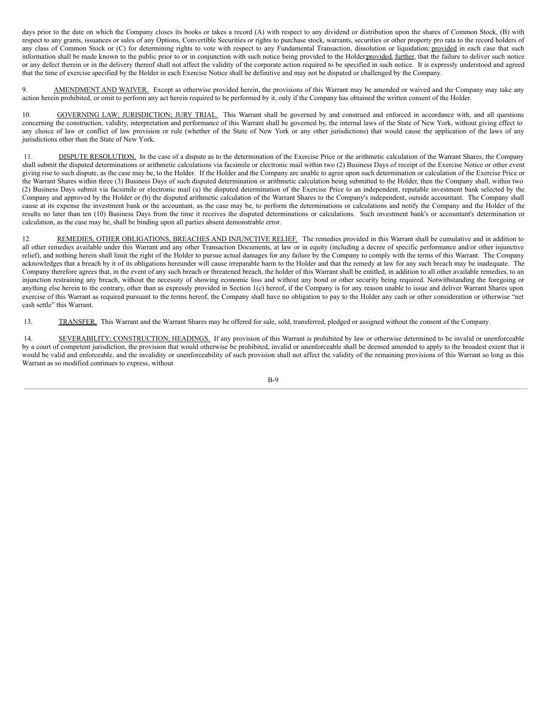days prior to the date on which the Company closes its books or takes a record (A) with respect to any dividend or distribution upon the shares of Common Stock, (B) with respect to any grants, issuances or sales of any Options, Convertible Securities or rights to purchase stock, warrants, securities or other property pro rata to the record holders of any class of Common Stock or (C) for determining rights to vote with respect to any Fundamental Transaction, dissolution or liquidation; provided in each case that such information shall be made known to the public prior to or in conjunction with such notice being provided to the Holder;provided, further, that the failure to deliver such notice or any defect therein or in the delivery thereof shall not affect the validity of the corporate action required to be specified in such notice. It is expressly understood and agreed that the time of exercise specified by the Holder in each Exercise Notice shall be definitive and may not be disputed or challenged by the Company.

9. AMENDMENT AND WAIVER. Except as otherwise provided herein, the provisions of this Warrant may be amended or waived and the Company may take any action herein prohibited, or omit to perform any act herein required to be performed by it, only if the Company has obtained the written consent of the Holder.

10. GOVERNING LAW; JURISDICTION; JURY TRIAL. This Warrant shall be governed by and construed and enforced in accordance with, and all questions concerning the construction, validity, interpretation and performance of this Warrant shall be governed by, the internal laws of the State of New York, without giving effect to any choice of law or conflict of law provision or rule (whether of the State of New York or any other jurisdictions) that would cause the application of the laws of any jurisdictions other than the State of New York.

11. DISPUTE RESOLUTION. In the case of a dispute as to the determination of the Exercise Price or the arithmetic calculation of the Warrant Shares, the Company shall submit the disputed determinations or arithmetic calculations via facsimile or electronic mail within two (2) Business Days of receipt of the Exercise Notice or other event giving rise to such dispute, as the case may be, to the Holder. If the Holder and the Company are unable to agree upon such determination or calculation of the Exercise Price or the Warrant Shares within three (3) Business Days of such disputed determination or arithmetic calculation being submitted to the Holder, then the Company shall, within two (2) Business Days submit via facsimile or electronic mail (a) the disputed determination of the Exercise Price to an independent, reputable investment bank selected by the Company and approved by the Holder or (b) the disputed arithmetic calculation of the Warrant Shares to the Company's independent, outside accountant. The Company shall cause at its expense the investment bank or the accountant, as the case may be, to perform the determinations or calculations and notify the Company and the Holder of the results no later than ten (10) Business Days from the time it receives the disputed determinations or calculations. Such investment bank's or accountant's determination or calculation, as the case may be, shall be binding upon all parties absent demonstrable error.

12. REMEDIES, OTHER OBLIGATIONS, BREACHES AND INJUNCTIVE RELIEF. The remedies provided in this Warrant shall be cumulative and in addition to all other remedies available under this Warrant and any other Transaction Documents, at law or in equity (including a decree of specific performance and/or other injunctive relief), and nothing herein shall limit the right of the Holder to pursue actual damages for any failure by the Company to comply with the terms of this Warrant. The Company acknowledges that a breach by it of its obligations hereunder will cause irreparable harm to the Holder and that the remedy at law for any such breach may be inadequate. The Company therefore agrees that, in the event of any such breach or threatened breach, the holder of this Warrant shall be entitled, in addition to all other available remedies, to an injunction restraining any breach, without the necessity of showing economic loss and without any bond or other security being required. Notwithstanding the foregoing or anything else herein to the contrary, other than as expressly provided in Section 1(c) hereof, if the Company is for any reason unable to issue and deliver Warrant Shares upon exercise of this Warrant as required pursuant to the terms hereof, the Company shall have no obligation to pay to the Holder any cash or other consideration or otherwise "net cash settle" this Warrant.

13. TRANSFER. This Warrant and the Warrant Shares may be offered for sale, sold, transferred, pledged or assigned without the consent of the Company.

14. SEVERABILITY; CONSTRUCTION; HEADINGS. If any provision of this Warrant is prohibited by law or otherwise determined to be invalid or unenforceable by a court of competent jurisdiction, the provision that would otherwise be prohibited, invalid or unenforceable shall be deemed amended to apply to the broadest extent that it would be valid and enforceable, and the invalidity or unenforceability of such provision shall not affect the validity of the remaining provisions of this Warrant so long as this Warrant as so modified continues to express, without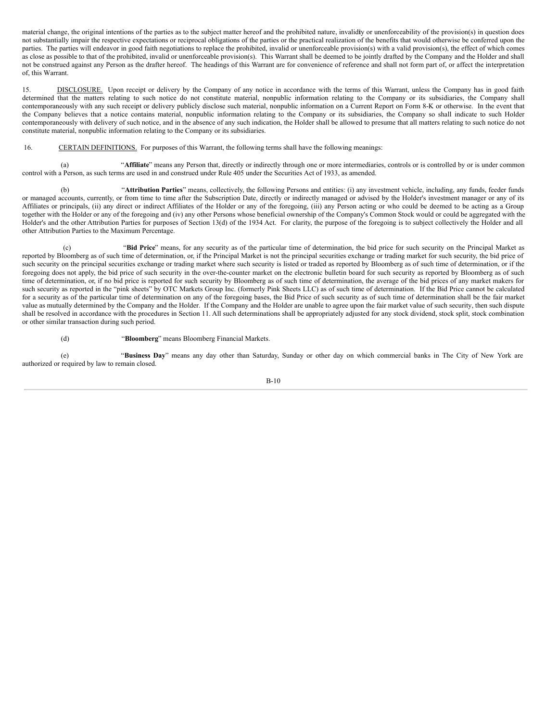material change, the original intentions of the parties as to the subject matter hereof and the prohibited nature, invalidity or unenforceability of the provision(s) in question does not substantially impair the respective expectations or reciprocal obligations of the parties or the practical realization of the benefits that would otherwise be conferred upon the parties. The parties will endeavor in good faith negotiations to replace the prohibited, invalid or unenforceable provision(s) with a valid provision(s), the effect of which comes as close as possible to that of the prohibited, invalid or unenforceable provision(s). This Warrant shall be deemed to be jointly drafted by the Company and the Holder and shall not be construed against any Person as the drafter hereof. The headings of this Warrant are for convenience of reference and shall not form part of, or affect the interpretation of, this Warrant.

15. DISCLOSURE. Upon receipt or delivery by the Company of any notice in accordance with the terms of this Warrant, unless the Company has in good faith determined that the matters relating to such notice do not constitute material, nonpublic information relating to the Company or its subsidiaries, the Company shall contemporaneously with any such receipt or delivery publicly disclose such material, nonpublic information on a Current Report on Form 8-K or otherwise. In the event that the Company believes that a notice contains material, nonpublic information relating to the Company or its subsidiaries, the Company so shall indicate to such Holder contemporaneously with delivery of such notice, and in the absence of any such indication, the Holder shall be allowed to presume that all matters relating to such notice do not constitute material, nonpublic information relating to the Company or its subsidiaries.

16. CERTAIN DEFINITIONS. For purposes of this Warrant, the following terms shall have the following meanings:

(a) "**Affiliate**" means any Person that, directly or indirectly through one or more intermediaries, controls or is controlled by or is under common control with a Person, as such terms are used in and construed under Rule 405 under the Securities Act of 1933, as amended.

(b) "**Attribution Parties**" means, collectively, the following Persons and entities: (i) any investment vehicle, including, any funds, feeder funds or managed accounts, currently, or from time to time after the Subscription Date, directly or indirectly managed or advised by the Holder's investment manager or any of its Affiliates or principals, (ii) any direct or indirect Affiliates of the Holder or any of the foregoing, (iii) any Person acting or who could be deemed to be acting as a Group together with the Holder or any of the foregoing and (iv) any other Persons whose beneficial ownership of the Company's Common Stock would or could be aggregated with the Holder's and the other Attribution Parties for purposes of Section 13(d) of the 1934 Act. For clarity, the purpose of the foregoing is to subject collectively the Holder and all other Attribution Parties to the Maximum Percentage.

(c) "**Bid Price**" means, for any security as of the particular time of determination, the bid price for such security on the Principal Market as reported by Bloomberg as of such time of determination, or, if the Principal Market is not the principal securities exchange or trading market for such security, the bid price of such security on the principal securities exchange or trading market where such security is listed or traded as reported by Bloomberg as of such time of determination, or if the foregoing does not apply, the bid price of such security in the over-the-counter market on the electronic bulletin board for such security as reported by Bloomberg as of such time of determination, or, if no bid price is reported for such security by Bloomberg as of such time of determination, the average of the bid prices of any market makers for such security as reported in the "pink sheets" by OTC Markets Group Inc. (formerly Pink Sheets LLC) as of such time of determination. If the Bid Price cannot be calculated for a security as of the particular time of determination on any of the foregoing bases, the Bid Price of such security as of such time of determination shall be the fair market value as mutually determined by the Company and the Holder. If the Company and the Holder are unable to agree upon the fair market value of such security, then such dispute shall be resolved in accordance with the procedures in Section 11. All such determinations shall be appropriately adjusted for any stock dividend, stock split, stock combination or other similar transaction during such period.

(d) "**Bloomberg**" means Bloomberg Financial Markets.

(e) "**Business Day**" means any day other than Saturday, Sunday or other day on which commercial banks in The City of New York are authorized or required by law to remain closed.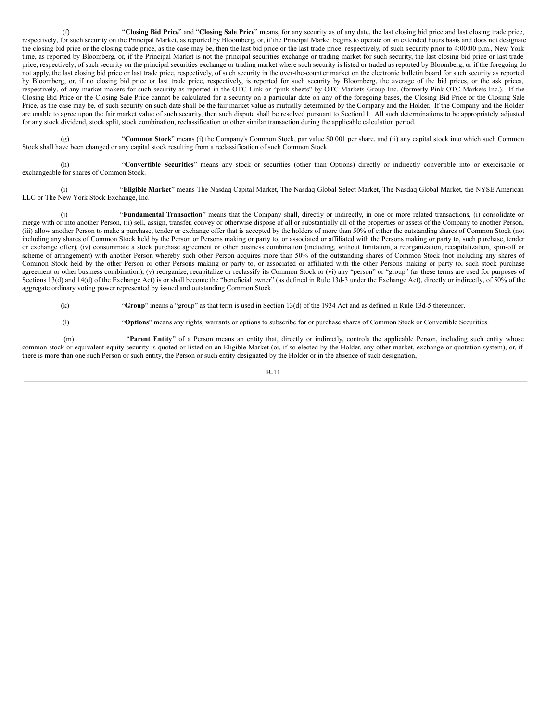(f) "**Closing Bid Price**" and "**Closing Sale Price**" means, for any security as of any date, the last closing bid price and last closing trade price, respectively, for such security on the Principal Market, as reported by Bloomberg, or, if the Principal Market begins to operate on an extended hours basis and does not designate the closing bid price or the closing trade price, as the case may be, then the last bid price or the last trade price, respectively, of such security prior to 4:00:00 p.m., New York time, as reported by Bloomberg, or, if the Principal Market is not the principal securities exchange or trading market for such security, the last closing bid price or last trade price, respectively, of such security on the principal securities exchange or trading market where such security is listed or traded as reported by Bloomberg, or if the foregoing do not apply, the last closing bid price or last trade price, respectively, of such security in the over-the-count er market on the electronic bulletin board for such security as reported by Bloomberg, or, if no closing bid price or last trade price, respectively, is reported for such security by Bloomberg, the average of the bid prices, or the ask prices, respectively, of any market makers for such security as reported in the OTC Link or "pink sheets" by OTC Markets Group Inc. (formerly Pink OTC Markets Inc.). If the Closing Bid Price or the Closing Sale Price cannot be calculated for a security on a particular date on any of the foregoing bases, the Closing Bid Price or the Closing Sale Price, as the case may be, of such security on such date shall be the fair market value as mutually determined by the Company and the Holder. If the Company and the Holder are unable to agree upon the fair market value of such security, then such dispute shall be resolved pursuant to Section11. All such determinations to be appropriately adjusted for any stock dividend, stock split, stock combination, reclassification or other similar transaction during the applicable calculation period.

(g) "**Common Stock**" means (i) the Company's Common Stock, par value \$0.001 per share, and (ii) any capital stock into which such Common Stock shall have been changed or any capital stock resulting from a reclassification of such Common Stock.

(h) "**Convertible Securities**" means any stock or securities (other than Options) directly or indirectly convertible into or exercisable or exchangeable for shares of Common Stock.

(i) "**Eligible Market**" means The Nasdaq Capital Market, The Nasdaq Global Select Market, The Nasdaq Global Market, the NYSE American LLC or The New York Stock Exchange, Inc.

(j) "**Fundamental Transaction**" means that the Company shall, directly or indirectly, in one or more related transactions, (i) consolidate or merge with or into another Person, (ii) sell, assign, transfer, convey or otherwise dispose of all or substantially all of the properties or assets of the Company to another Person, (iii) allow another Person to make a purchase, tender or exchange offer that is accepted by the holders of more than 50% of either the outstanding shares of Common Stock (not including any shares of Common Stock held by the Person or Persons making or party to, or associated or affiliated with the Persons making or party to, such purchase, tender or exchange offer), (iv) consummate a stock purchase agreement or other business combination (including, without limitation, a reorganization, recapitalization, spin-off or scheme of arrangement) with another Person whereby such other Person acquires more than 50% of the outstanding shares of Common Stock (not including any shares of Common Stock held by the other Person or other Persons making or party to, or associated or affiliated with the other Persons making or party to, such stock purchase agreement or other business combination), (v) reorganize, recapitalize or reclassify its Common Stock or (vi) any "person" or "group" (as these terms are used for purposes of Sections 13(d) and 14(d) of the Exchange Act) is or shall become the "beneficial owner" (as defined in Rule 13d-3 under the Exchange Act), directly or indirectly, of 50% of the aggregate ordinary voting power represented by issued and outstanding Common Stock.

(k) "**Group**" means a "group" as that term is used in Section 13(d) of the 1934 Act and as defined in Rule 13d-5 thereunder.

(l) "**Options**" means any rights, warrants or options to subscribe for or purchase shares of Common Stock or Convertible Securities.

(m) "**Parent Entity**" of a Person means an entity that, directly or indirectly, controls the applicable Person, including such entity whose common stock or equivalent equity security is quoted or listed on an Eligible Market (or, if so elected by the Holder, any other market, exchange or quotation system), or, if there is more than one such Person or such entity, the Person or such entity designated by the Holder or in the absence of such designation,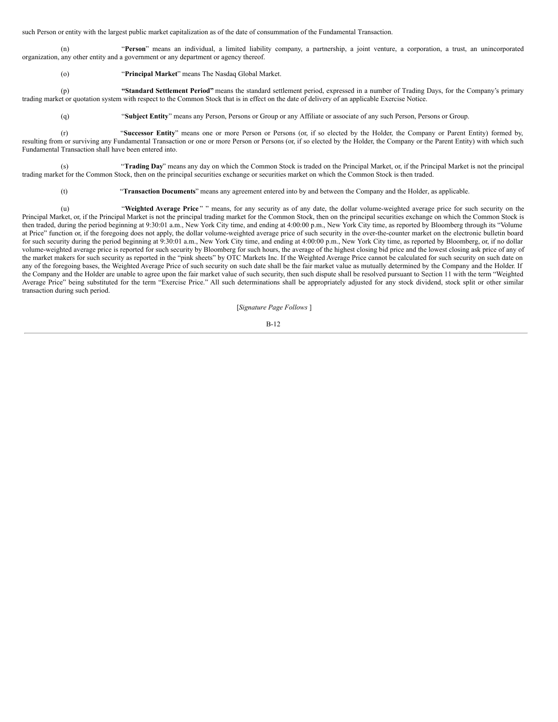such Person or entity with the largest public market capitalization as of the date of consummation of the Fundamental Transaction.

(n) "**Person**" means an individual, a limited liability company, a partnership, a joint venture, a corporation, a trust, an unincorporated organization, any other entity and a government or any department or agency thereof.

(o) "**Principal Market**" means The Nasdaq Global Market.

(p) **"Standard Settlement Period"** means the standard settlement period, expressed in a number of Trading Days, for the Company's primary trading market or quotation system with respect to the Common Stock that is in effect on the date of delivery of an applicable Exercise Notice.

(q) "**Subject Entity**" means any Person, Persons or Group or any Affiliate or associate of any such Person, Persons or Group.

(r) "**Successor Entity**" means one or more Person or Persons (or, if so elected by the Holder, the Company or Parent Entity) formed by, resulting from or surviving any Fundamental Transaction or one or more Person or Persons (or, if so elected by the Holder, the Company or the Parent Entity) with which such Fundamental Transaction shall have been entered into.

(s) "**Trading Day**" means any day on which the Common Stock is traded on the Principal Market, or, if the Principal Market is not the principal trading market for the Common Stock, then on the principal securities exchange or securities market on which the Common Stock is then traded.

(t) "**Transaction Documents**" means any agreement entered into by and between the Company and the Holder, as applicable.

(u) "**Weighted Average Price** " " means, for any security as of any date, the dollar volume-weighted average price for such security on the Principal Market, or, if the Principal Market is not the principal trading market for the Common Stock, then on the principal securities exchange on which the Common Stock is then traded, during the period beginning at 9:30:01 a.m., New York City time, and ending at 4:00:00 p.m., New York City time, as reported by Bloomberg through its "Volume at Price" function or, if the foregoing does not apply, the dollar volume-weighted average price of such security in the over-the-counter market on the electronic bulletin board for such security during the period beginning at 9:30:01 a.m., New York City time, and ending at 4:00:00 p.m., New York City time, as reported by Bloomberg, or, if no dollar volume-weighted average price is reported for such security by Bloomberg for such hours, the average of the highest closing bid price and the lowest closing ask price of any of the market makers for such security as reported in the "pink sheets" by OTC Markets Inc. If the Weighted Average Price cannot be calculated for such security on such date on any of the foregoing bases, the Weighted Average Price of such security on such date shall be the fair market value as mutually determined by the Company and the Holder. If the Company and the Holder are unable to agree upon the fair market value of such security, then such dispute shall be resolved pursuant to Section 11 with the term "Weighted Average Price" being substituted for the term "Exercise Price." All such determinations shall be appropriately adjusted for any stock dividend, stock split or other similar transaction during such period.

[*Signature Page Follows* ]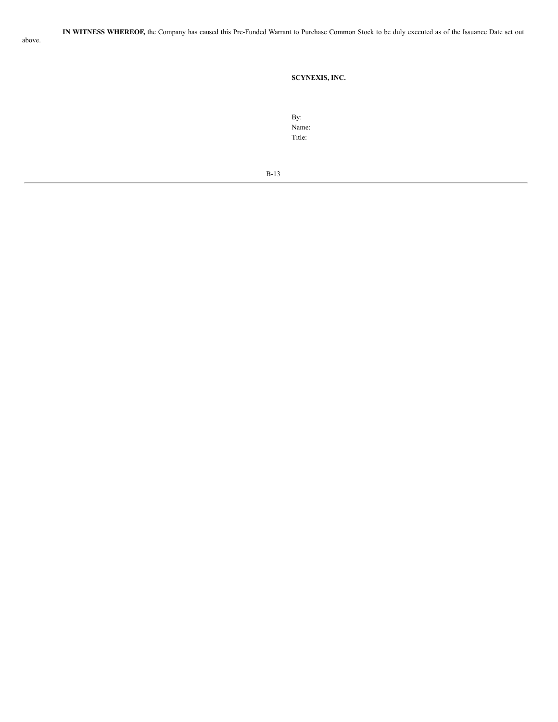# **SCYNEXIS, INC.**

By: Name: Title: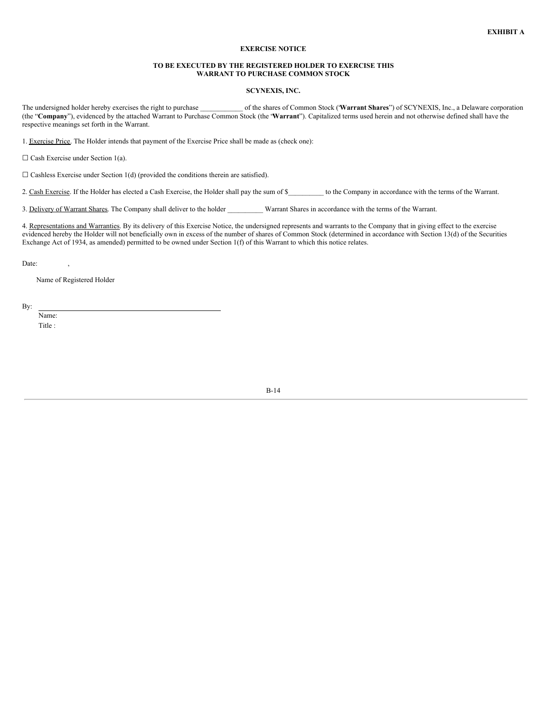## **EXERCISE NOTICE**

## **TO BE EXECUTED BY THE REGISTERED HOLDER TO EXERCISE THIS WARRANT TO PURCHASE COMMON STOCK**

## **SCYNEXIS, INC.**

The undersigned holder hereby exercises the right to purchase \_\_\_\_\_\_\_\_\_\_\_\_ of the shares of Common Stock ("**Warrant Shares**") of SCYNEXIS, Inc., a Delaware corporation (the "**Company**"), evidenced by the attached Warrant to Purchase Common Stock (the "**Warrant**"). Capitalized terms used herein and not otherwise defined shall have the respective meanings set forth in the Warrant.

1. Exercise Price. The Holder intends that payment of the Exercise Price shall be made as (check one):

 $\Box$  Cash Exercise under Section 1(a).

 $\Box$  Cashless Exercise under Section 1(d) (provided the conditions therein are satisfied).

2. Cash Exercise. If the Holder has elected a Cash Exercise, the Holder shall pay the sum of \$ to the Company in accordance with the terms of the Warrant.

3. Delivery of Warrant Shares. The Company shall deliver to the holder \_\_\_\_\_\_\_\_\_ Warrant Shares in accordance with the terms of the Warrant.

4. Representations and Warranties. By its delivery of this Exercise Notice, the undersigned represents and warrants to the Company that in giving effect to the exercise evidenced hereby the Holder will not beneficially own in excess of the number of shares of Common Stock (determined in accordance with Section 13(d) of the Securities Exchange Act of 1934, as amended) permitted to be owned under Section 1(f) of this Warrant to which this notice relates.

Date: ,

Name of Registered Holder

By:

Name: Title :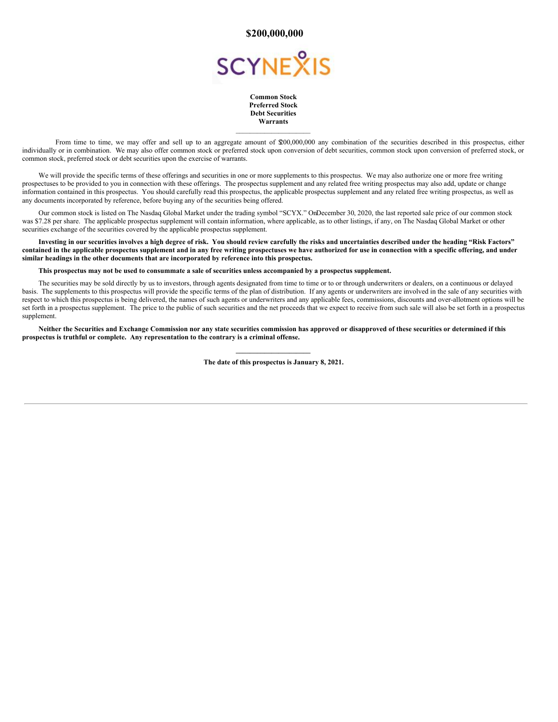**\$200,000,000**

# **SCYNEXIS**

**Common Stock Preferred Stock Debt Securities Warrants**

 $\mathcal{L}=\mathcal{L}^{\mathcal{L}}$  , where  $\mathcal{L}^{\mathcal{L}}$  , we have the set of the set of the set of the set of the set of the set of the set of the set of the set of the set of the set of the set of the set of the set of the set of

From time to time, we may offer and sell up to an aggregate amount of \$200,000,000 any combination of the securities described in this prospectus, either individually or in combination. We may also offer common stock or preferred stock upon conversion of debt securities, common stock upon conversion of preferred stock, or common stock, preferred stock or debt securities upon the exercise of warrants.

We will provide the specific terms of these offerings and securities in one or more supplements to this prospectus. We may also authorize one or more free writing prospectuses to be provided to you in connection with these offerings. The prospectus supplement and any related free writing prospectus may also add, update or change information contained in this prospectus. You should carefully read this prospectus, the applicable prospectus supplement and any related free writing prospectus, as well as any documents incorporated by reference, before buying any of the securities being offered.

Our common stock is listed on The Nasdaq Global Market under the trading symbol "SCYX." OnDecember 30, 2020, the last reported sale price of our common stock was \$7.28 per share. The applicable prospectus supplement will contain information, where applicable, as to other listings, if any, on The Nasdaq Global Market or other securities exchange of the securities covered by the applicable prospectus supplement.

Investing in our securities involves a high degree of risk. You should review carefully the risks and uncertainties described under the heading "Risk Factors" contained in the applicable prospectus supplement and in any free writing prospectuses we have authorized for use in connection with a specific offering, and under **similar headings in the other documents that are incorporated by reference into this prospectus.**

This prospectus may not be used to consummate a sale of securities unless accompanied by a prospectus supplement.

The securities may be sold directly by us to investors, through agents designated from time to time or to or through underwriters or dealers, on a continuous or delayed basis. The supplements to this prospectus will provide the specific terms of the plan of distribution. If any agents or underwriters are involved in the sale of any securities with respect to which this prospectus is being delivered, the names of such agents or underwriters and any applicable fees, commissions, discounts and over-allotment options will be set forth in a prospectus supplement. The price to the public of such securities and the net proceeds that we expect to receive from such sale will also be set forth in a prospectus supplement.

Neither the Securities and Exchange Commission nor any state securities commission has approved or disapproved of these securities or determined if this **prospectus is truthful or complete. Any representation to the contrary is a criminal offense.**

> **\_\_\_\_\_\_\_\_\_\_\_\_\_\_\_\_\_\_\_\_\_ The date of this prospectus is January 8, 2021.**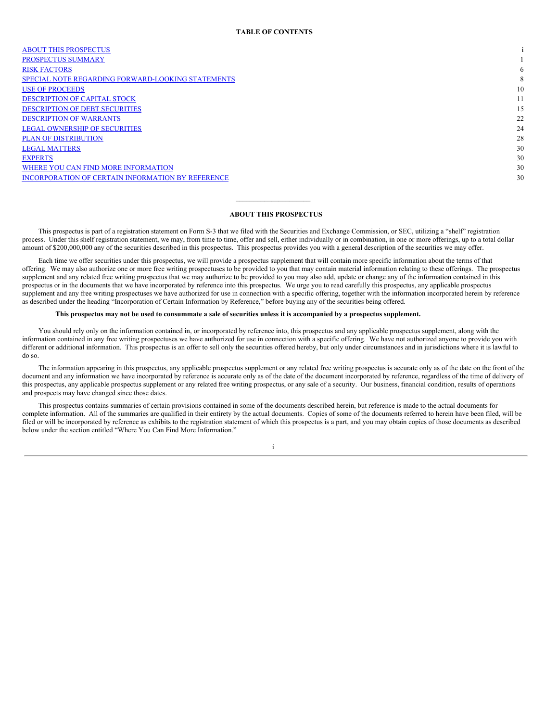| 6  |
|----|
| 8  |
| 10 |
| 11 |
| 15 |
| 22 |
| 24 |
| 28 |
| 30 |
| 30 |
| 30 |
| 30 |
|    |

# <span id="page-60-0"></span> $\mathcal{L}_\text{max}$ **ABOUT THIS PROSPECTUS**

This prospectus is part of a registration statement on Form S-3 that we filed with the Securities and Exchange Commission, or SEC, utilizing a "shelf" registration process. Under this shelf registration statement, we may, from time to time, offer and sell, either individually or in combination, in one or more offerings, up to a total dollar amount of \$200,000,000 any of the securities described in this prospectus. This prospectus provides you with a general description of the securities we may offer.

Each time we offer securities under this prospectus, we will provide a prospectus supplement that will contain more specific information about the terms of that offering. We may also authorize one or more free writing prospectuses to be provided to you that may contain material information relating to these offerings. The prospectus supplement and any related free writing prospectus that we may authorize to be provided to you may also add, update or change any of the information contained in this prospectus or in the documents that we have incorporated by reference into this prospectus. We urge you to read carefully this prospectus, any applicable prospectus supplement and any free writing prospectuses we have authorized for use in connection with a specific offering, together with the information incorporated herein by reference as described under the heading "Incorporation of Certain Information by Reference," before buying any of the securities being offered.

## This prospectus may not be used to consummate a sale of securities unless it is accompanied by a prospectus supplement.

You should rely only on the information contained in, or incorporated by reference into, this prospectus and any applicable prospectus supplement, along with the information contained in any free writing prospectuses we have authorized for use in connection with a specific offering. We have not authorized anyone to provide you with different or additional information. This prospectus is an offer to sell only the securities offered hereby, but only under circumstances and in jurisdictions where it is lawful to do so.

The information appearing in this prospectus, any applicable prospectus supplement or any related free writing prospectus is accurate only as of the date on the front of the document and any information we have incorporated by reference is accurate only as of the date of the document incorporated by reference, regardless of the time of delivery of this prospectus, any applicable prospectus supplement or any related free writing prospectus, or any sale of a security. Our business, financial condition, results of operations and prospects may have changed since those dates.

This prospectus contains summaries of certain provisions contained in some of the documents described herein, but reference is made to the actual documents for complete information. All of the summaries are qualified in their entirety by the actual documents. Copies of some of the documents referred to herein have been filed, will be filed or will be incorporated by reference as exhibits to the registration statement of which this prospectus is a part, and you may obtain copies of those documents as described below under the section entitled "Where You Can Find More Information."

i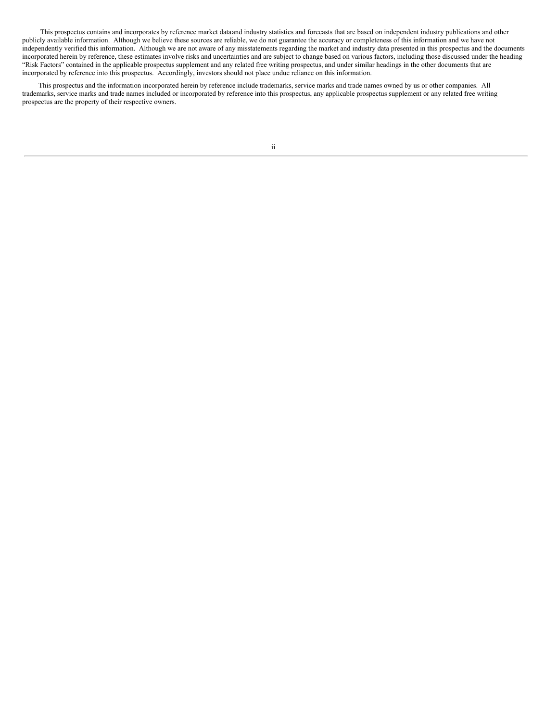This prospectus contains and incorporates by reference market dataand industry statistics and forecasts that are based on independent industry publications and other publicly available information. Although we believe these sources are reliable, we do not guarantee the accuracy or completeness of this information and we have not independently verified this information. Although we are not aware of any misstatements regarding the market and industry data presented in this prospectus and the documents incorporated herein by reference, these estimates involve risks and uncertainties and are subject to change based on various factors, including those discussed under the heading "Risk Factors" contained in the applicable prospectus supplement and any related free writing prospectus, and under similar headings in the other documents that are incorporated by reference into this prospectus. Accordingly, investors should not place undue reliance on this information.

This prospectus and the information incorporated herein by reference include trademarks, service marks and trade names owned by us or other companies. All trademarks, service marks and trade names included or incorporated by reference into this prospectus, any applicable prospectus supplement or any related free writing prospectus are the property of their respective owners.

| ٠<br>٠ |  |  |
|--------|--|--|
|        |  |  |
|        |  |  |
|        |  |  |
|        |  |  |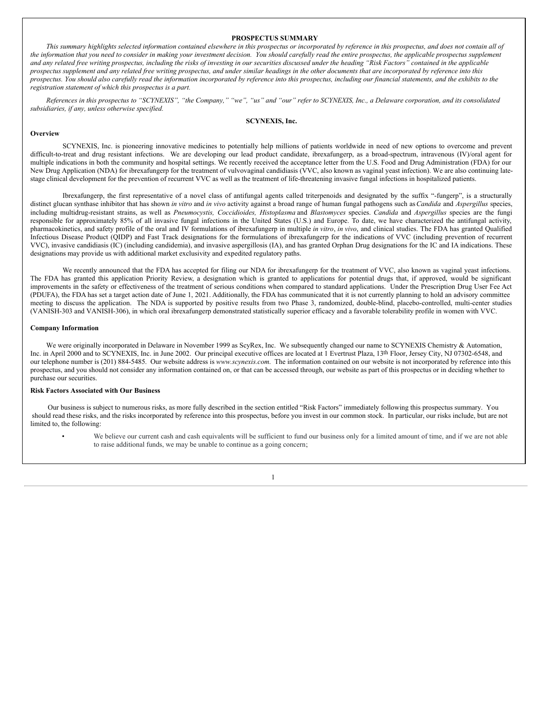## <span id="page-62-0"></span>**PROSPECTUS SUMMARY**

This summary highlights selected information contained elsewhere in this prospectus or incorporated by reference in this prospectus, and does not contain all of the information that you need to consider in making your investment decision. You should carefully read the entire prospectus, the applicable prospectus supplement and any related free writing prospectus, including the risks of investing in our securities discussed under the heading "Risk Factors" contained in the applicable prospectus supplement and any related free writing prospectus, and under similar headings in the other documents that are incorporated by reference into this prospectus. You should also carefully read the information incorporated by reference into this prospectus, including our financial statements, and the exhibits to the *registration statement of which this prospectus is a part.*

References in this prospectus to "SCYNEXIS", "the Company," "we", "us" and "our" refer to SCYNEXIS, Inc., a Delaware corporation, and its consolidated *subsidiaries, if any, unless otherwise specified.*

## **SCYNEXIS, Inc.**

## **Overview**

SCYNEXIS, Inc. is pioneering innovative medicines to potentially help millions of patients worldwide in need of new options to overcome and prevent difficult-to-treat and drug resistant infections. We are developing our lead product candidate, ibrexafungerp, as a broad-spectrum, intravenous (IV)/oral agent for multiple indications in both the community and hospital settings. We recently received the acceptance letter from the U.S. Food and Drug Administration (FDA) for our New Drug Application (NDA) for ibrexafungerp for the treatment of vulvovaginal candidiasis (VVC, also known as vaginal yeast infection). We are also continuing latestage clinical development for the prevention of recurrent VVC as well as the treatment of life-threatening invasive fungal infections in hospitalized patients.

Ibrexafungerp, the first representative of a novel class of antifungal agents called triterpenoids and designated by the suffix "-fungerp", is a structurally distinct glucan synthase inhibitor that has shown *in vitro* and *in vivo* activity against a broad range of human fungal pathogens such as*Candida* and *Aspergillus* species, including multidrug-resistant strains, as well as *Pneumocystis, Coccidioides, Histoplasma* and *Blastomyces* species. *Candida* and *Aspergillus* species are the fungi responsible for approximately 85% of all invasive fungal infections in the United States (U.S.) and Europe. To date, we have characterized the antifungal activity, pharmacokinetics, and safety profile of the oral and IV formulations of ibrexafungerp in multiple *in vitro*, *in vivo*, and clinical studies. The FDA has granted Qualified Infectious Disease Product (QIDP) and Fast Track designations for the formulations of ibrexafungerp for the indications of VVC (including prevention of recurrent VVC), invasive candidiasis (IC) (including candidemia), and invasive aspergillosis (IA), and has granted Orphan Drug designations for the IC and IA indications. These designations may provide us with additional market exclusivity and expedited regulatory paths.

We recently announced that the FDA has accepted for filing our NDA for ibrexafungerp for the treatment of VVC, also known as vaginal yeast infections. The FDA has granted this application Priority Review, a designation which is granted to applications for potential drugs that, if approved, would be significant improvements in the safety or effectiveness of the treatment of serious conditions when compared to standard applications. Under the Prescription Drug User Fee Act (PDUFA), the FDA has set a target action date of June 1, 2021. Additionally, the FDA has communicated that it is not currently planning to hold an advisory committee meeting to discuss the application. The NDA is supported by positive results from two Phase 3, randomized, double-blind, placebo-controlled, multi-center studies (VANISH-303 and VANISH-306), in which oral ibrexafungerp demonstrated statistically superior efficacy and a favorable tolerability profile in women with VVC.

## **Company Information**

We were originally incorporated in Delaware in November 1999 as ScyRex, Inc. We subsequently changed our name to SCYNEXIS Chemistry & Automation, Inc. in April 2000 and to SCYNEXIS, Inc. in June 2002. Our principal executive offices are located at 1 Evertrust Plaza, 13th Floor, Jersey City, NJ 07302-6548, and our telephone number is (201) 884-5485. Our website address is *www.scynexis.com*. The information contained on our website is not incorporated by reference into this prospectus, and you should not consider any information contained on, or that can be accessed through, our website as part of this prospectus or in deciding whether to purchase our securities.

## **Risk Factors Associated with Our Business**

Our business is subject to numerous risks, as more fully described in the section entitled "Risk Factors" immediately following this prospectus summary. You should read these risks, and the risks incorporated by reference into this prospectus, before you invest in our common stock. In particular, our risks include, but are not limited to, the following:

• We believe our current cash and cash equivalents will be sufficient to fund our business only for a limited amount of time, and if we are not able to raise additional funds, we may be unable to continue as a going concern;

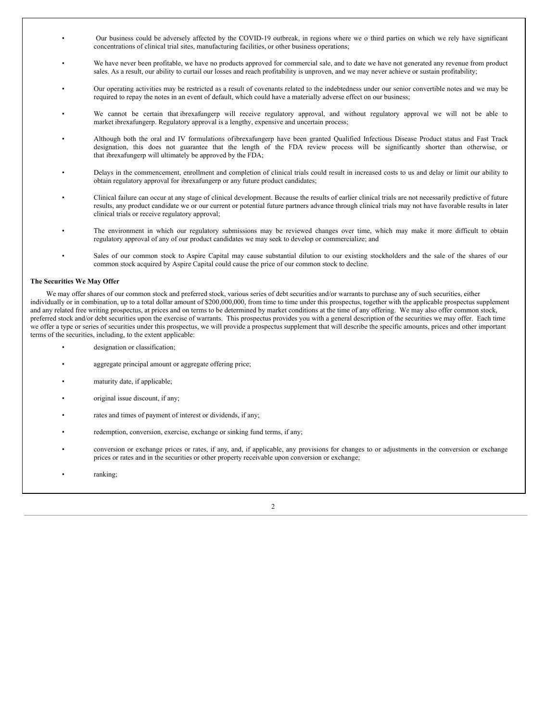- Our business could be adversely affected by the COVID-19 outbreak, in regions where we orthird parties on which we rely have significant concentrations of clinical trial sites, manufacturing facilities, or other business operations;
- We have never been profitable, we have no products approved for commercial sale, and to date we have not generated any revenue from product sales. As a result, our ability to curtail our losses and reach profitability is unproven, and we may never achieve or sustain profitability;
- Our operating activities may be restricted as a result of covenants related to the indebtedness under our senior convertible notes and we may be required to repay the notes in an event of default, which could have a materially adverse effect on our business;
- We cannot be certain that ibrexafungerp will receive regulatory approval, and without regulatory approval we will not be able to market ibrexafungerp. Regulatory approval is a lengthy, expensive and uncertain process;
- Although both the oral and IV formulations ofibrexafungerp have been granted Qualified Infectious Disease Product status and Fast Track designation, this does not guarantee that the length of the FDA review process will be significantly shorter than otherwise, or that ibrexafungerp will ultimately be approved by the FDA;
- Delays in the commencement, enrollment and completion of clinical trials could result in increased costs to us and delay or limit our ability to obtain regulatory approval for ibrexafungerp or any future product candidates;
- Clinical failure can occur at any stage of clinical development. Because the results of earlier clinical trials are not necessarily predictive of future results, any product candidate we or our current or potential future partners advance through clinical trials may not have favorable results in later clinical trials or receive regulatory approval;
- The environment in which our regulatory submissions may be reviewed changes over time, which may make it more difficult to obtain regulatory approval of any of our product candidates we may seek to develop or commercialize; and
- Sales of our common stock to Aspire Capital may cause substantial dilution to our existing stockholders and the sale of the shares of our common stock acquired by Aspire Capital could cause the price of our common stock to decline.

## **The Securities We May Offer**

We may offer shares of our common stock and preferred stock, various series of debt securities and/or warrants to purchase any of such securities, either individually or in combination, up to a total dollar amount of \$200,000,000, from time to time under this prospectus, together with the applicable prospectus supplement and any related free writing prospectus, at prices and on terms to be determined by market conditions at the time of any offering. We may also offer common stock, preferred stock and/or debt securities upon the exercise of warrants. This prospectus provides you with a general description of the securities we may offer. Each time we offer a type or series of securities under this prospectus, we will provide a prospectus supplement that will describe the specific amounts, prices and other important terms of the securities, including, to the extent applicable:

- designation or classification;
- aggregate principal amount or aggregate offering price;
- maturity date, if applicable;
- original issue discount, if any;
- rates and times of payment of interest or dividends, if any;
- redemption, conversion, exercise, exchange or sinking fund terms, if any;
- conversion or exchange prices or rates, if any, and, if applicable, any provisions for changes to or adjustments in the conversion or exchange prices or rates and in the securities or other property receivable upon conversion or exchange;
- ranking;

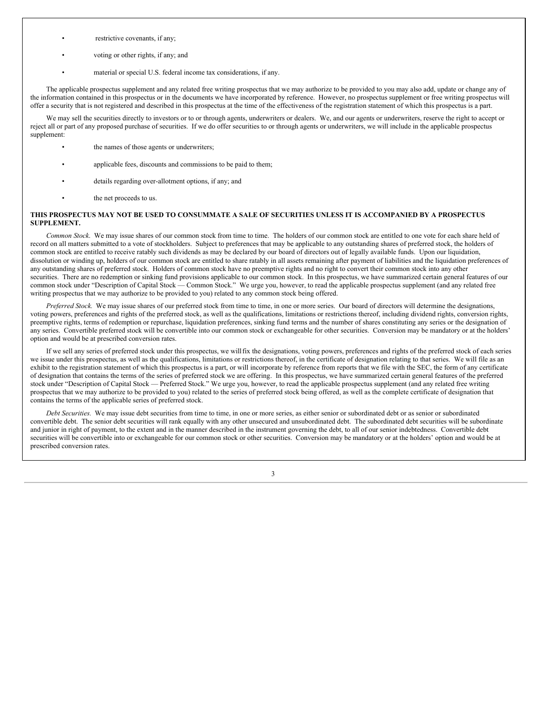- restrictive covenants, if any;
- voting or other rights, if any; and
- material or special U.S. federal income tax considerations, if any.

The applicable prospectus supplement and any related free writing prospectus that we may authorize to be provided to you may also add, update or change any of the information contained in this prospectus or in the documents we have incorporated by reference. However, no prospectus supplement or free writing prospectus will offer a security that is not registered and described in this prospectus at the time of the effectiveness of the registration statement of which this prospectus is a part.

We may sell the securities directly to investors or to or through agents, underwriters or dealers. We, and our agents or underwriters, reserve the right to accept or reject all or part of any proposed purchase of securities. If we do offer securities to or through agents or underwriters, we will include in the applicable prospectus supplement:

- the names of those agents or underwriters;
- applicable fees, discounts and commissions to be paid to them;
- details regarding over-allotment options, if any; and
- the net proceeds to us.

## THIS PROSPECTUS MAY NOT BE USED TO CONSUMMATE A SALE OF SECURITIES UNLESS IT IS ACCOMPANIED BY A PROSPECTUS **SUPPLEMENT.**

*Common Stock*. We may issue shares of our common stock from time to time. The holders of our common stock are entitled to one vote for each share held of record on all matters submitted to a vote of stockholders. Subject to preferences that may be applicable to any outstanding shares of preferred stock, the holders of common stock are entitled to receive ratably such dividends as may be declared by our board of directors out of legally available funds. Upon our liquidation, dissolution or winding up, holders of our common stock are entitled to share ratably in all assets remaining after payment of liabilities and the liquidation preferences of any outstanding shares of preferred stock. Holders of common stock have no preemptive rights and no right to convert their common stock into any other securities. There are no redemption or sinking fund provisions applicable to our common stock. In this prospectus, we have summarized certain general features of our common stock under "Description of Capital Stock — Common Stock." We urge you, however, to read the applicable prospectus supplement (and any related free writing prospectus that we may authorize to be provided to you) related to any common stock being offered.

*Preferred Stock.* We may issue shares of our preferred stock from time to time, in one or more series. Our board of directors will determine the designations, voting powers, preferences and rights of the preferred stock, as well as the qualifications, limitations or restrictions thereof, including dividend rights, conversion rights, preemptive rights, terms of redemption or repurchase, liquidation preferences, sinking fund terms and the number of shares constituting any series or the designation of any series. Convertible preferred stock will be convertible into our common stock or exchangeable for other securities. Conversion may be mandatory or at the holders' option and would be at prescribed conversion rates.

If we sell any series of preferred stock under this prospectus, we willfix the designations, voting powers, preferences and rights of the preferred stock of each series we issue under this prospectus, as well as the qualifications, limitations or restrictions thereof, in the certificate of designation relating to that series. We will file as an exhibit to the registration statement of which this prospectus is a part, or will incorporate by reference from reports that we file with the SEC, the form of any certificate of designation that contains the terms of the series of preferred stock we are offering. In this prospectus, we have summarized certain general features of the preferred stock under "Description of Capital Stock — Preferred Stock." We urge you, however, to read the applicable prospectus supplement (and any related free writing prospectus that we may authorize to be provided to you) related to the series of preferred stock being offered, as well as the complete certificate of designation that contains the terms of the applicable series of preferred stock.

*Debt Securities.* We may issue debt securities from time to time, in one or more series, as either senior or subordinated debt or as senior or subordinated convertible debt. The senior debt securities will rank equally with any other unsecured and unsubordinated debt. The subordinated debt securities will be subordinate and junior in right of payment, to the extent and in the manner described in the instrument governing the debt, to all of our senior indebtedness. Convertible debt securities will be convertible into or exchangeable for our common stock or other securities. Conversion may be mandatory or at the holders' option and would be at prescribed conversion rates.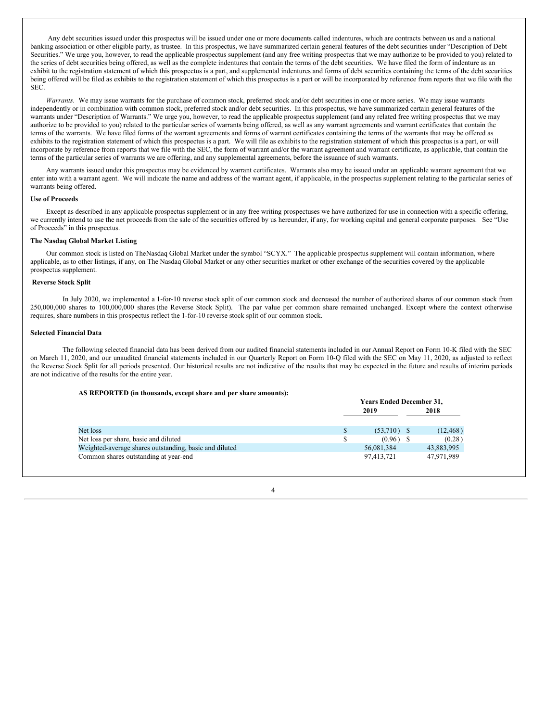Any debt securities issued under this prospectus will be issued under one or more documents called indentures, which are contracts between us and a national banking association or other eligible party, as trustee. In this prospectus, we have summarized certain general features of the debt securities under "Description of Debt Securities." We urge you, however, to read the applicable prospectus supplement (and any free writing prospectus that we may authorize to be provided to you) related to the series of debt securities being offered, as well as the complete indentures that contain the terms of the debt securities. We have filed the form of indenture as an exhibit to the registration statement of which this prospectus is a part, and supplemental indentures and forms of debt securities containing the terms of the debt securities being offered will be filed as exhibits to the registration statement of which this prospectus is a part or will be incorporated by reference from reports that we file with the SEC.

*Warrants.* We may issue warrants for the purchase of common stock, preferred stock and/or debt securities in one or more series. We may issue warrants independently or in combination with common stock, preferred stock and/or debt securities. In this prospectus, we have summarized certain general features of the warrants under "Description of Warrants." We urge you, however, to read the applicable prospectus supplement (and any related free writing prospectus that we may authorize to be provided to you) related to the particular series of warrants being offered, as well as any warrant agreements and warrant certificates that contain the terms of the warrants. We have filed forms of the warrant agreements and forms of warrant certificates containing the terms of the warrants that may be offered as exhibits to the registration statement of which this prospectus is a part. We will file as exhibits to the registration statement of which this prospectus is a part, or will incorporate by reference from reports that we file with the SEC, the form of warrant and/or the warrant agreement and warrant certificate, as applicable, that contain the terms of the particular series of warrants we are offering, and any supplemental agreements, before the issuance of such warrants.

Any warrants issued under this prospectus may be evidenced by warrant certificates. Warrants also may be issued under an applicable warrant agreement that we enter into with a warrant agent. We will indicate the name and address of the warrant agent, if applicable, in the prospectus supplement relating to the particular series of warrants being offered.

## **Use of Proceeds**

Except as described in any applicable prospectus supplement or in any free writing prospectuses we have authorized for use in connection with a specific offering, we currently intend to use the net proceeds from the sale of the securities offered by us hereunder, if any, for working capital and general corporate purposes. See "Use of Proceeds" in this prospectus.

## **The Nasdaq Global Market Listing**

Our common stock is listed on TheNasdaq Global Market under the symbol "SCYX." The applicable prospectus supplement will contain information, where applicable, as to other listings, if any, on The Nasdaq Global Market or any other securities market or other exchange of the securities covered by the applicable prospectus supplement.

## **Reverse Stock Split**

In July 2020, we implemented a 1-for-10 reverse stock split of our common stock and decreased the number of authorized shares of our common stock from 250,000,000 shares to 100,000,000 shares (the Reverse Stock Split). The par value per common share remained unchanged. Except where the context otherwise requires, share numbers in this prospectus reflect the 1-for-10 reverse stock split of our common stock.

## **Selected Financial Data**

The following selected financial data has been derived from our audited financial statements included in our Annual Report on Form 10-K filed with the SEC on March 11, 2020, and our unaudited financial statements included in our Quarterly Report on Form 10-Q filed with the SEC on May 11, 2020, as adjusted to reflect the Reverse Stock Split for all periods presented. Our historical results are not indicative of the results that may be expected in the future and results of interim periods are not indicative of the results for the entire year.

**Years Ended December 31,**

## **AS REPORTED (in thousands, except share and per share amounts):**

|                                                        |   | 2019       | 2018       |
|--------------------------------------------------------|---|------------|------------|
| Net loss                                               | S | (53.710)   | (12, 468)  |
| Net loss per share, basic and diluted                  |   | (0.96)     | (0.28)     |
| Weighted-average shares outstanding, basic and diluted |   | 56,081,384 | 43,883,995 |
| Common shares outstanding at year-end                  |   | 97,413,721 | 47,971,989 |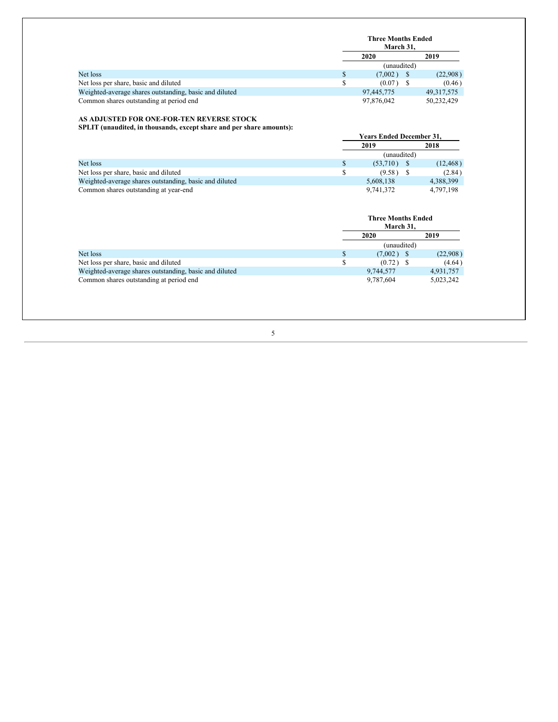|                                                        |    | <b>Three Months Ended</b><br>March 31. |  |              |
|--------------------------------------------------------|----|----------------------------------------|--|--------------|
|                                                        |    | 2020                                   |  | 2019         |
|                                                        |    | (unaudited)                            |  |              |
| Net loss                                               | \$ | (7.002)                                |  | (22,908)     |
| Net loss per share, basic and diluted                  | S  | (0.07)                                 |  | (0.46)       |
| Weighted-average shares outstanding, basic and diluted |    | 97,445,775                             |  | 49, 317, 575 |
| Common shares outstanding at period end                |    | 97.876.042                             |  | 50.232.429   |

## **AS ADJUSTED FOR ONE-FOR-TEN REVERSE STOCK**

**SPLIT (unaudited, in thousands, except share and per share amounts):**

| <u>De est e l'assaucurant en chomometrol</u> circologia denne a meta loca desarta metrologia |                                                 |             |  |           |
|----------------------------------------------------------------------------------------------|-------------------------------------------------|-------------|--|-----------|
|                                                                                              | <b>Years Ended December 31.</b><br>2019<br>2018 |             |  |           |
|                                                                                              |                                                 |             |  |           |
|                                                                                              |                                                 | (unaudited) |  |           |
| Net loss                                                                                     |                                                 | (53.710)    |  | (12, 468) |
| Net loss per share, basic and diluted                                                        | S                                               | (9.58)      |  | (2.84)    |
| Weighted-average shares outstanding, basic and diluted                                       |                                                 | 5,608,138   |  | 4,388,399 |
| Common shares outstanding at year-end                                                        |                                                 | 9,741,372   |  | 4,797,198 |

|                                                        |   | <b>Three Months Ended</b><br>March 31. |           |  |
|--------------------------------------------------------|---|----------------------------------------|-----------|--|
|                                                        |   | 2020                                   | 2019      |  |
|                                                        |   | (unaudited)                            |           |  |
| Net loss                                               | S | (7,002)                                | (22,908)  |  |
| Net loss per share, basic and diluted                  | S | $(0.72)$ \$                            | (4.64)    |  |
| Weighted-average shares outstanding, basic and diluted |   | 9,744,577                              | 4,931,757 |  |
| Common shares outstanding at period end                |   | 9,787,604                              | 5,023,242 |  |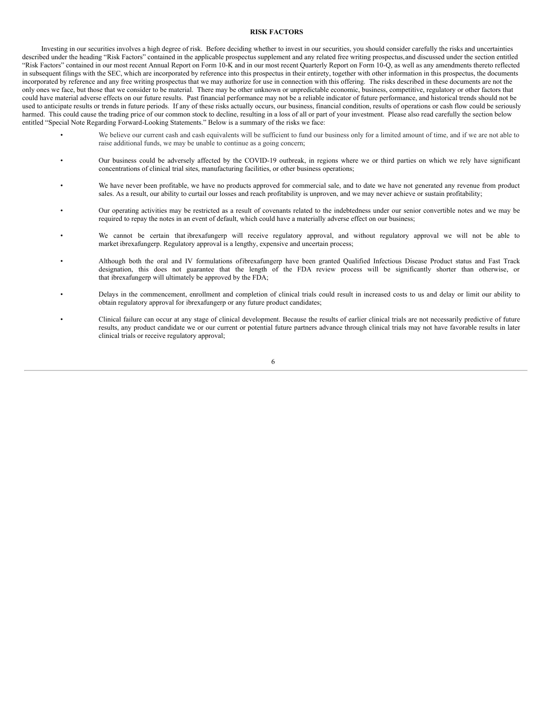## <span id="page-67-0"></span>**RISK FACTORS**

Investing in our securities involves a high degree of risk. Before deciding whether to invest in our securities, you should consider carefully the risks and uncertainties described under the heading "Risk Factors" contained in the applicable prospectus supplement and any related free writing prospectus,and discussed under the section entitled "Risk Factors" contained in our most recent Annual Report on Form 10-K and in our most recent Quarterly Report on Form 10-Q, as well as any amendments thereto reflected in subsequent filings with the SEC, which are incorporated by reference into this prospectus in their entirety, together with other information in this prospectus, the documents incorporated by reference and any free writing prospectus that we may authorize for use in connection with this offering. The risks described in these documents are not the only ones we face, but those that we consider to be material. There may be other unknown or unpredictable economic, business, competitive, regulatory or other factors that could have material adverse effects on our future results. Past financial performance may not be a reliable indicator of future performance, and historical trends should not be used to anticipate results or trends in future periods. If any of these risks actually occurs, our business, financial condition, results of operations or cash flow could be seriously harmed. This could cause the trading price of our common stock to decline, resulting in a loss of all or part of your investment. Please also read carefully the section below entitled "Special Note Regarding Forward-Looking Statements." Below is a summary of the risks we face:

- We believe our current cash and cash equivalents will be sufficient to fund our business only for a limited amount of time, and if we are not able to raise additional funds, we may be unable to continue as a going concern;
- Our business could be adversely affected by the COVID-19 outbreak, in regions where we or third parties on which we rely have significant concentrations of clinical trial sites, manufacturing facilities, or other business operations;
- We have never been profitable, we have no products approved for commercial sale, and to date we have not generated any revenue from product sales. As a result, our ability to curtail our losses and reach profitability is unproven, and we may never achieve or sustain profitability;
- Our operating activities may be restricted as a result of covenants related to the indebtedness under our senior convertible notes and we may be required to repay the notes in an event of default, which could have a materially adverse effect on our business;
- We cannot be certain that ibrexafungerp will receive regulatory approval, and without regulatory approval we will not be able to market ibrexafungerp. Regulatory approval is a lengthy, expensive and uncertain process;
- Although both the oral and IV formulations ofibrexafungerp have been granted Qualified Infectious Disease Product status and Fast Track designation, this does not guarantee that the length of the FDA review process will be significantly shorter than otherwise, or that ibrexafungerp will ultimately be approved by the FDA;
- Delays in the commencement, enrollment and completion of clinical trials could result in increased costs to us and delay or limit our ability to obtain regulatory approval for ibrexafungerp or any future product candidates;
- Clinical failure can occur at any stage of clinical development. Because the results of earlier clinical trials are not necessarily predictive of future results, any product candidate we or our current or potential future partners advance through clinical trials may not have favorable results in later clinical trials or receive regulatory approval;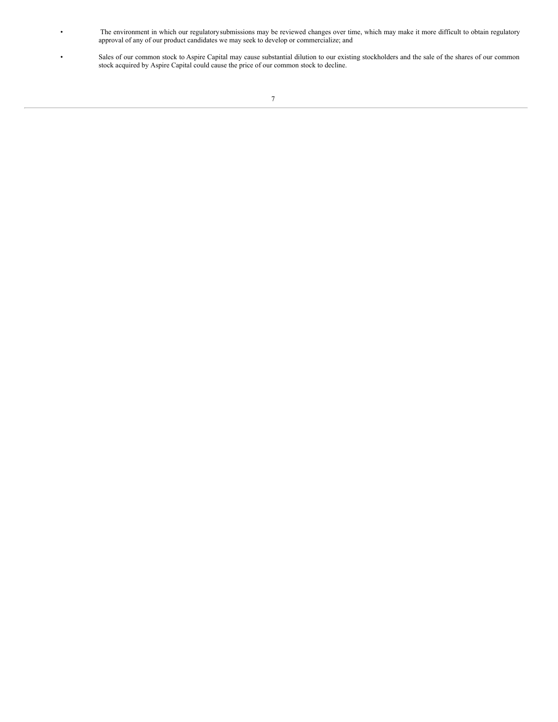- The environment in which our regulatorysubmissions may be reviewed changes over time, which may make it more difficult to obtain regulatory approval of any of our product candidates we may seek to develop or commercialize; and
- Sales of our common stock to Aspire Capital may cause substantial dilution to our existing stockholders and the sale of the shares of our common stock acquired by Aspire Capital could cause the price of our common stock to decline.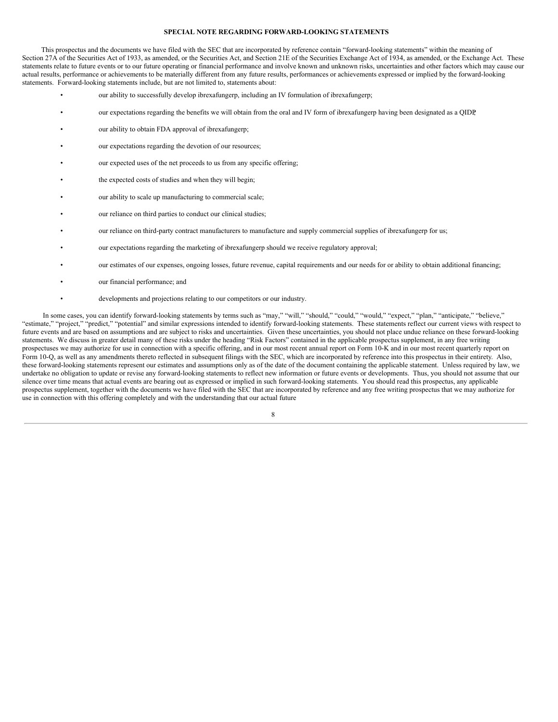## <span id="page-69-0"></span>**SPECIAL NOTE REGARDING FORWARD-LOOKING STATEMENTS**

This prospectus and the documents we have filed with the SEC that are incorporated by reference contain "forward-looking statements" within the meaning of Section 27A of the Securities Act of 1933, as amended, or the Securities Act, and Section 21E of the Securities Exchange Act of 1934, as amended, or the Exchange Act. These statements relate to future events or to our future operating or financial performance and involve known and unknown risks, uncertainties and other factors which may cause our actual results, performance or achievements to be materially different from any future results, performances or achievements expressed or implied by the forward-looking statements. Forward-looking statements include, but are not limited to, statements about:

- our ability to successfully develop ibrexafungerp, including an IV formulation of ibrexafungerp;
- our expectations regarding the benefits we will obtain from the oral and IV form of ibrexafungerp having been designated as a QIDP;
- our ability to obtain FDA approval of ibrexafungerp;
- our expectations regarding the devotion of our resources;
- our expected uses of the net proceeds to us from any specific offering;
- the expected costs of studies and when they will begin;
- our ability to scale up manufacturing to commercial scale;
- our reliance on third parties to conduct our clinical studies;
- our reliance on third-party contract manufacturers to manufacture and supply commercial supplies of ibrexafungerp for us;
- our expectations regarding the marketing of ibrexafungerp should we receive regulatory approval;
- our estimates of our expenses, ongoing losses, future revenue, capital requirements and our needs for or ability to obtain additional financing;
- our financial performance; and
- developments and projections relating to our competitors or our industry.

In some cases, you can identify forward-looking statements by terms such as "may," "will," "should," "could," "would," "expect," "plan," "anticipate," "believe," "estimate," "project," "predict," "potential" and similar expressions intended to identify forward-looking statements. These statements reflect our current views with respect to future events and are based on assumptions and are subject to risks and uncertainties. Given these uncertainties, you should not place undue reliance on these forward-looking statements. We discuss in greater detail many of these risks under the heading "Risk Factors" contained in the applicable prospectus supplement, in any free writing prospectuses we may authorize for use in connection with a specific offering, and in our most recent annual report on Form 10-K and in our most recent quarterly report on Form 10-Q, as well as any amendments thereto reflected in subsequent filings with the SEC, which are incorporated by reference into this prospectus in their entirety. Also, these forward-looking statements represent our estimates and assumptions only as of the date of the document containing the applicable statement. Unless required by law, we undertake no obligation to update or revise any forward-looking statements to reflect new information or future events or developments. Thus, you should not assume that our silence over time means that actual events are bearing out as expressed or implied in such forward-looking statements. You should read this prospectus, any applicable prospectus supplement, together with the documents we have filed with the SEC that are incorporated by reference and any free writing prospectus that we may authorize for use in connection with this offering completely and with the understanding that our actual future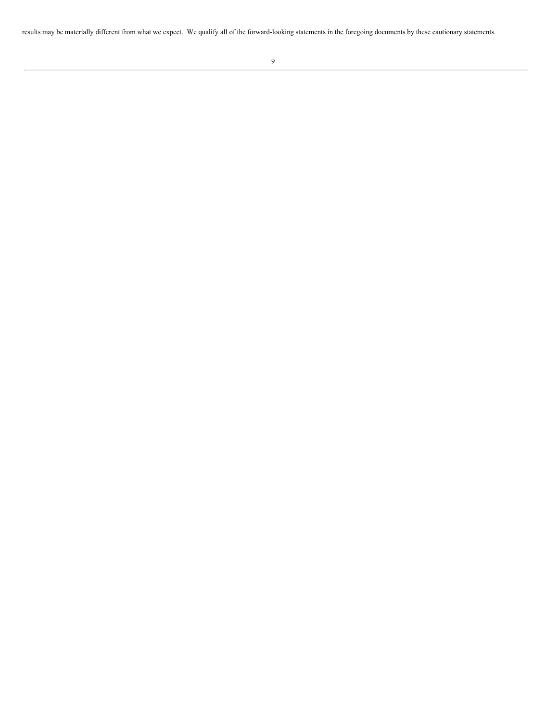results may be materially different from what we expect. We qualify all of the forward-looking statements in the foregoing documents by these cautionary statements.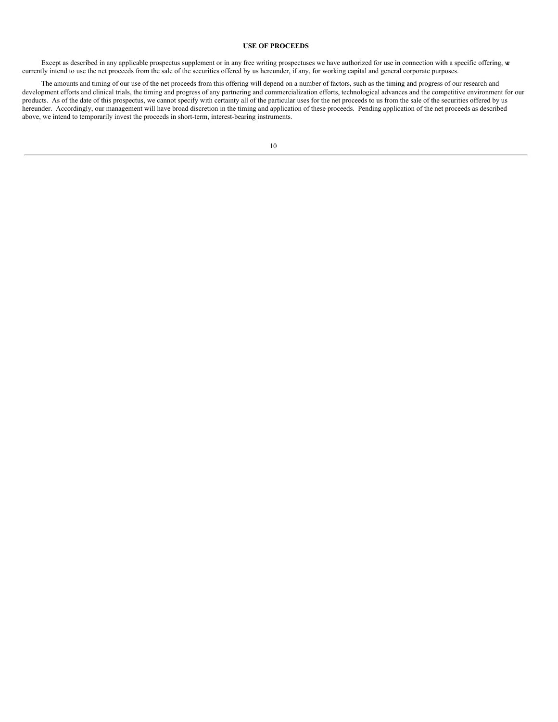## <span id="page-71-0"></span>**USE OF PROCEEDS**

Except as described in any applicable prospectus supplement or in any free writing prospectuses we have authorized for use in connection with a specific offering, we currently intend to use the net proceeds from the sale of the securities offered by us hereunder, if any, for working capital and general corporate purposes.

The amounts and timing of our use of the net proceeds from this offering will depend on a number of factors, such as the timing and progress of our research and development efforts and clinical trials, the timing and progress of any partnering and commercialization efforts, technological advances and the competitive environment for our products. As of the date of this prospectus, we cannot specify with certainty all of the particular uses for the net proceeds to us from the sale of the securities offered by us hereunder. Accordingly, our management will have broad discretion in the timing and application of these proceeds. Pending application of the net proceeds as described above, we intend to temporarily invest the proceeds in short-term, interest-bearing instruments.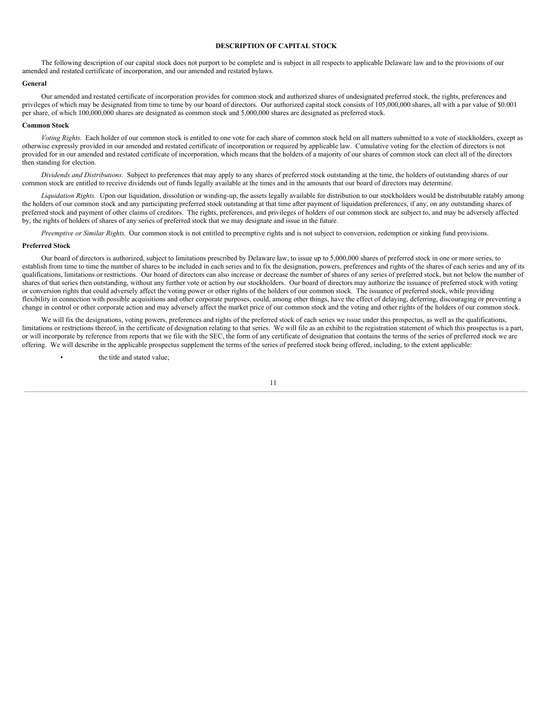# **DESCRIPTION OF CAPITAL STOCK**

The following description of our capital stock does not purport to be complete and is subject in all respects to applicable Delaware law and to the provisions of our amended and restated certificate of incorporation, and our amended and restated bylaws.

## **General**

Our amended and restated certificate of incorporation provides for common stock and authorized shares of undesignated preferred stock, the rights, preferences and privileges of which may be designated from time to time by our board of directors. Our authorized capital stock consists of 105,000,000 shares, all with a par value of \$0.001 per share, of which 100,000,000 shares are designated as common stock and 5,000,000 shares are designated as preferred stock.

#### **Common Stock**

*Voting Rights.* Each holder of our common stock is entitled to one vote for each share of common stock held on all matters submitted to a vote of stockholders, except as otherwise expressly provided in our amended and restated certificate of incorporation or required by applicable law. Cumulative voting for the election of directors is not provided for in our amended and restated certificate of incorporation, which means that the holders of a majority of our shares of common stock can elect all of the directors then standing for election.

*Dividends and Distributions.* Subject to preferences that may apply to any shares of preferred stock outstanding at the time, the holders of outstanding shares of our common stock are entitled to receive dividends out of funds legally available at the times and in the amounts that our board of directors may determine.

*Liquidation Rights.* Upon our liquidation, dissolution or winding-up, the assets legally available for distribution to our stockholders would be distributable ratably among the holders of our common stock and any participating preferred stock outstanding at that time after payment of liquidation preferences, if any, on any outstanding shares of preferred stock and payment of other claims of creditors. The rights, preferences, and privileges of holders of our common stock are subject to, and may be adversely affected by, the rights of holders of shares of any series of preferred stock that we may designate and issue in the future.

*Preemptive or Similar Rights*. Our common stock is not entitled to preemptive rights and is not subject to conversion, redemption or sinking fund provisions.

#### **Preferred Stock**

Our board of directors is authorized, subject to limitations prescribed by Delaware law, to issue up to 5,000,000 shares of preferred stock in one or more series, to establish from time to time the number of shares to be included in each series and to fix the designation, powers, preferences and rights of the shares of each series and any of its qualifications, limitations or restrictions. Our board of directors can also increase or decrease the number of shares of any series of preferred stock, but not below the number of shares of that series then outstanding, without any further vote or action by our stockholders. Our board of directors may authorize the issuance of preferred stock with voting or conversion rights that could adversely affect the voting power or other rights of the holders of our common stock. The issuance of preferred stock, while providing flexibility in connection with possible acquisitions and other corporate purposes, could, among other things, have the effect of delaying, deferring, discouraging or preventing a change in control or other corporate action and may adversely affect the market price of our common stock and the voting and other rights of the holders of our common stock.

We will fix the designations, voting powers, preferences and rights of the preferred stock of each series we issue under this prospectus, as well as the qualifications, limitations or restrictions thereof, in the certificate of designation relating to that series. We will file as an exhibit to the registration statement of which this prospectus is a part, or will incorporate by reference from reports that we file with the SEC, the form of any certificate of designation that contains the terms of the series of preferred stock we are offering. We will describe in the applicable prospectus supplement the terms of the series of preferred stock being offered, including, to the extent applicable:

the title and stated value;

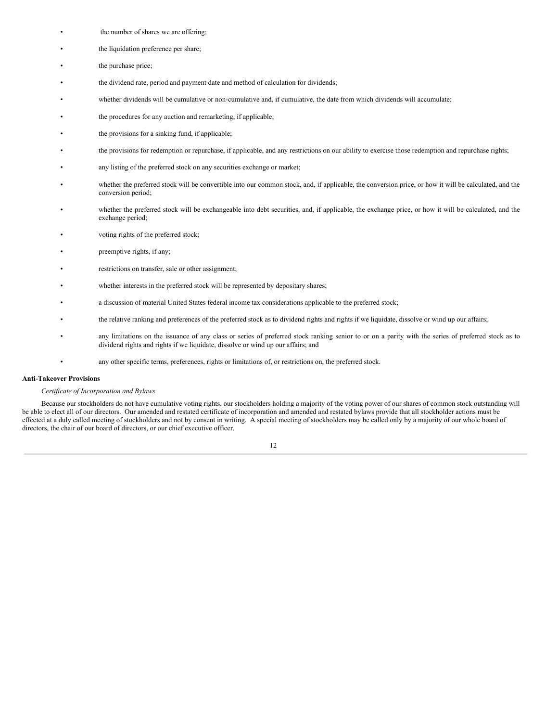- the number of shares we are offering:
- the liquidation preference per share;
- the purchase price;
- the dividend rate, period and payment date and method of calculation for dividends;
- whether dividends will be cumulative or non-cumulative and, if cumulative, the date from which dividends will accumulate;
- the procedures for any auction and remarketing, if applicable;
- the provisions for a sinking fund, if applicable;
- the provisions for redemption or repurchase, if applicable, and any restrictions on our ability to exercise those redemption and repurchase rights;
- any listing of the preferred stock on any securities exchange or market;
- whether the preferred stock will be convertible into our common stock, and, if applicable, the conversion price, or how it will be calculated, and the conversion period;
- whether the preferred stock will be exchangeable into debt securities, and, if applicable, the exchange price, or how it will be calculated, and the exchange period;
- voting rights of the preferred stock;
- preemptive rights, if any;
- restrictions on transfer, sale or other assignment;
- whether interests in the preferred stock will be represented by depositary shares;
- a discussion of material United States federal income tax considerations applicable to the preferred stock;
- the relative ranking and preferences of the preferred stock as to dividend rights and rights if we liquidate, dissolve or wind up our affairs;
- any limitations on the issuance of any class or series of preferred stock ranking senior to or on a parity with the series of preferred stock as to dividend rights and rights if we liquidate, dissolve or wind up our affairs; and
- any other specific terms, preferences, rights or limitations of, or restrictions on, the preferred stock.

#### **Anti-Takeover Provisions**

#### *Certificate of Incorporation and Bylaws*

Because our stockholders do not have cumulative voting rights, our stockholders holding a majority of the voting power of our shares of common stock outstanding will be able to elect all of our directors. Our amended and restated certificate of incorporation and amended and restated bylaws provide that all stockholder actions must be effected at a duly called meeting of stockholders and not by consent in writing. A special meeting of stockholders may be called only by a majority of our whole board of directors, the chair of our board of directors, or our chief executive officer.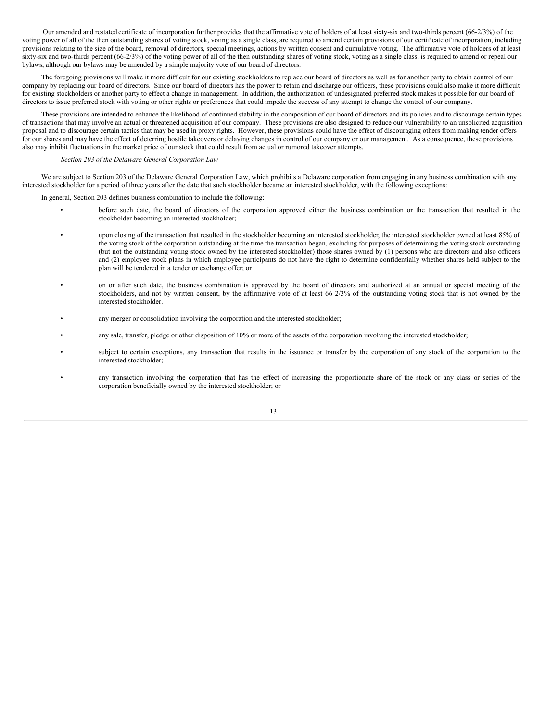Our amended and restated certificate of incorporation further provides that the affirmative vote of holders of at least sixty-six and two-thirds percent (66-2/3%) of the voting power of all of the then outstanding shares of voting stock, voting as a single class, are required to amend certain provisions of our certificate of incorporation, including provisions relating to the size of the board, removal of directors, special meetings, actions by written consent and cumulative voting. The affirmative vote of holders of at least sixty-six and two-thirds percent (66-2/3%) of the voting power of all of the then outstanding shares of voting stock, voting as a single class, is required to amend or repeal our bylaws, although our bylaws may be amended by a simple majority vote of our board of directors.

The foregoing provisions will make it more difficult for our existing stockholders to replace our board of directors as well as for another party to obtain control of our company by replacing our board of directors. Since our board of directors has the power to retain and discharge our officers, these provisions could also make it more difficult for existing stockholders or another party to effect a change in management. In addition, the authorization of undesignated preferred stock makes it possible for our board of directors to issue preferred stock with voting or other rights or preferences that could impede the success of any attempt to change the control of our company.

These provisions are intended to enhance the likelihood of continued stability in the composition of our board of directors and its policies and to discourage certain types of transactions that may involve an actual or threatened acquisition of our company. These provisions are also designed to reduce our vulnerability to an unsolicited acquisition proposal and to discourage certain tactics that may be used in proxy rights. However, these provisions could have the effect of discouraging others from making tender offers for our shares and may have the effect of deterring hostile takeovers or delaying changes in control of our company or our management. As a consequence, these provisions also may inhibit fluctuations in the market price of our stock that could result from actual or rumored takeover attempts.

## *Section 203 of the Delaware General Corporation Law*

We are subject to Section 203 of the Delaware General Corporation Law, which prohibits a Delaware corporation from engaging in any business combination with any interested stockholder for a period of three years after the date that such stockholder became an interested stockholder, with the following exceptions:

In general, Section 203 defines business combination to include the following:

- before such date, the board of directors of the corporation approved either the business combination or the transaction that resulted in the stockholder becoming an interested stockholder;
- upon closing of the transaction that resulted in the stockholder becoming an interested stockholder, the interested stockholder owned at least 85% of the voting stock of the corporation outstanding at the time the transaction began, excluding for purposes of determining the voting stock outstanding (but not the outstanding voting stock owned by the interested stockholder) those shares owned by (1) persons who are directors and also officers and (2) employee stock plans in which employee participants do not have the right to determine confidentially whether shares held subject to the plan will be tendered in a tender or exchange offer; or
- on or after such date, the business combination is approved by the board of directors and authorized at an annual or special meeting of the stockholders, and not by written consent, by the affirmative vote of at least 66 2/3% of the outstanding voting stock that is not owned by the interested stockholder.
- any merger or consolidation involving the corporation and the interested stockholder;
- any sale, transfer, pledge or other disposition of 10% or more of the assets of the corporation involving the interested stockholder;
- subject to certain exceptions, any transaction that results in the issuance or transfer by the corporation of any stock of the corporation to the interested stockholder;
- any transaction involving the corporation that has the effect of increasing the proportionate share of the stock or any class or series of the corporation beneficially owned by the interested stockholder; or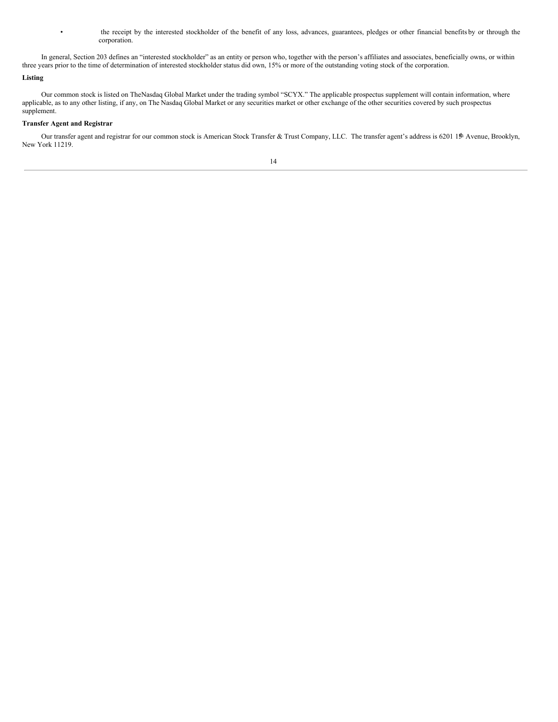• the receipt by the interested stockholder of the benefit of any loss, advances, guarantees, pledges or other financial benefits by or through the corporation.

In general, Section 203 defines an "interested stockholder" as an entity or person who, together with the person's affiliates and associates, beneficially owns, or within three years prior to the time of determination of interested stockholder status did own, 15% or more of the outstanding voting stock of the corporation.

# **Listing**

Our common stock is listed on TheNasdaq Global Market under the trading symbol "SCYX." The applicable prospectus supplement will contain information, where applicable, as to any other listing, if any, on The Nasdaq Global Market or any securities market or other exchange of the other securities covered by such prospectus supplement.

# **Transfer Agent and Registrar**

Our transfer agent and registrar for our common stock is American Stock Transfer & Trust Company, LLC. The transfer agent's address is 6201 15<sup>h</sup> Avenue, Brooklyn, New York 11219.

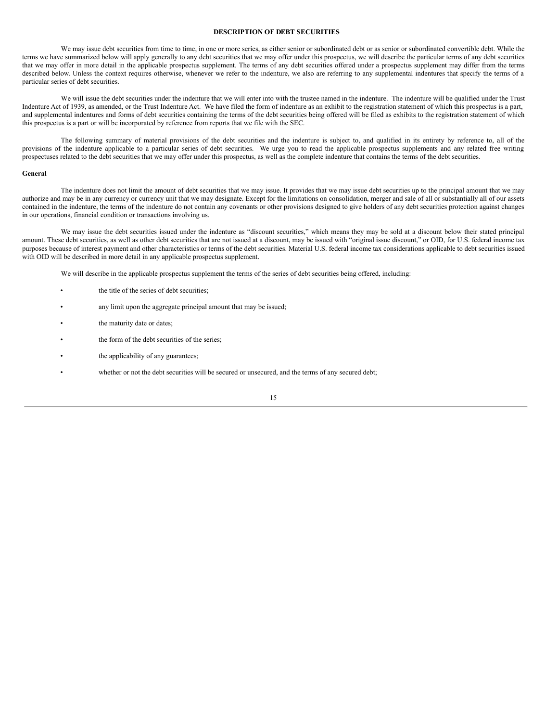# **DESCRIPTION OF DEBT SECURITIES**

We may issue debt securities from time to time, in one or more series, as either senior or subordinated debt or as senior or subordinated convertible debt. While the terms we have summarized below will apply generally to any debt securities that we may offer under this prospectus, we will describe the particular terms of any debt securities that we may offer in more detail in the applicable prospectus supplement. The terms of any debt securities offered under a prospectus supplement may differ from the terms described below. Unless the context requires otherwise, whenever we refer to the indenture, we also are referring to any supplemental indentures that specify the terms of a particular series of debt securities.

We will issue the debt securities under the indenture that we will enter into with the trustee named in the indenture. The indenture will be qualified under the Trust Indenture Act of 1939, as amended, or the Trust Indenture Act. We have filed the form of indenture as an exhibit to the registration statement of which this prospectus is a part, and supplemental indentures and forms of debt securities containing the terms of the debt securities being offered will be filed as exhibits to the registration statement of which this prospectus is a part or will be incorporated by reference from reports that we file with the SEC.

The following summary of material provisions of the debt securities and the indenture is subject to, and qualified in its entirety by reference to, all of the provisions of the indenture applicable to a particular series of debt securities. We urge you to read the applicable prospectus supplements and any related free writing prospectuses related to the debt securities that we may offer under this prospectus, as well as the complete indenture that contains the terms of the debt securities.

#### **General**

The indenture does not limit the amount of debt securities that we may issue. It provides that we may issue debt securities up to the principal amount that we may authorize and may be in any currency or currency unit that we may designate. Except for the limitations on consolidation, merger and sale of all or substantially all of our assets contained in the indenture, the terms of the indenture do not contain any covenants or other provisions designed to give holders of any debt securities protection against changes in our operations, financial condition or transactions involving us.

We may issue the debt securities issued under the indenture as "discount securities," which means they may be sold at a discount below their stated principal amount. These debt securities, as well as other debt securities that are not issued at a discount, may be issued with "original issue discount," or OID, for U.S. federal income tax purposes because of interest payment and other characteristics or terms of the debt securities. Material U.S. federal income tax considerations applicable to debt securities issued with OID will be described in more detail in any applicable prospectus supplement.

We will describe in the applicable prospectus supplement the terms of the series of debt securities being offered, including:

- the title of the series of debt securities;
- any limit upon the aggregate principal amount that may be issued;
- the maturity date or dates:
- the form of the debt securities of the series;
- the applicability of any guarantees;
- whether or not the debt securities will be secured or unsecured, and the terms of any secured debt;

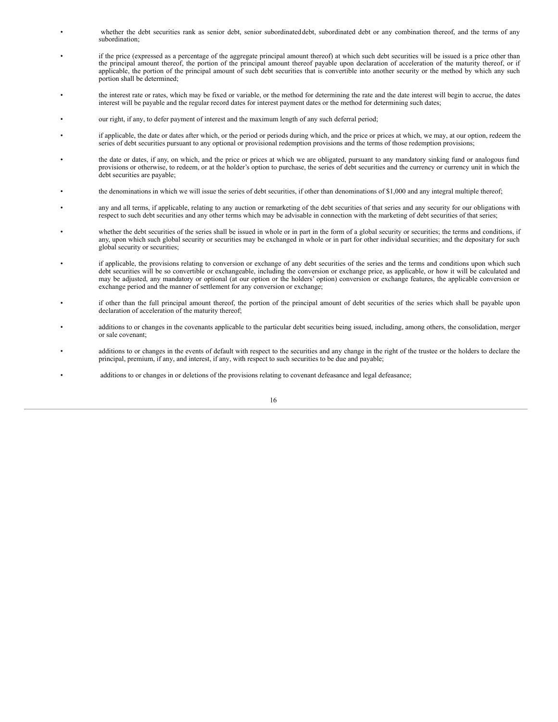- whether the debt securities rank as senior debt, senior subordinated debt, subordinated debt or any combination thereof, and the terms of any subordination;
- if the price (expressed as a percentage of the aggregate principal amount thereof) at which such debt securities will be issued is a price other than the principal amount thereof, the portion of the principal amount thereof payable upon declaration of acceleration of the maturity thereof, or if applicable, the portion of the principal amount of such debt securities that is convertible into another security or the method by which any such portion shall be determined;
- the interest rate or rates, which may be fixed or variable, or the method for determining the rate and the date interest will begin to accrue, the dates interest will be payable and the regular record dates for interest payment dates or the method for determining such dates;
- our right, if any, to defer payment of interest and the maximum length of any such deferral period;
- if applicable, the date or dates after which, or the period or periods during which, and the price or prices at which, we may, at our option, redeem the series of debt securities pursuant to any optional or provisional redemption provisions and the terms of those redemption provisions;
- the date or dates, if any, on which, and the price or prices at which we are obligated, pursuant to any mandatory sinking fund or analogous fund provisions or otherwise, to redeem, or at the holder's option to purchase, the series of debt securities and the currency or currency unit in which the debt securities are payable;
- the denominations in which we will issue the series of debt securities, if other than denominations of \$1,000 and any integral multiple thereof;
- any and all terms, if applicable, relating to any auction or remarketing of the debt securities of that series and any security for our obligations with respect to such debt securities and any other terms which may be advisable in connection with the marketing of debt securities of that series;
- whether the debt securities of the series shall be issued in whole or in part in the form of a global security or securities; the terms and conditions, if any, upon which such global security or securities may be exchanged in whole or in part for other individual securities; and the depositary for such global security or securities;
- if applicable, the provisions relating to conversion or exchange of any debt securities of the series and the terms and conditions upon which such debt securities will be so convertible or exchangeable, including the conversion or exchange price, as applicable, or how it will be calculated and may be adjusted, any mandatory or optional (at our option or the holders' option) conversion or exchange features, the applicable conversion or exchange period and the manner of settlement for any conversion or exchange;
- if other than the full principal amount thereof, the portion of the principal amount of debt securities of the series which shall be payable upon declaration of acceleration of the maturity thereof;
- additions to or changes in the covenants applicable to the particular debt securities being issued, including, among others, the consolidation, merger or sale covenant;
- additions to or changes in the events of default with respect to the securities and any change in the right of the trustee or the holders to declare the principal, premium, if any, and interest, if any, with respect to such securities to be due and payable;
- additions to or changes in or deletions of the provisions relating to covenant defeasance and legal defeasance;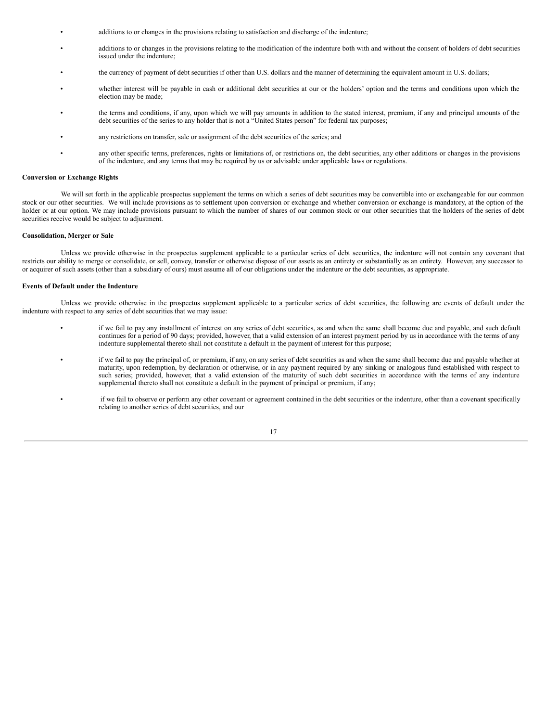- additions to or changes in the provisions relating to satisfaction and discharge of the indenture;
- additions to or changes in the provisions relating to the modification of the indenture both with and without the consent of holders of debt securities issued under the indenture;
- the currency of payment of debt securities if other than U.S. dollars and the manner of determining the equivalent amount in U.S. dollars;
- whether interest will be payable in cash or additional debt securities at our or the holders' option and the terms and conditions upon which the election may be made;
- the terms and conditions, if any, upon which we will pay amounts in addition to the stated interest, premium, if any and principal amounts of the debt securities of the series to any holder that is not a "United States person" for federal tax purposes;
- any restrictions on transfer, sale or assignment of the debt securities of the series; and
- any other specific terms, preferences, rights or limitations of, or restrictions on, the debt securities, any other additions or changes in the provisions of the indenture, and any terms that may be required by us or advisable under applicable laws or regulations.

#### **Conversion or Exchange Rights**

We will set forth in the applicable prospectus supplement the terms on which a series of debt securities may be convertible into or exchangeable for our common stock or our other securities. We will include provisions as to settlement upon conversion or exchange and whether conversion or exchange is mandatory, at the option of the holder or at our option. We may include provisions pursuant to which the number of shares of our common stock or our other securities that the holders of the series of debt securities receive would be subject to adjustment.

## **Consolidation, Merger or Sale**

Unless we provide otherwise in the prospectus supplement applicable to a particular series of debt securities, the indenture will not contain any covenant that restricts our ability to merge or consolidate, or sell, convey, transfer or otherwise dispose of our assets as an entirety or substantially as an entirety. However, any successor to or acquirer of such assets (other than a subsidiary of ours) must assume all of our obligations under the indenture or the debt securities, as appropriate.

## **Events of Default under the Indenture**

Unless we provide otherwise in the prospectus supplement applicable to a particular series of debt securities, the following are events of default under the indenture with respect to any series of debt securities that we may issue:

- if we fail to pay any installment of interest on any series of debt securities, as and when the same shall become due and payable, and such default continues for a period of 90 days; provided, however, that a valid extension of an interest payment period by us in accordance with the terms of any indenture supplemental thereto shall not constitute a default in the payment of interest for this purpose;
	- if we fail to pay the principal of, or premium, if any, on any series of debt securities as and when the same shall become due and payable whether at maturity, upon redemption, by declaration or otherwise, or in any payment required by any sinking or analogous fund established with respect to such series; provided, however, that a valid extension of the maturity of such debt securities in accordance with the terms of any indenture supplemental thereto shall not constitute a default in the payment of principal or premium, if any;
	- if we fail to observe or perform any other covenant or agreement contained in the debt securities or the indenture, other than a covenant specifically relating to another series of debt securities, and our

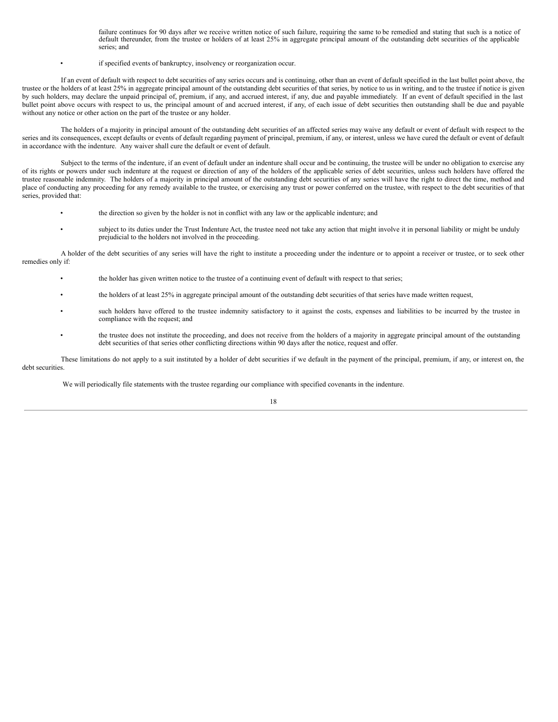failure continues for 90 days after we receive written notice of such failure, requiring the same to be remedied and stating that such is a notice of default thereunder, from the trustee or holders of at least 25% in aggregate principal amount of the outstanding debt securities of the applicable series; and

#### • if specified events of bankruptcy, insolvency or reorganization occur.

If an event of default with respect to debt securities of any series occurs and is continuing, other than an event of default specified in the last bullet point above, the trustee or the holders of at least 25% in aggregate principal amount of the outstanding debt securities of that series, by notice to us in writing, and to the trustee if notice is given by such holders, may declare the unpaid principal of, premium, if any, and accrued interest, if any, due and payable immediately. If an event of default specified in the last bullet point above occurs with respect to us, the principal amount of and accrued interest, if any, of each issue of debt securities then outstanding shall be due and payable without any notice or other action on the part of the trustee or any holder.

The holders of a majority in principal amount of the outstanding debt securities of an affected series may waive any default or event of default with respect to the series and its consequences, except defaults or events of default regarding payment of principal, premium, if any, or interest, unless we have cured the default or event of default in accordance with the indenture. Any waiver shall cure the default or event of default.

Subject to the terms of the indenture, if an event of default under an indenture shall occur and be continuing, the trustee will be under no obligation to exercise any of its rights or powers under such indenture at the request or direction of any of the holders of the applicable series of debt securities, unless such holders have offered the trustee reasonable indemnity. The holders of a majority in principal amount of the outstanding debt securities of any series will have the right to direct the time, method and place of conducting any proceeding for any remedy available to the trustee, or exercising any trust or power conferred on the trustee, with respect to the debt securities of that series, provided that:

- the direction so given by the holder is not in conflict with any law or the applicable indenture; and
- subject to its duties under the Trust Indenture Act, the trustee need not take any action that might involve it in personal liability or might be unduly prejudicial to the holders not involved in the proceeding.

A holder of the debt securities of any series will have the right to institute a proceeding under the indenture or to appoint a receiver or trustee, or to seek other remedies only if:

- the holder has given written notice to the trustee of a continuing event of default with respect to that series;
- the holders of at least 25% in aggregate principal amount of the outstanding debt securities of that series have made written request,
- such holders have offered to the trustee indemnity satisfactory to it against the costs, expenses and liabilities to be incurred by the trustee in compliance with the request; and
- the trustee does not institute the proceeding, and does not receive from the holders of a majority in aggregate principal amount of the outstanding debt securities of that series other conflicting directions within 90 days after the notice, request and offer.

These limitations do not apply to a suit instituted by a holder of debt securities if we default in the payment of the principal, premium, if any, or interest on, the debt securities.

We will periodically file statements with the trustee regarding our compliance with specified covenants in the indenture.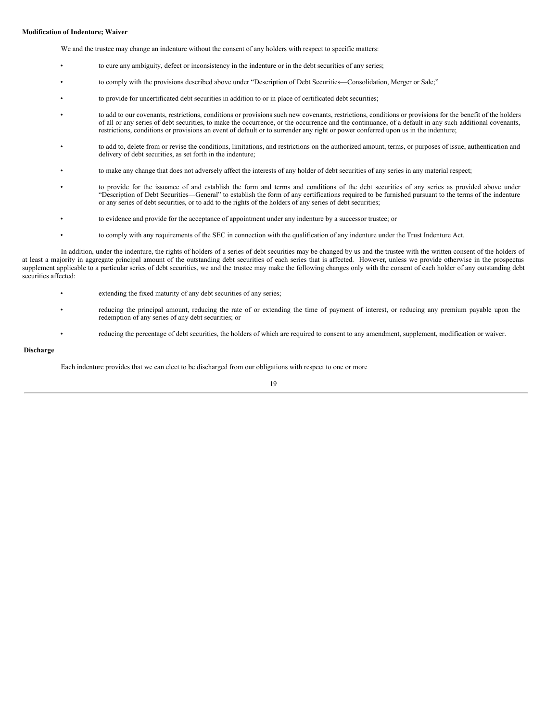#### **Modification of Indenture; Waiver**

We and the trustee may change an indenture without the consent of any holders with respect to specific matters:

- to cure any ambiguity, defect or inconsistency in the indenture or in the debt securities of any series;
- to comply with the provisions described above under "Description of Debt Securities—Consolidation, Merger or Sale;"
- to provide for uncertificated debt securities in addition to or in place of certificated debt securities;
- to add to our covenants, restrictions, conditions or provisions such new covenants, restrictions, conditions or provisions for the benefit of the holders of all or any series of debt securities, to make the occurrence, or the occurrence and the continuance, of a default in any such additional covenants, restrictions, conditions or provisions an event of default or to surrender any right or power conferred upon us in the indenture;
- to add to, delete from or revise the conditions, limitations, and restrictions on the authorized amount, terms, or purposes of issue, authentication and delivery of debt securities, as set forth in the indenture;
- to make any change that does not adversely affect the interests of any holder of debt securities of any series in any material respect;
- to provide for the issuance of and establish the form and terms and conditions of the debt securities of any series as provided above under "Description of Debt Securities—General" to establish the form of any certifications required to be furnished pursuant to the terms of the indenture or any series of debt securities, or to add to the rights of the holders of any series of debt securities;
- to evidence and provide for the acceptance of appointment under any indenture by a successor trustee; or
- to comply with any requirements of the SEC in connection with the qualification of any indenture under the Trust Indenture Act.

In addition, under the indenture, the rights of holders of a series of debt securities may be changed by us and the trustee with the written consent of the holders of at least a majority in aggregate principal amount of the outstanding debt securities of each series that is affected. However, unless we provide otherwise in the prospectus supplement applicable to a particular series of debt securities, we and the trustee may make the following changes only with the consent of each holder of any outstanding debt securities affected:

- extending the fixed maturity of any debt securities of any series;
- reducing the principal amount, reducing the rate of or extending the time of payment of interest, or reducing any premium payable upon the redemption of any series of any debt securities; or
- reducing the percentage of debt securities, the holders of which are required to consent to any amendment, supplement, modification or waiver.

#### **Discharge**

Each indenture provides that we can elect to be discharged from our obligations with respect to one or more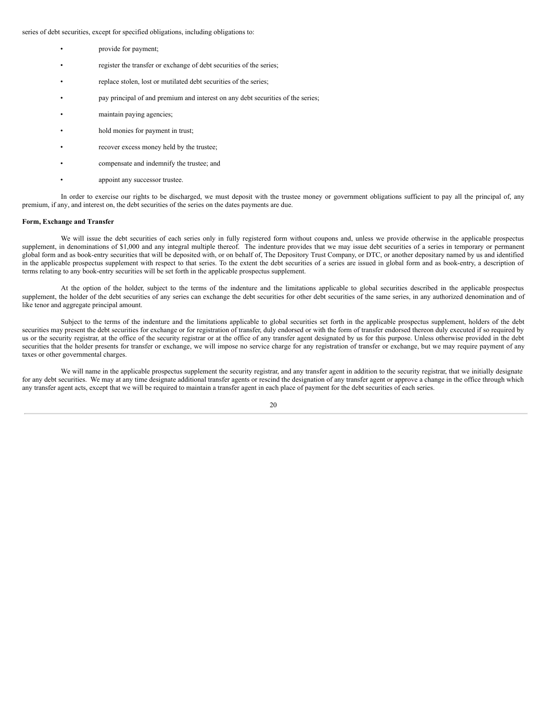series of debt securities, except for specified obligations, including obligations to:

- provide for payment;
- register the transfer or exchange of debt securities of the series;
- replace stolen, lost or mutilated debt securities of the series;
- pay principal of and premium and interest on any debt securities of the series;
- maintain paying agencies;
- hold monies for payment in trust;
- recover excess money held by the trustee;
- compensate and indemnify the trustee; and
- appoint any successor trustee.

In order to exercise our rights to be discharged, we must deposit with the trustee money or government obligations sufficient to pay all the principal of, any premium, if any, and interest on, the debt securities of the series on the dates payments are due.

## **Form, Exchange and Transfer**

We will issue the debt securities of each series only in fully registered form without coupons and, unless we provide otherwise in the applicable prospectus supplement, in denominations of \$1,000 and any integral multiple thereof. The indenture provides that we may issue debt securities of a series in temporary or permanent global form and as book-entry securities that will be deposited with, or on behalf of, The Depository Trust Company, or DTC, or another depositary named by us and identified in the applicable prospectus supplement with respect to that series. To the extent the debt securities of a series are issued in global form and as book-entry, a description of terms relating to any book-entry securities will be set forth in the applicable prospectus supplement.

At the option of the holder, subject to the terms of the indenture and the limitations applicable to global securities described in the applicable prospectus supplement, the holder of the debt securities of any series can exchange the debt securities for other debt securities of the same series, in any authorized denomination and of like tenor and aggregate principal amount.

Subject to the terms of the indenture and the limitations applicable to global securities set forth in the applicable prospectus supplement, holders of the debt securities may present the debt securities for exchange or for registration of transfer, duly endorsed or with the form of transfer endorsed thereon duly executed if so required by us or the security registrar, at the office of the security registrar or at the office of any transfer agent designated by us for this purpose. Unless otherwise provided in the debt securities that the holder presents for transfer or exchange, we will impose no service charge for any registration of transfer or exchange, but we may require payment of any taxes or other governmental charges.

We will name in the applicable prospectus supplement the security registrar, and any transfer agent in addition to the security registrar, that we initially designate for any debt securities. We may at any time designate additional transfer agents or rescind the designation of any transfer agent or approve a change in the office through which any transfer agent acts, except that we will be required to maintain a transfer agent in each place of payment for the debt securities of each series.

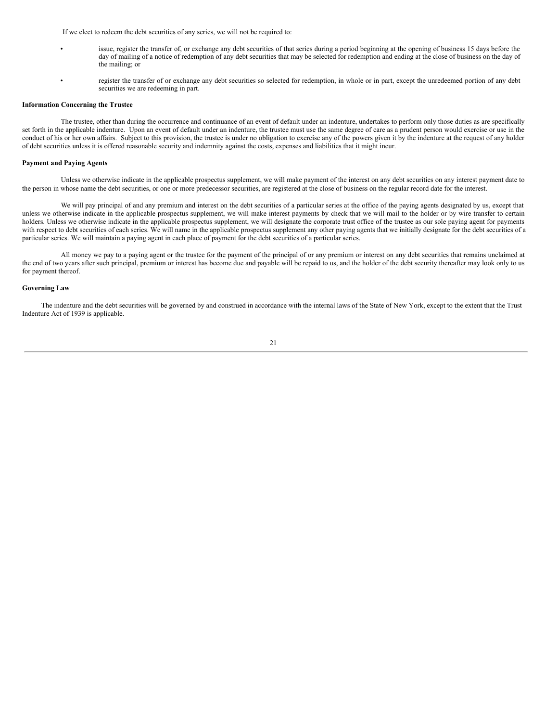If we elect to redeem the debt securities of any series, we will not be required to:

- issue, register the transfer of, or exchange any debt securities of that series during a period beginning at the opening of business 15 days before the day of mailing of a notice of redemption of any debt securities that may be selected for redemption and ending at the close of business on the day of the mailing; or
- register the transfer of or exchange any debt securities so selected for redemption, in whole or in part, except the unredeemed portion of any debt securities we are redeeming in part.

# **Information Concerning the Trustee**

The trustee, other than during the occurrence and continuance of an event of default under an indenture, undertakes to perform only those duties as are specifically set forth in the applicable indenture. Upon an event of default under an indenture, the trustee must use the same degree of care as a prudent person would exercise or use in the conduct of his or her own affairs. Subject to this provision, the trustee is under no obligation to exercise any of the powers given it by the indenture at the request of any holder of debt securities unless it is offered reasonable security and indemnity against the costs, expenses and liabilities that it might incur.

#### **Payment and Paying Agents**

Unless we otherwise indicate in the applicable prospectus supplement, we will make payment of the interest on any debt securities on any interest payment date to the person in whose name the debt securities, or one or more predecessor securities, are registered at the close of business on the regular record date for the interest.

We will pay principal of and any premium and interest on the debt securities of a particular series at the office of the paying agents designated by us, except that unless we otherwise indicate in the applicable prospectus supplement, we will make interest payments by check that we will mail to the holder or by wire transfer to certain holders. Unless we otherwise indicate in the applicable prospectus supplement, we will designate the corporate trust office of the trustee as our sole paying agent for payments with respect to debt securities of each series. We will name in the applicable prospectus supplement any other paying agents that we initially designate for the debt securities of a particular series. We will maintain a paying agent in each place of payment for the debt securities of a particular series.

All money we pay to a paying agent or the trustee for the payment of the principal of or any premium or interest on any debt securities that remains unclaimed at the end of two years after such principal, premium or interest has become due and payable will be repaid to us, and the holder of the debt security thereafter may look only to us for payment thereof.

#### **Governing Law**

The indenture and the debt securities will be governed by and construed in accordance with the internal laws of the State of New York, except to the extent that the Trust Indenture Act of 1939 is applicable.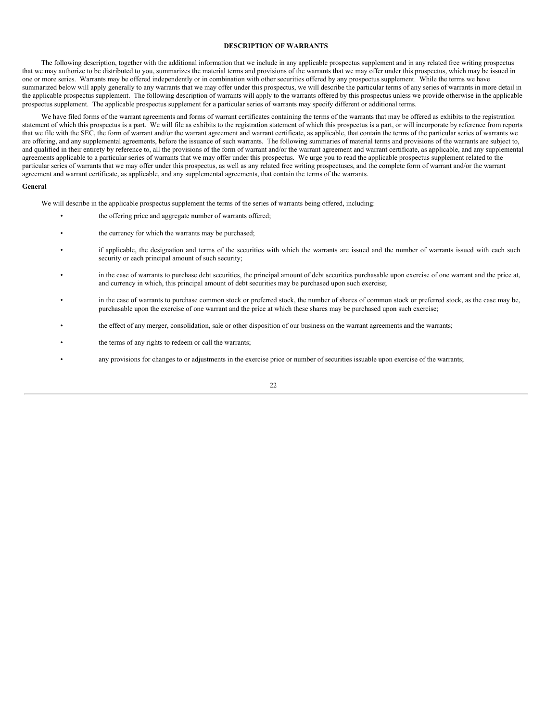# **DESCRIPTION OF WARRANTS**

The following description, together with the additional information that we include in any applicable prospectus supplement and in any related free writing prospectus that we may authorize to be distributed to you, summarizes the material terms and provisions of the warrants that we may offer under this prospectus, which may be issued in one or more series. Warrants may be offered independently or in combination with other securities offered by any prospectus supplement. While the terms we have summarized below will apply generally to any warrants that we may offer under this prospectus, we will describe the particular terms of any series of warrants in more detail in the applicable prospectus supplement. The following description of warrants will apply to the warrants offered by this prospectus unless we provide otherwise in the applicable prospectus supplement. The applicable prospectus supplement for a particular series of warrants may specify different or additional terms.

We have filed forms of the warrant agreements and forms of warrant certificates containing the terms of the warrants that may be offered as exhibits to the registration statement of which this prospectus is a part. We will file as exhibits to the registration statement of which this prospectus is a part, or will incorporate by reference from reports that we file with the SEC, the form of warrant and/or the warrant agreement and warrant certificate, as applicable, that contain the terms of the particular series of warrants we are offering, and any supplemental agreements, before the issuance of such warrants. The following summaries of material terms and provisions of the warrants are subject to, and qualified in their entirety by reference to, all the provisions of the form of warrant and/or the warrant agreement and warrant certificate, as applicable, and any supplemental agreements applicable to a particular series of warrants that we may offer under this prospectus. We urge you to read the applicable prospectus supplement related to the particular series of warrants that we may offer under this prospectus, as well as any related free writing prospectuses, and the complete form of warrant and/or the warrant agreement and warrant certificate, as applicable, and any supplemental agreements, that contain the terms of the warrants.

## **General**

We will describe in the applicable prospectus supplement the terms of the series of warrants being offered, including:

- the offering price and aggregate number of warrants offered;
- the currency for which the warrants may be purchased;
- if applicable, the designation and terms of the securities with which the warrants are issued and the number of warrants issued with each such security or each principal amount of such security;
- in the case of warrants to purchase debt securities, the principal amount of debt securities purchasable upon exercise of one warrant and the price at, and currency in which, this principal amount of debt securities may be purchased upon such exercise;
- in the case of warrants to purchase common stock or preferred stock, the number of shares of common stock or preferred stock, as the case may be, purchasable upon the exercise of one warrant and the price at which these shares may be purchased upon such exercise;
- the effect of any merger, consolidation, sale or other disposition of our business on the warrant agreements and the warrants;
- the terms of any rights to redeem or call the warrants;
- any provisions for changes to or adjustments in the exercise price or number of securities issuable upon exercise of the warrants;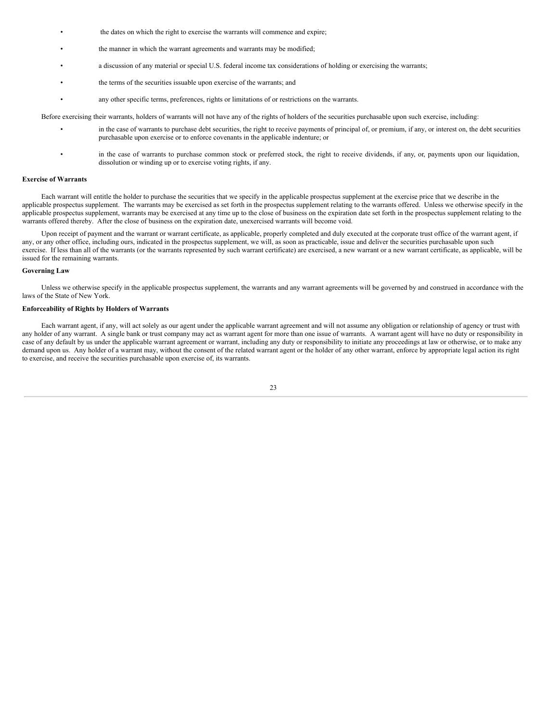- the dates on which the right to exercise the warrants will commence and expire;
- the manner in which the warrant agreements and warrants may be modified;
- a discussion of any material or special U.S. federal income tax considerations of holding or exercising the warrants;
- the terms of the securities issuable upon exercise of the warrants; and
- any other specific terms, preferences, rights or limitations of or restrictions on the warrants.

Before exercising their warrants, holders of warrants will not have any of the rights of holders of the securities purchasable upon such exercise, including:

- in the case of warrants to purchase debt securities, the right to receive payments of principal of, or premium, if any, or interest on, the debt securities purchasable upon exercise or to enforce covenants in the applicable indenture; or
- in the case of warrants to purchase common stock or preferred stock, the right to receive dividends, if any, or, payments upon our liquidation, dissolution or winding up or to exercise voting rights, if any.

#### **Exercise of Warrants**

Each warrant will entitle the holder to purchase the securities that we specify in the applicable prospectus supplement at the exercise price that we describe in the applicable prospectus supplement. The warrants may be exercised as set forth in the prospectus supplement relating to the warrants offered. Unless we otherwise specify in the applicable prospectus supplement, warrants may be exercised at any time up to the close of business on the expiration date set forth in the prospectus supplement relating to the warrants offered thereby. After the close of business on the expiration date, unexercised warrants will become void.

Upon receipt of payment and the warrant or warrant certificate, as applicable, properly completed and duly executed at the corporate trust office of the warrant agent, if any, or any other office, including ours, indicated in the prospectus supplement, we will, as soon as practicable, issue and deliver the securities purchasable upon such exercise. If less than all of the warrants (or the warrants represented by such warrant certificate) are exercised, a new warrant or a new warrant certificate, as applicable, will be issued for the remaining warrants.

#### **Governing Law**

Unless we otherwise specify in the applicable prospectus supplement, the warrants and any warrant agreements will be governed by and construed in accordance with the laws of the State of New York.

## **Enforceability of Rights by Holders of Warrants**

Each warrant agent, if any, will act solely as our agent under the applicable warrant agreement and will not assume any obligation or relationship of agency or trust with any holder of any warrant. A single bank or trust company may act as warrant agent for more than one issue of warrants. A warrant agent will have no duty or responsibility in case of any default by us under the applicable warrant agreement or warrant, including any duty or responsibility to initiate any proceedings at law or otherwise, or to make any demand upon us. Any holder of a warrant may, without the consent of the related warrant agent or the holder of any other warrant, enforce by appropriate legal action its right to exercise, and receive the securities purchasable upon exercise of, its warrants.

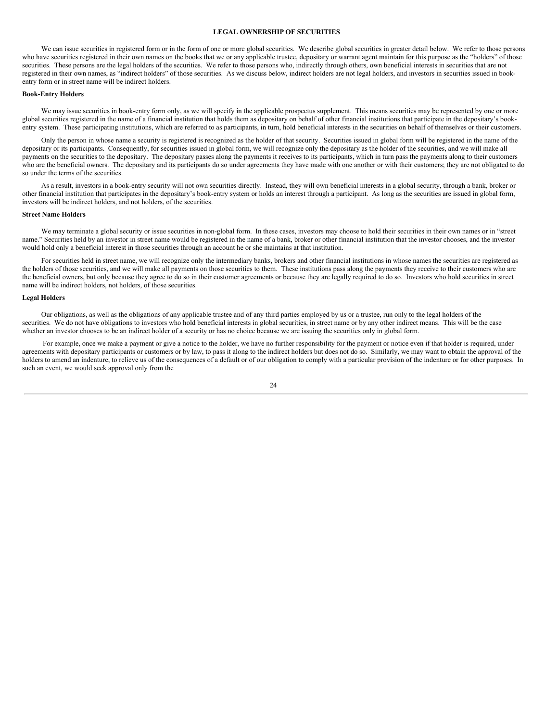#### **LEGAL OWNERSHIP OF SECURITIES**

We can issue securities in registered form or in the form of one or more global securities. We describe global securities in greater detail below. We refer to those persons who have securities registered in their own names on the books that we or any applicable trustee, depositary or warrant agent maintain for this purpose as the "holders" of those securities. These persons are the legal holders of the securities. We refer to those persons who, indirectly through others, own beneficial interests in securities that are not registered in their own names, as "indirect holders" of those securities. As we discuss below, indirect holders are not legal holders, and investors in securities issued in bookentry form or in street name will be indirect holders.

## **Book-Entry Holders**

We may issue securities in book-entry form only, as we will specify in the applicable prospectus supplement. This means securities may be represented by one or more global securities registered in the name of a financial institution that holds them as depositary on behalf of other financial institutions that participate in the depositary's bookentry system. These participating institutions, which are referred to as participants, in turn, hold beneficial interests in the securities on behalf of themselves or their customers.

Only the person in whose name a security is registered is recognized as the holder of that security. Securities issued in global form will be registered in the name of the depositary or its participants. Consequently, for securities issued in global form, we will recognize only the depositary as the holder of the securities, and we will make all payments on the securities to the depositary. The depositary passes along the payments it receives to its participants, which in turn pass the payments along to their customers who are the beneficial owners. The depositary and its participants do so under agreements they have made with one another or with their customers; they are not obligated to do so under the terms of the securities.

As a result, investors in a book-entry security will not own securities directly. Instead, they will own beneficial interests in a global security, through a bank, broker or other financial institution that participates in the depositary's book-entry system or holds an interest through a participant. As long as the securities are issued in global form, investors will be indirect holders, and not holders, of the securities.

#### **Street Name Holders**

We may terminate a global security or issue securities in non-global form. In these cases, investors may choose to hold their securities in their own names or in "street name." Securities held by an investor in street name would be registered in the name of a bank, broker or other financial institution that the investor chooses, and the investor would hold only a beneficial interest in those securities through an account he or she maintains at that institution.

For securities held in street name, we will recognize only the intermediary banks, brokers and other financial institutions in whose names the securities are registered as the holders of those securities, and we will make all payments on those securities to them. These institutions pass along the payments they receive to their customers who are the beneficial owners, but only because they agree to do so in their customer agreements or because they are legally required to do so. Investors who hold securities in street name will be indirect holders, not holders, of those securities.

#### **Legal Holders**

Our obligations, as well as the obligations of any applicable trustee and of any third parties employed by us or a trustee, run only to the legal holders of the securities. We do not have obligations to investors who hold beneficial interests in global securities, in street name or by any other indirect means. This will be the case whether an investor chooses to be an indirect holder of a security or has no choice because we are issuing the securities only in global form.

For example, once we make a payment or give a notice to the holder, we have no further responsibility for the payment or notice even if that holder is required, under agreements with depositary participants or customers or by law, to pass it along to the indirect holders but does not do so. Similarly, we may want to obtain the approval of the holders to amend an indenture, to relieve us of the consequences of a default or of our obligation to comply with a particular provision of the indenture or for other purposes. In such an event, we would seek approval only from the

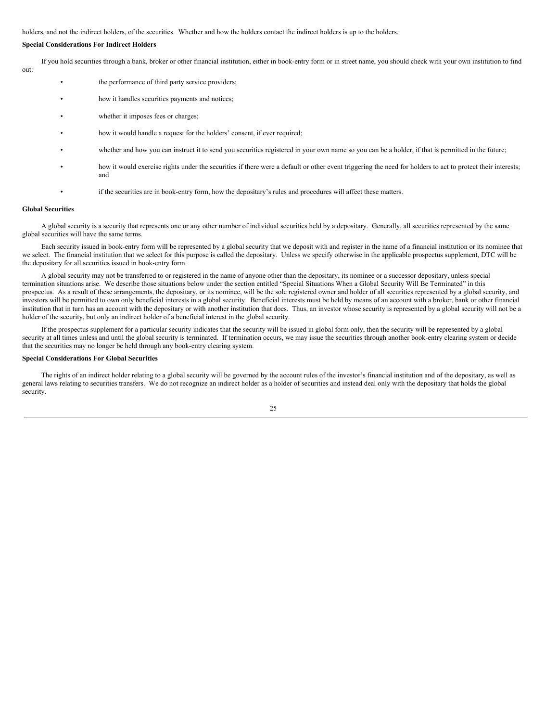holders, and not the indirect holders, of the securities. Whether and how the holders contact the indirect holders is up to the holders.

# **Special Considerations For Indirect Holders**

If you hold securities through a bank, broker or other financial institution, either in book-entry form or in street name, you should check with your own institution to find

- out:
- the performance of third party service providers;
- how it handles securities payments and notices;
- whether it imposes fees or charges:
- how it would handle a request for the holders' consent, if ever required;
- whether and how you can instruct it to send you securities registered in your own name so you can be a holder, if that is permitted in the future;
- how it would exercise rights under the securities if there were a default or other event triggering the need for holders to act to protect their interests; and
- if the securities are in book-entry form, how the depositary's rules and procedures will affect these matters.

#### **Global Securities**

A global security is a security that represents one or any other number of individual securities held by a depositary. Generally, all securities represented by the same global securities will have the same terms.

Each security issued in book-entry form will be represented by a global security that we deposit with and register in the name of a financial institution or its nominee that we select. The financial institution that we select for this purpose is called the depositary. Unless we specify otherwise in the applicable prospectus supplement, DTC will be the depositary for all securities issued in book-entry form.

A global security may not be transferred to or registered in the name of anyone other than the depositary, its nominee or a successor depositary, unless special termination situations arise. We describe those situations below under the section entitled "Special Situations When a Global Security Will Be Terminated" in this prospectus. As a result of these arrangements, the depositary, or its nominee, will be the sole registered owner and holder of all securities represented by a global security, and investors will be permitted to own only beneficial interests in a global security. Beneficial interests must be held by means of an account with a broker, bank or other financial institution that in turn has an account with the depositary or with another institution that does. Thus, an investor whose security is represented by a global security will not be a holder of the security, but only an indirect holder of a beneficial interest in the global security.

If the prospectus supplement for a particular security indicates that the security will be issued in global form only, then the security will be represented by a global security at all times unless and until the global security is terminated. If termination occurs, we may issue the securities through another book-entry clearing system or decide that the securities may no longer be held through any book-entry clearing system.

#### **Special Considerations For Global Securities**

The rights of an indirect holder relating to a global security will be governed by the account rules of the investor's financial institution and of the depositary, as well as general laws relating to securities transfers. We do not recognize an indirect holder as a holder of securities and instead deal only with the depositary that holds the global security.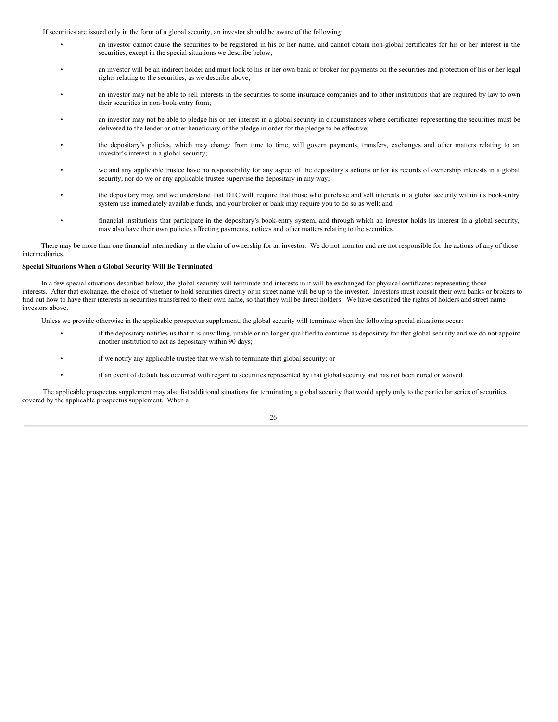If securities are issued only in the form of a global security, an investor should be aware of the following:

- an investor cannot cause the securities to be registered in his or her name, and cannot obtain non-global certificates for his or her interest in the securities, except in the special situations we describe below;
- an investor will be an indirect holder and must look to his or her own bank or broker for payments on the securities and protection of his or her legal rights relating to the securities, as we describe above;
- an investor may not be able to sell interests in the securities to some insurance companies and to other institutions that are required by law to own their securities in non-book-entry form;
- an investor may not be able to pledge his or her interest in a global security in circumstances where certificates representing the securities must be delivered to the lender or other beneficiary of the pledge in order for the pledge to be effective;
- the depositary's policies, which may change from time to time, will govern payments, transfers, exchanges and other matters relating to an investor's interest in a global security;
- we and any applicable trustee have no responsibility for any aspect of the depositary's actions or for its records of ownership interests in a global security, nor do we or any applicable trustee supervise the depositary in any way;
- the depositary may, and we understand that DTC will, require that those who purchase and sell interests in a global security within its book-entry system use immediately available funds, and your broker or bank may require you to do so as well; and
- financial institutions that participate in the depositary's book-entry system, and through which an investor holds its interest in a global security, may also have their own policies affecting payments, notices and other matters relating to the securities.

There may be more than one financial intermediary in the chain of ownership for an investor. We do not monitor and are not responsible for the actions of any of those intermediaries.

#### **Special Situations When a Global Security Will Be Terminated**

In a few special situations described below, the global security will terminate and interests in it will be exchanged for physical certificates representing those interests. After that exchange, the choice of whether to hold securities directly or in street name will be up to the investor. Investors must consult their own banks or brokers to find out how to have their interests in securities transferred to their own name, so that they will be direct holders. We have described the rights of holders and street name investors above.

Unless we provide otherwise in the applicable prospectus supplement, the global security will terminate when the following special situations occur:

- if the depositary notifies us that it is unwilling, unable or no longer qualified to continue as depositary for that global security and we do not appoint another institution to act as depositary within 90 days;
- if we notify any applicable trustee that we wish to terminate that global security; or
	- if an event of default has occurred with regard to securities represented by that global security and has not been cured or waived.

The applicable prospectus supplement may also list additional situations for terminating a global security that would apply only to the particular series of securities covered by the applicable prospectus supplement. When a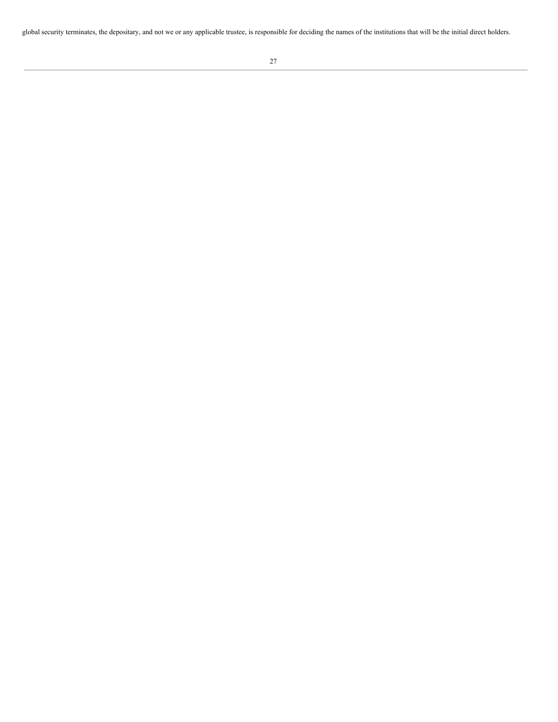global security terminates, the depositary, and not we or any applicable trustee, is responsible for deciding the names of the institutions that will be the initial direct holders.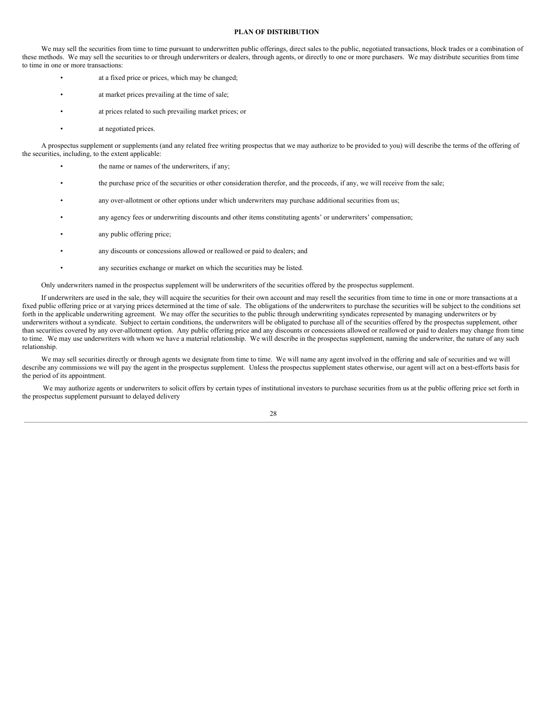# **PLAN OF DISTRIBUTION**

We may sell the securities from time to time pursuant to underwritten public offerings, direct sales to the public, negotiated transactions, block trades or a combination of these methods. We may sell the securities to or through underwriters or dealers, through agents, or directly to one or more purchasers. We may distribute securities from time to time in one or more transactions:

- at a fixed price or prices, which may be changed;
- at market prices prevailing at the time of sale;
- at prices related to such prevailing market prices; or
- at negotiated prices.

A prospectus supplement or supplements (and any related free writing prospectus that we may authorize to be provided to you) will describe the terms of the offering of the securities, including, to the extent applicable:

- the name or names of the underwriters, if any;
- the purchase price of the securities or other consideration therefor, and the proceeds, if any, we will receive from the sale;
- any over-allotment or other options under which underwriters may purchase additional securities from us;
- any agency fees or underwriting discounts and other items constituting agents' or underwriters' compensation;
- any public offering price;
- any discounts or concessions allowed or reallowed or paid to dealers; and
- any securities exchange or market on which the securities may be listed.

Only underwriters named in the prospectus supplement will be underwriters of the securities offered by the prospectus supplement.

If underwriters are used in the sale, they will acquire the securities for their own account and may resell the securities from time to time in one or more transactions at a fixed public offering price or at varying prices determined at the time of sale. The obligations of the underwriters to purchase the securities will be subject to the conditions set forth in the applicable underwriting agreement. We may offer the securities to the public through underwriting syndicates represented by managing underwriters or by underwriters without a syndicate. Subject to certain conditions, the underwriters will be obligated to purchase all of the securities offered by the prospectus supplement, other than securities covered by any over-allotment option. Any public offering price and any discounts or concessions allowed or reallowed or paid to dealers may change from time to time. We may use underwriters with whom we have a material relationship. We will describe in the prospectus supplement, naming the underwriter, the nature of any such relationship.

We may sell securities directly or through agents we designate from time to time. We will name any agent involved in the offering and sale of securities and we will describe any commissions we will pay the agent in the prospectus supplement. Unless the prospectus supplement states otherwise, our agent will act on a best-efforts basis for the period of its appointment.

We may authorize agents or underwriters to solicit offers by certain types of institutional investors to purchase securities from us at the public offering price set forth in the prospectus supplement pursuant to delayed delivery

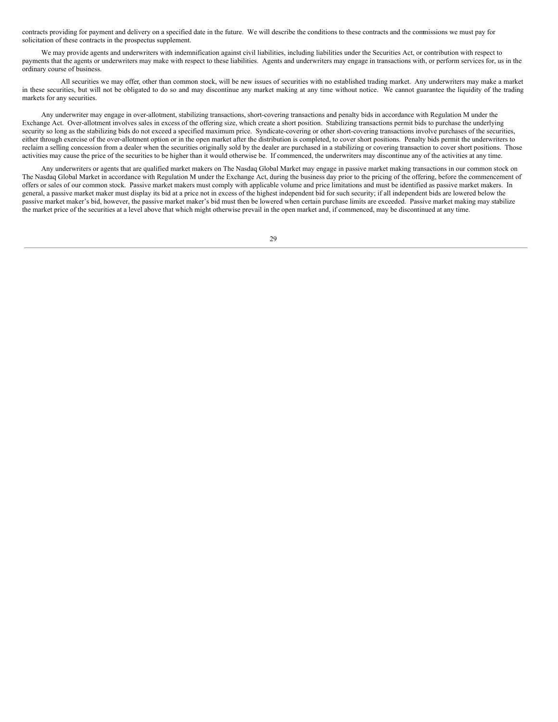contracts providing for payment and delivery on a specified date in the future. We will describe the conditions to these contracts and the commissions we must pay for solicitation of these contracts in the prospectus supplement.

We may provide agents and underwriters with indemnification against civil liabilities, including liabilities under the Securities Act, or contribution with respect to payments that the agents or underwriters may make with respect to these liabilities. Agents and underwriters may engage in transactions with, or perform services for, us in the ordinary course of business.

All securities we may offer, other than common stock, will be new issues of securities with no established trading market. Any underwriters may make a market in these securities, but will not be obligated to do so and may discontinue any market making at any time without notice. We cannot guarantee the liquidity of the trading markets for any securities.

Any underwriter may engage in over-allotment, stabilizing transactions, short-covering transactions and penalty bids in accordance with Regulation M under the Exchange Act. Over-allotment involves sales in excess of the offering size, which create a short position. Stabilizing transactions permit bids to purchase the underlying security so long as the stabilizing bids do not exceed a specified maximum price. Syndicate-covering or other short-covering transactions involve purchases of the securities, either through exercise of the over-allotment option or in the open market after the distribution is completed, to cover short positions. Penalty bids permit the underwriters to reclaim a selling concession from a dealer when the securities originally sold by the dealer are purchased in a stabilizing or covering transaction to cover short positions. Those activities may cause the price of the securities to be higher than it would otherwise be. If commenced, the underwriters may discontinue any of the activities at any time.

Any underwriters or agents that are qualified market makers on The Nasdaq Global Market may engage in passive market making transactions in our common stock on The Nasdaq Global Market in accordance with Regulation M under the Exchange Act, during the business day prior to the pricing of the offering, before the commencement of offers or sales of our common stock. Passive market makers must comply with applicable volume and price limitations and must be identified as passive market makers. In general, a passive market maker must display its bid at a price not in excess of the highest independent bid for such security; if all independent bids are lowered below the passive market maker's bid, however, the passive market maker's bid must then be lowered when certain purchase limits are exceeded. Passive market making may stabilize the market price of the securities at a level above that which might otherwise prevail in the open market and, if commenced, may be discontinued at any time.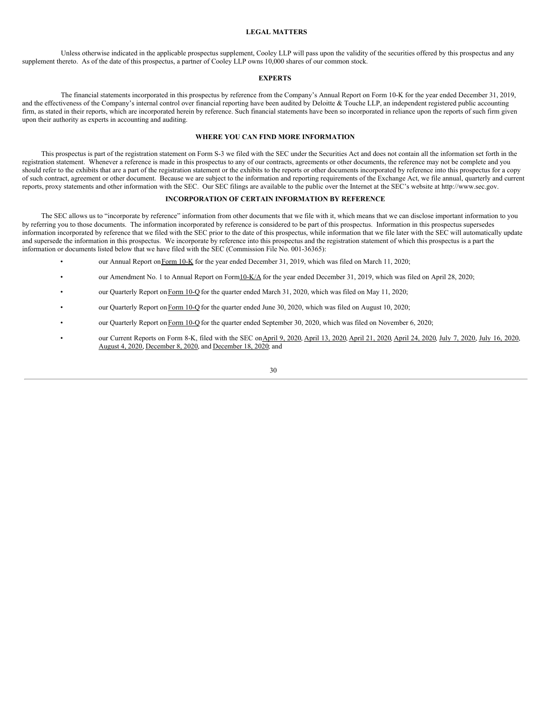## **LEGAL MATTERS**

Unless otherwise indicated in the applicable prospectus supplement, Cooley LLP will pass upon the validity of the securities offered by this prospectus and any supplement thereto. As of the date of this prospectus, a partner of Cooley LLP owns 10,000 shares of our common stock.

## **EXPERTS**

The financial statements incorporated in this prospectus by reference from the Company's Annual Report on Form 10-K for the year ended December 31, 2019, and the effectiveness of the Company's internal control over financial reporting have been audited by Deloitte & Touche LLP, an independent registered public accounting firm, as stated in their reports, which are incorporated herein by reference. Such financial statements have been so incorporated in reliance upon the reports of such firm given upon their authority as experts in accounting and auditing.

#### **WHERE YOU CAN FIND MORE INFORMATION**

This prospectus is part of the registration statement on Form S-3 we filed with the SEC under the Securities Act and does not contain all the information set forth in the registration statement. Whenever a reference is made in this prospectus to any of our contracts, agreements or other documents, the reference may not be complete and you should refer to the exhibits that are a part of the registration statement or the exhibits to the reports or other documents incorporated by reference into this prospectus for a copy of such contract, agreement or other document. Because we are subject to the information and reporting requirements of the Exchange Act, we file annual, quarterly and current reports, proxy statements and other information with the SEC. Our SEC filings are available to the public over the Internet at the SEC's website at http://www.sec.gov.

## **INCORPORATION OF CERTAIN INFORMATION BY REFERENCE**

The SEC allows us to "incorporate by reference" information from other documents that we file with it, which means that we can disclose important information to you by referring you to those documents. The information incorporated by reference is considered to be part of this prospectus. Information in this prospectus supersedes information incorporated by reference that we filed with the SEC prior to the date of this prospectus, while information that we file later with the SEC will automatically update and supersede the information in this prospectus. We incorporate by reference into this prospectus and the registration statement of which this prospectus is a part the information or documents listed below that we have filed with the SEC (Commission File No. 001-36365):

- our Annual Report on [Form](http://www.sec.gov/Archives/edgar/data/1178253/000156459020009875/scyx-10k_20191231.htm) 10-K for the year ended December 31, 2019, which was filed on March 11, 2020;
- our Amendment No. 1 to Annual Report on For[m10-K/A](http://www.sec.gov/Archives/edgar/data/1178253/000156459020019188/scyx-10ka_20191231.htm) for the year ended December 31, 2019, which was filed on April 28, 2020;
- our Quarterly Report on [Form](http://www.sec.gov/Archives/edgar/data/1178253/000156459020023868/scyx-10q_20200331.htm) 10-Q for the quarter ended March 31, 2020, which was filed on May 11, 2020;
- our Quarterly Report on [Form](https://www.sec.gov/ix?doc=/Archives/edgar/data/1178253/000156459020038629/scyx-10q_20200630.htm) 10-Q for the quarter ended June 30, 2020, which was filed on August 10, 2020;
- our Quarterly Report on [Form](https://www.sec.gov/ix?doc=/Archives/edgar/data/1178253/000156459020051687/scyx-10q_20200930.htm) 10-Q for the quarter ended September 30, 2020, which was filed on November 6, 2020;
- our Current Reports on Form 8-K, filed with the SEC on [April](http://www.sec.gov/Archives/edgar/data/1178253/000156459020018514/scyx-8k_20200421.htm) 9, [2020](http://www.sec.gov/Archives/edgar/data/1178253/000156459020032489/scyx-8k_20200716.htm), April 13, 2020, April 21, 2020, April 24, 2020, July 7, 2020, July 16, 2020, [August](http://www.sec.gov/Archives/edgar/data/1178253/000156459020035769/scyx-8k_20200803.htm) 4, 2020, [December](https://www.sec.gov/ix?doc=/Archives/edgar/data/1178253/000156459020056378/scyx-8k_20201202.htm) 8, 2020, and [December](https://www.sec.gov/ix?doc=/Archives/edgar/data/1178253/000156459020057511/scyx-8k_20201217.htm) 18, 2020; and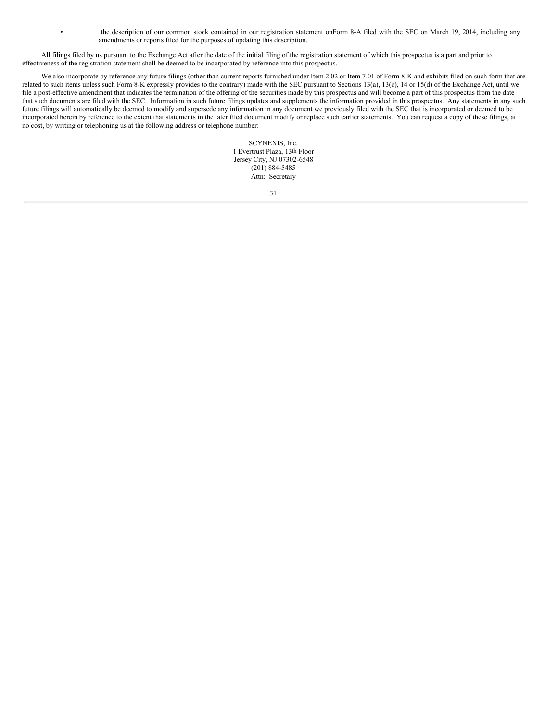the description of our common stock contained in our registration statement o[nForm](http://www.sec.gov/Archives/edgar/data/1178253/000119312514106556/d695245d8a12b.htm) 8-A filed with the SEC on March 19, 2014, including any amendments or reports filed for the purposes of updating this description.

All filings filed by us pursuant to the Exchange Act after the date of the initial filing of the registration statement of which this prospectus is a part and prior to effectiveness of the registration statement shall be deemed to be incorporated by reference into this prospectus.

We also incorporate by reference any future filings (other than current reports furnished under Item 2.02 or Item 7.01 of Form 8-K and exhibits filed on such form that are related to such items unless such Form 8-K expressly provides to the contrary) made with the SEC pursuant to Sections 13(a), 13(c), 14 or 15(d) of the Exchange Act, until we file a post-effective amendment that indicates the termination of the offering of the securities made by this prospectus and will become a part of this prospectus from the date that such documents are filed with the SEC. Information in such future filings updates and supplements the information provided in this prospectus. Any statements in any such future filings will automatically be deemed to modify and supersede any information in any document we previously filed with the SEC that is incorporated or deemed to be incorporated herein by reference to the extent that statements in the later filed document modify or replace such earlier statements. You can request a copy of these filings, at no cost, by writing or telephoning us at the following address or telephone number:

> SCYNEXIS, Inc. 1 Evertrust Plaza, 13th Floor Jersey City, NJ 07302-6548 (201) 884-5485 Attn: Secretary